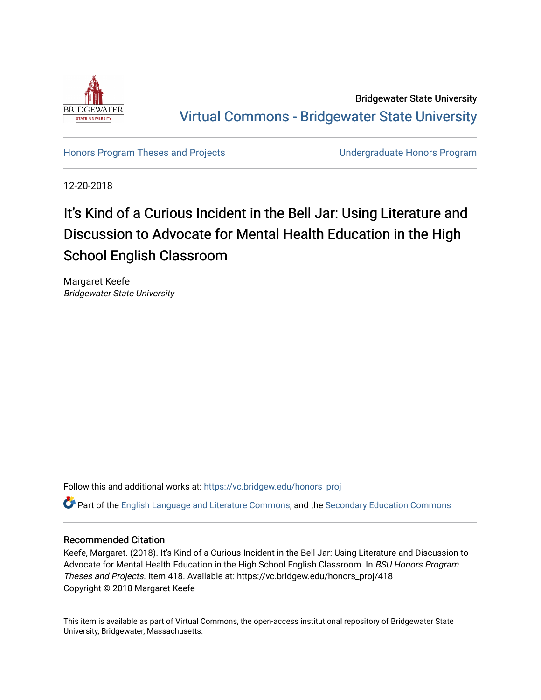

Bridgewater State University [Virtual Commons - Bridgewater State University](https://vc.bridgew.edu/) 

[Honors Program Theses and Projects](https://vc.bridgew.edu/honors_proj) [Undergraduate Honors Program](https://vc.bridgew.edu/honors) 

12-20-2018

# It's Kind of a Curious Incident in the Bell Jar: Using Literature and Discussion to Advocate for Mental Health Education in the High School English Classroom

Margaret Keefe Bridgewater State University

Follow this and additional works at: [https://vc.bridgew.edu/honors\\_proj](https://vc.bridgew.edu/honors_proj?utm_source=vc.bridgew.edu%2Fhonors_proj%2F418&utm_medium=PDF&utm_campaign=PDFCoverPages)

Part of the [English Language and Literature Commons](http://network.bepress.com/hgg/discipline/455?utm_source=vc.bridgew.edu%2Fhonors_proj%2F418&utm_medium=PDF&utm_campaign=PDFCoverPages), and the [Secondary Education Commons](http://network.bepress.com/hgg/discipline/1382?utm_source=vc.bridgew.edu%2Fhonors_proj%2F418&utm_medium=PDF&utm_campaign=PDFCoverPages) 

# Recommended Citation

Keefe, Margaret. (2018). It's Kind of a Curious Incident in the Bell Jar: Using Literature and Discussion to Advocate for Mental Health Education in the High School English Classroom. In BSU Honors Program Theses and Projects. Item 418. Available at: https://vc.bridgew.edu/honors\_proj/418 Copyright © 2018 Margaret Keefe

This item is available as part of Virtual Commons, the open-access institutional repository of Bridgewater State University, Bridgewater, Massachusetts.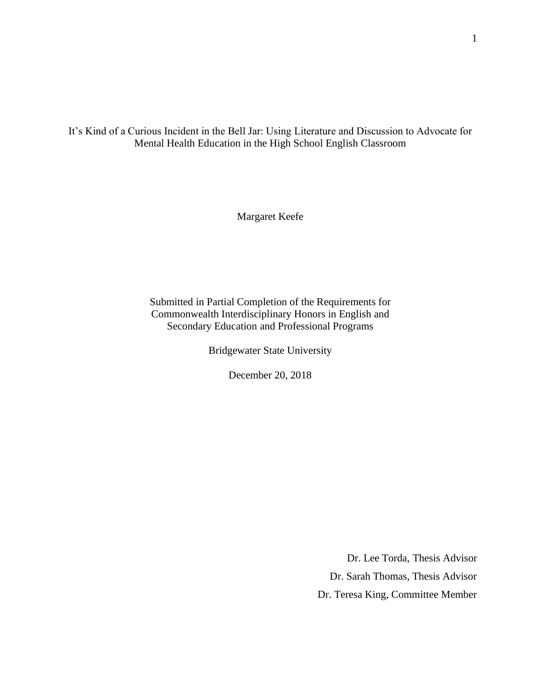It's Kind of a Curious Incident in the Bell Jar: Using Literature and Discussion to Advocate for Mental Health Education in the High School English Classroom

Margaret Keefe

Submitted in Partial Completion of the Requirements for Commonwealth Interdisciplinary Honors in English and Secondary Education and Professional Programs

Bridgewater State University

December 20, 2018

Dr. Lee Torda, Thesis Advisor Dr. Sarah Thomas, Thesis Advisor Dr. Teresa King, Committee Member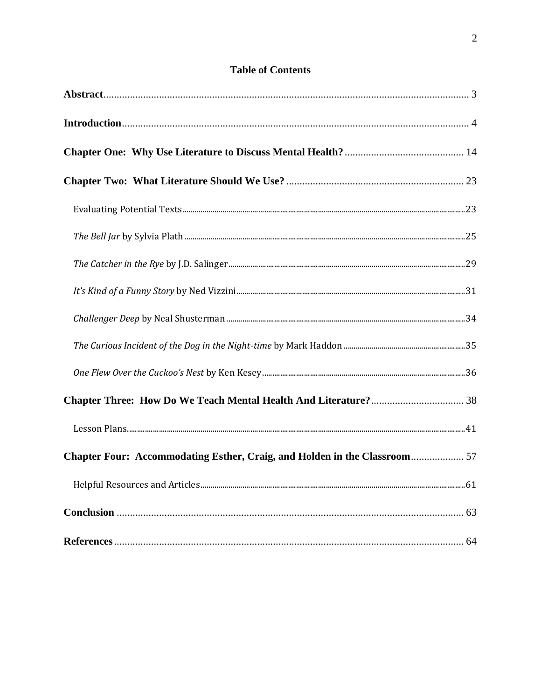# **Table of Contents**

| Chapter Four: Accommodating Esther, Craig, and Holden in the Classroom 57 |  |
|---------------------------------------------------------------------------|--|
|                                                                           |  |
|                                                                           |  |
|                                                                           |  |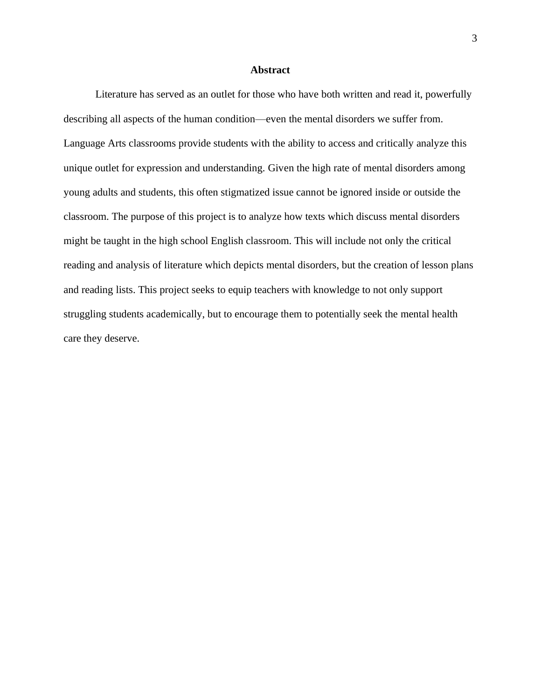### **Abstract**

<span id="page-3-0"></span>Literature has served as an outlet for those who have both written and read it, powerfully describing all aspects of the human condition—even the mental disorders we suffer from. Language Arts classrooms provide students with the ability to access and critically analyze this unique outlet for expression and understanding. Given the high rate of mental disorders among young adults and students, this often stigmatized issue cannot be ignored inside or outside the classroom. The purpose of this project is to analyze how texts which discuss mental disorders might be taught in the high school English classroom. This will include not only the critical reading and analysis of literature which depicts mental disorders, but the creation of lesson plans and reading lists. This project seeks to equip teachers with knowledge to not only support struggling students academically, but to encourage them to potentially seek the mental health care they deserve.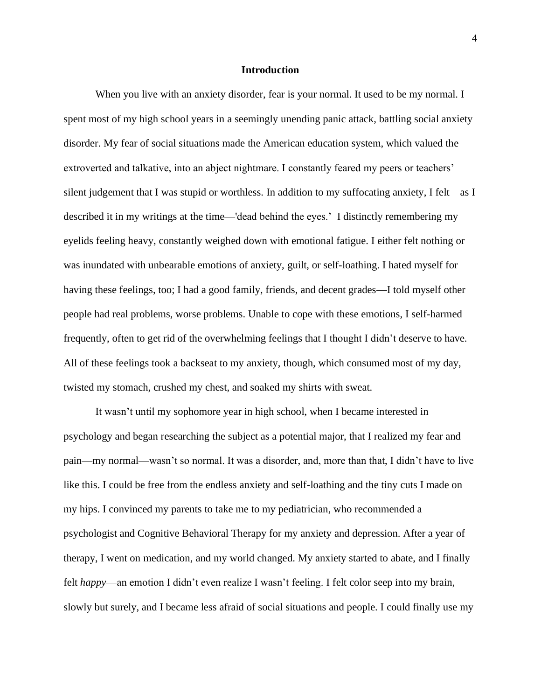### **Introduction**

<span id="page-4-0"></span>When you live with an anxiety disorder, fear is your normal. It used to be my normal. I spent most of my high school years in a seemingly unending panic attack, battling social anxiety disorder. My fear of social situations made the American education system, which valued the extroverted and talkative, into an abject nightmare. I constantly feared my peers or teachers' silent judgement that I was stupid or worthless. In addition to my suffocating anxiety, I felt—as I described it in my writings at the time—'dead behind the eyes.' I distinctly remembering my eyelids feeling heavy, constantly weighed down with emotional fatigue. I either felt nothing or was inundated with unbearable emotions of anxiety, guilt, or self-loathing. I hated myself for having these feelings, too; I had a good family, friends, and decent grades—I told myself other people had real problems, worse problems. Unable to cope with these emotions, I self-harmed frequently, often to get rid of the overwhelming feelings that I thought I didn't deserve to have. All of these feelings took a backseat to my anxiety, though, which consumed most of my day, twisted my stomach, crushed my chest, and soaked my shirts with sweat.

It wasn't until my sophomore year in high school, when I became interested in psychology and began researching the subject as a potential major, that I realized my fear and pain—my normal—wasn't so normal. It was a disorder, and, more than that, I didn't have to live like this. I could be free from the endless anxiety and self-loathing and the tiny cuts I made on my hips. I convinced my parents to take me to my pediatrician, who recommended a psychologist and Cognitive Behavioral Therapy for my anxiety and depression. After a year of therapy, I went on medication, and my world changed. My anxiety started to abate, and I finally felt *happy*—an emotion I didn't even realize I wasn't feeling. I felt color seep into my brain, slowly but surely, and I became less afraid of social situations and people. I could finally use my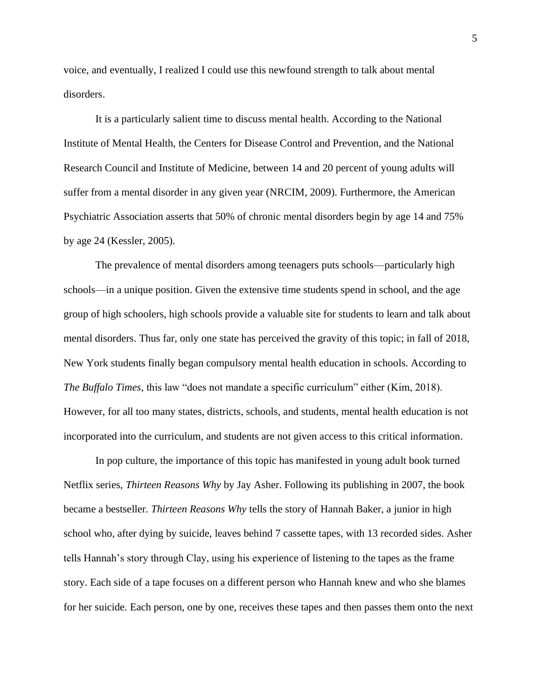voice, and eventually, I realized I could use this newfound strength to talk about mental disorders.

It is a particularly salient time to discuss mental health. According to the National Institute of Mental Health, the Centers for Disease Control and Prevention, and the National Research Council and Institute of Medicine, between 14 and 20 percent of young adults will suffer from a mental disorder in any given year (NRCIM, 2009). Furthermore, the American Psychiatric Association asserts that 50% of chronic mental disorders begin by age 14 and 75% by age 24 (Kessler, 2005).

The prevalence of mental disorders among teenagers puts schools—particularly high schools—in a unique position. Given the extensive time students spend in school, and the age group of high schoolers, high schools provide a valuable site for students to learn and talk about mental disorders. Thus far, only one state has perceived the gravity of this topic; in fall of 2018, New York students finally began compulsory mental health education in schools. According to *The Buffalo Times*, this law "does not mandate a specific curriculum" either (Kim, 2018). However, for all too many states, districts, schools, and students, mental health education is not incorporated into the curriculum, and students are not given access to this critical information.

In pop culture, the importance of this topic has manifested in young adult book turned Netflix series, *Thirteen Reasons Why* by Jay Asher. Following its publishing in 2007, the book became a bestseller. *Thirteen Reasons Why* tells the story of Hannah Baker, a junior in high school who, after dying by suicide, leaves behind 7 cassette tapes, with 13 recorded sides. Asher tells Hannah's story through Clay, using his experience of listening to the tapes as the frame story. Each side of a tape focuses on a different person who Hannah knew and who she blames for her suicide. Each person, one by one, receives these tapes and then passes them onto the next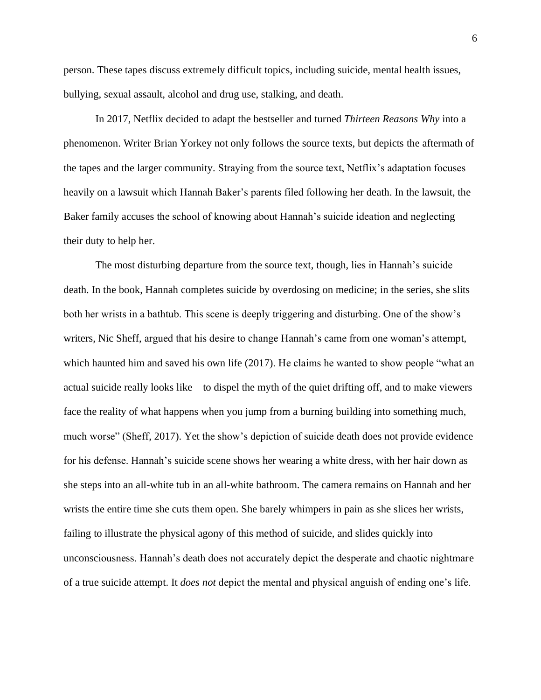person. These tapes discuss extremely difficult topics, including suicide, mental health issues, bullying, sexual assault, alcohol and drug use, stalking, and death.

In 2017, Netflix decided to adapt the bestseller and turned *Thirteen Reasons Why* into a phenomenon. Writer Brian Yorkey not only follows the source texts, but depicts the aftermath of the tapes and the larger community. Straying from the source text, Netflix's adaptation focuses heavily on a lawsuit which Hannah Baker's parents filed following her death. In the lawsuit, the Baker family accuses the school of knowing about Hannah's suicide ideation and neglecting their duty to help her.

The most disturbing departure from the source text, though, lies in Hannah's suicide death. In the book, Hannah completes suicide by overdosing on medicine; in the series, she slits both her wrists in a bathtub. This scene is deeply triggering and disturbing. One of the show's writers, Nic Sheff, argued that his desire to change Hannah's came from one woman's attempt, which haunted him and saved his own life (2017). He claims he wanted to show people "what an actual suicide really looks like—to dispel the myth of the quiet drifting off, and to make viewers face the reality of what happens when you jump from a burning building into something much, much worse" (Sheff, 2017). Yet the show's depiction of suicide death does not provide evidence for his defense. Hannah's suicide scene shows her wearing a white dress, with her hair down as she steps into an all-white tub in an all-white bathroom. The camera remains on Hannah and her wrists the entire time she cuts them open. She barely whimpers in pain as she slices her wrists, failing to illustrate the physical agony of this method of suicide, and slides quickly into unconsciousness. Hannah's death does not accurately depict the desperate and chaotic nightmare of a true suicide attempt. It *does not* depict the mental and physical anguish of ending one's life.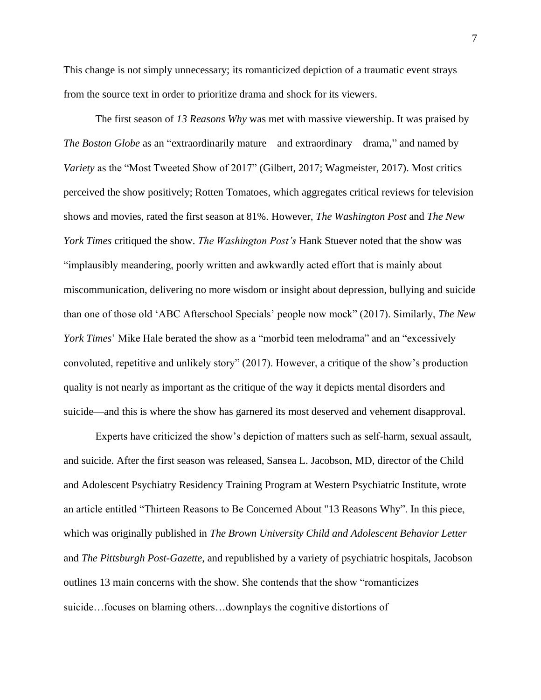This change is not simply unnecessary; its romanticized depiction of a traumatic event strays from the source text in order to prioritize drama and shock for its viewers.

The first season of *13 Reasons Why* was met with massive viewership. It was praised by *The Boston Globe* as an "extraordinarily mature—and extraordinary—drama," and named by *Variety* as the "Most Tweeted Show of 2017" (Gilbert, 2017; Wagmeister, 2017). Most critics perceived the show positively; Rotten Tomatoes, which aggregates critical reviews for television shows and movies, rated the first season at 81%. However, *The Washington Post* and *The New York Times* critiqued the show. *The Washington Post's* Hank Stuever noted that the show was "implausibly meandering, poorly written and awkwardly acted effort that is mainly about miscommunication, delivering no more wisdom or insight about depression, bullying and suicide than one of those old 'ABC Afterschool Specials' people now mock" (2017). Similarly, *The New York Times*' Mike Hale berated the show as a "morbid teen melodrama" and an "excessively convoluted, repetitive and unlikely story" (2017). However, a critique of the show's production quality is not nearly as important as the critique of the way it depicts mental disorders and suicide—and this is where the show has garnered its most deserved and vehement disapproval.

Experts have criticized the show's depiction of matters such as self-harm, sexual assault, and suicide. After the first season was released, Sansea L. Jacobson, MD, director of the Child and Adolescent Psychiatry Residency Training Program at Western Psychiatric Institute, wrote an article entitled "Thirteen Reasons to Be Concerned About "13 Reasons Why". In this piece, which was originally published in *The Brown University Child and Adolescent Behavior Letter* and *The Pittsburgh Post-Gazette*, and republished by a variety of psychiatric hospitals, Jacobson outlines 13 main concerns with the show. She contends that the show "romanticizes suicide…focuses on blaming others…downplays the cognitive distortions of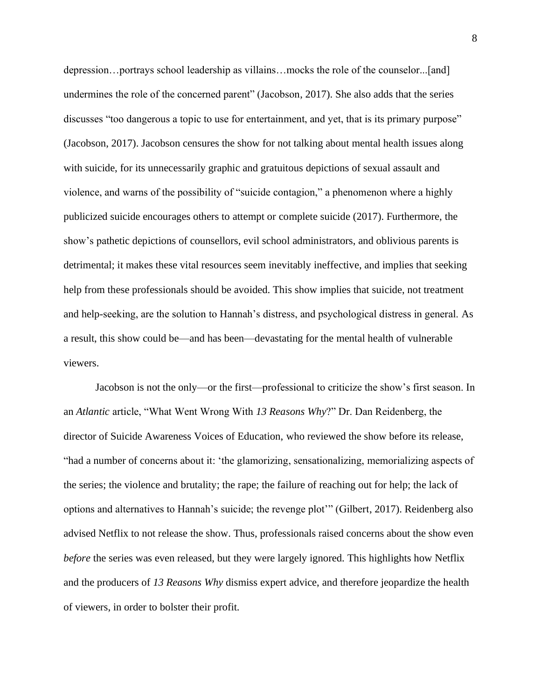depression…portrays school leadership as villains…mocks the role of the counselor...[and] undermines the role of the concerned parent" (Jacobson, 2017). She also adds that the series discusses "too dangerous a topic to use for entertainment, and yet, that is its primary purpose" (Jacobson, 2017). Jacobson censures the show for not talking about mental health issues along with suicide, for its unnecessarily graphic and gratuitous depictions of sexual assault and violence, and warns of the possibility of "suicide contagion," a phenomenon where a highly publicized suicide encourages others to attempt or complete suicide (2017). Furthermore, the show's pathetic depictions of counsellors, evil school administrators, and oblivious parents is detrimental; it makes these vital resources seem inevitably ineffective, and implies that seeking help from these professionals should be avoided. This show implies that suicide, not treatment and help-seeking, are the solution to Hannah's distress, and psychological distress in general. As a result, this show could be—and has been—devastating for the mental health of vulnerable viewers.

Jacobson is not the only—or the first—professional to criticize the show's first season. In an *Atlantic* article, "What Went Wrong With *13 Reasons Why*?" Dr. Dan Reidenberg, the director of Suicide Awareness Voices of Education, who reviewed the show before its release, "had a number of concerns about it: 'the glamorizing, sensationalizing, memorializing aspects of the series; the violence and brutality; the rape; the failure of reaching out for help; the lack of options and alternatives to Hannah's suicide; the revenge plot'" (Gilbert, 2017). Reidenberg also advised Netflix to not release the show. Thus, professionals raised concerns about the show even *before* the series was even released, but they were largely ignored. This highlights how Netflix and the producers of *13 Reasons Why* dismiss expert advice, and therefore jeopardize the health of viewers, in order to bolster their profit.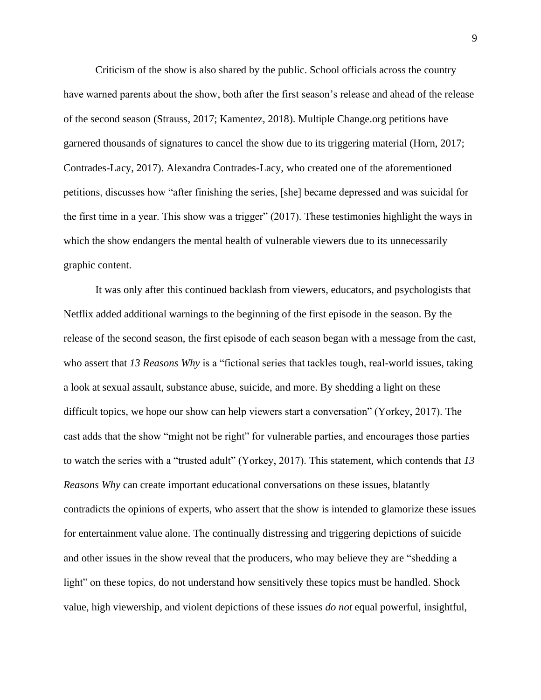Criticism of the show is also shared by the public. School officials across the country have warned parents about the show, both after the first season's release and ahead of the release of the second season (Strauss, 2017; Kamentez, 2018). Multiple Change.org petitions have garnered thousands of signatures to cancel the show due to its triggering material (Horn, 2017; Contrades-Lacy, 2017). Alexandra Contrades-Lacy, who created one of the aforementioned petitions, discusses how "after finishing the series, [she] became depressed and was suicidal for the first time in a year. This show was a trigger" (2017). These testimonies highlight the ways in which the show endangers the mental health of vulnerable viewers due to its unnecessarily graphic content.

It was only after this continued backlash from viewers, educators, and psychologists that Netflix added additional warnings to the beginning of the first episode in the season. By the release of the second season, the first episode of each season began with a message from the cast, who assert that *13 Reasons Why* is a "fictional series that tackles tough, real-world issues, taking a look at sexual assault, substance abuse, suicide, and more. By shedding a light on these difficult topics, we hope our show can help viewers start a conversation" (Yorkey, 2017). The cast adds that the show "might not be right" for vulnerable parties, and encourages those parties to watch the series with a "trusted adult" (Yorkey, 2017). This statement, which contends that *13 Reasons Why* can create important educational conversations on these issues, blatantly contradicts the opinions of experts, who assert that the show is intended to glamorize these issues for entertainment value alone. The continually distressing and triggering depictions of suicide and other issues in the show reveal that the producers, who may believe they are "shedding a light" on these topics, do not understand how sensitively these topics must be handled. Shock value, high viewership, and violent depictions of these issues *do not* equal powerful, insightful,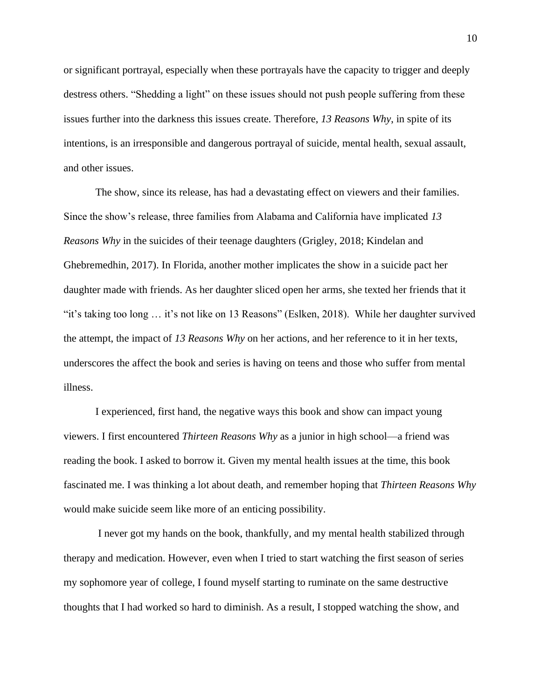or significant portrayal, especially when these portrayals have the capacity to trigger and deeply destress others. "Shedding a light" on these issues should not push people suffering from these issues further into the darkness this issues create. Therefore, *13 Reasons Why*, in spite of its intentions, is an irresponsible and dangerous portrayal of suicide, mental health, sexual assault, and other issues.

The show, since its release, has had a devastating effect on viewers and their families. Since the show's release, three families from Alabama and California have implicated *13 Reasons Why* in the suicides of their teenage daughters (Grigley, 2018; Kindelan and Ghebremedhin, 2017). In Florida, another mother implicates the show in a suicide pact her daughter made with friends. As her daughter sliced open her arms, she texted her friends that it "it's taking too long … it's not like on 13 Reasons" (Eslken, 2018). While her daughter survived the attempt, the impact of *13 Reasons Why* on her actions, and her reference to it in her texts, underscores the affect the book and series is having on teens and those who suffer from mental illness.

I experienced, first hand, the negative ways this book and show can impact young viewers. I first encountered *Thirteen Reasons Why* as a junior in high school—a friend was reading the book. I asked to borrow it. Given my mental health issues at the time, this book fascinated me. I was thinking a lot about death, and remember hoping that *Thirteen Reasons Why*  would make suicide seem like more of an enticing possibility.

I never got my hands on the book, thankfully, and my mental health stabilized through therapy and medication. However, even when I tried to start watching the first season of series my sophomore year of college, I found myself starting to ruminate on the same destructive thoughts that I had worked so hard to diminish. As a result, I stopped watching the show, and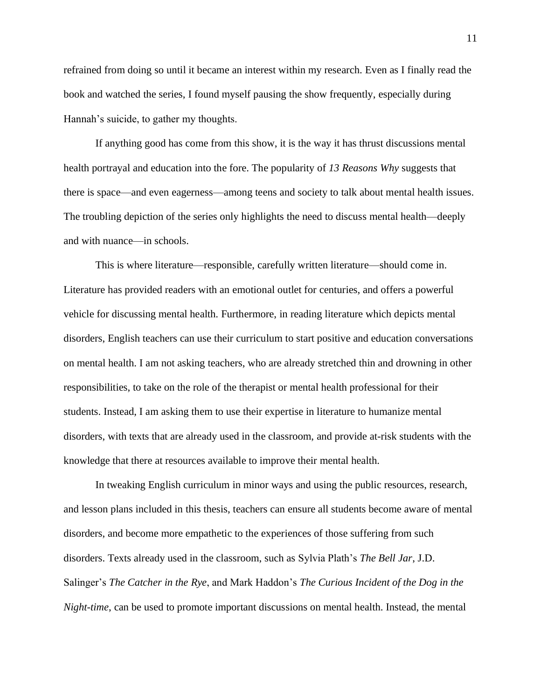refrained from doing so until it became an interest within my research. Even as I finally read the book and watched the series, I found myself pausing the show frequently, especially during Hannah's suicide, to gather my thoughts.

If anything good has come from this show, it is the way it has thrust discussions mental health portrayal and education into the fore. The popularity of *13 Reasons Why* suggests that there is space—and even eagerness—among teens and society to talk about mental health issues. The troubling depiction of the series only highlights the need to discuss mental health—deeply and with nuance—in schools.

This is where literature—responsible, carefully written literature—should come in. Literature has provided readers with an emotional outlet for centuries, and offers a powerful vehicle for discussing mental health. Furthermore, in reading literature which depicts mental disorders, English teachers can use their curriculum to start positive and education conversations on mental health. I am not asking teachers, who are already stretched thin and drowning in other responsibilities, to take on the role of the therapist or mental health professional for their students. Instead, I am asking them to use their expertise in literature to humanize mental disorders, with texts that are already used in the classroom, and provide at-risk students with the knowledge that there at resources available to improve their mental health.

In tweaking English curriculum in minor ways and using the public resources, research, and lesson plans included in this thesis, teachers can ensure all students become aware of mental disorders, and become more empathetic to the experiences of those suffering from such disorders. Texts already used in the classroom, such as Sylvia Plath's *The Bell Jar*, J.D. Salinger's *The Catcher in the Rye*, and Mark Haddon's *The Curious Incident of the Dog in the Night-time*, can be used to promote important discussions on mental health. Instead, the mental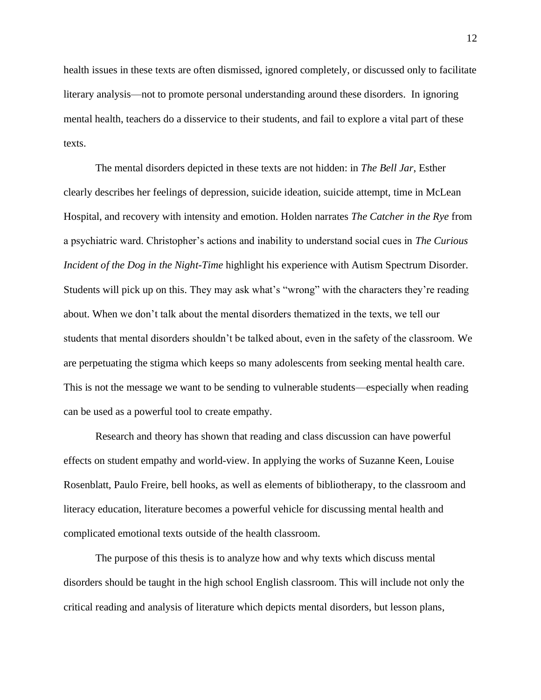health issues in these texts are often dismissed, ignored completely, or discussed only to facilitate literary analysis—not to promote personal understanding around these disorders. In ignoring mental health, teachers do a disservice to their students, and fail to explore a vital part of these texts.

The mental disorders depicted in these texts are not hidden: in *The Bell Jar*, Esther clearly describes her feelings of depression, suicide ideation, suicide attempt, time in McLean Hospital, and recovery with intensity and emotion. Holden narrates *The Catcher in the Rye* from a psychiatric ward. Christopher's actions and inability to understand social cues in *The Curious Incident of the Dog in the Night-Time* highlight his experience with Autism Spectrum Disorder. Students will pick up on this. They may ask what's "wrong" with the characters they're reading about. When we don't talk about the mental disorders thematized in the texts, we tell our students that mental disorders shouldn't be talked about, even in the safety of the classroom. We are perpetuating the stigma which keeps so many adolescents from seeking mental health care. This is not the message we want to be sending to vulnerable students—especially when reading can be used as a powerful tool to create empathy.

Research and theory has shown that reading and class discussion can have powerful effects on student empathy and world-view. In applying the works of Suzanne Keen, Louise Rosenblatt, Paulo Freire, bell hooks, as well as elements of bibliotherapy, to the classroom and literacy education, literature becomes a powerful vehicle for discussing mental health and complicated emotional texts outside of the health classroom.

The purpose of this thesis is to analyze how and why texts which discuss mental disorders should be taught in the high school English classroom. This will include not only the critical reading and analysis of literature which depicts mental disorders, but lesson plans,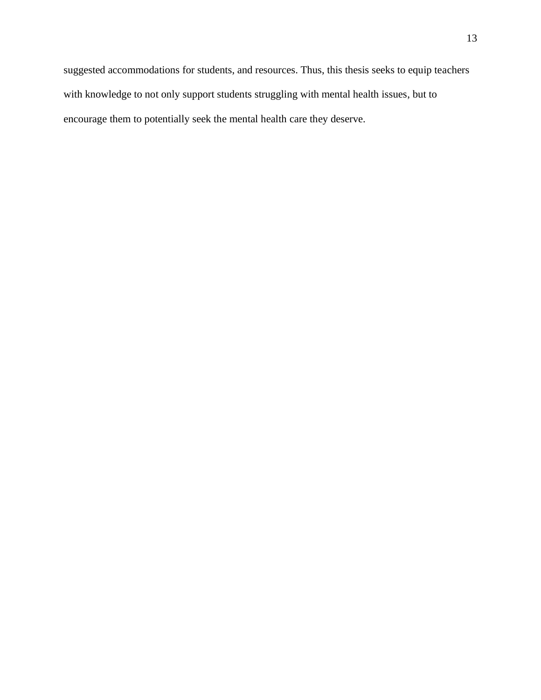suggested accommodations for students, and resources. Thus, this thesis seeks to equip teachers with knowledge to not only support students struggling with mental health issues, but to encourage them to potentially seek the mental health care they deserve.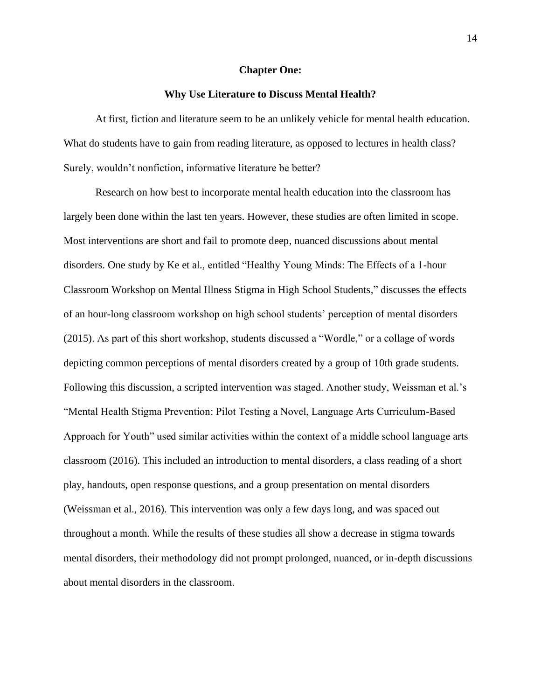#### **Chapter One:**

### **Why Use Literature to Discuss Mental Health?**

<span id="page-14-0"></span>At first, fiction and literature seem to be an unlikely vehicle for mental health education. What do students have to gain from reading literature, as opposed to lectures in health class? Surely, wouldn't nonfiction, informative literature be better?

Research on how best to incorporate mental health education into the classroom has largely been done within the last ten years. However, these studies are often limited in scope. Most interventions are short and fail to promote deep, nuanced discussions about mental disorders. One study by Ke et al., entitled "Healthy Young Minds: The Effects of a 1-hour Classroom Workshop on Mental Illness Stigma in High School Students," discusses the effects of an hour-long classroom workshop on high school students' perception of mental disorders (2015). As part of this short workshop, students discussed a "Wordle," or a collage of words depicting common perceptions of mental disorders created by a group of 10th grade students. Following this discussion, a scripted intervention was staged. Another study, Weissman et al.'s "Mental Health Stigma Prevention: Pilot Testing a Novel, Language Arts Curriculum-Based Approach for Youth" used similar activities within the context of a middle school language arts classroom (2016). This included an introduction to mental disorders, a class reading of a short play, handouts, open response questions, and a group presentation on mental disorders (Weissman et al., 2016). This intervention was only a few days long, and was spaced out throughout a month. While the results of these studies all show a decrease in stigma towards mental disorders, their methodology did not prompt prolonged, nuanced, or in-depth discussions about mental disorders in the classroom.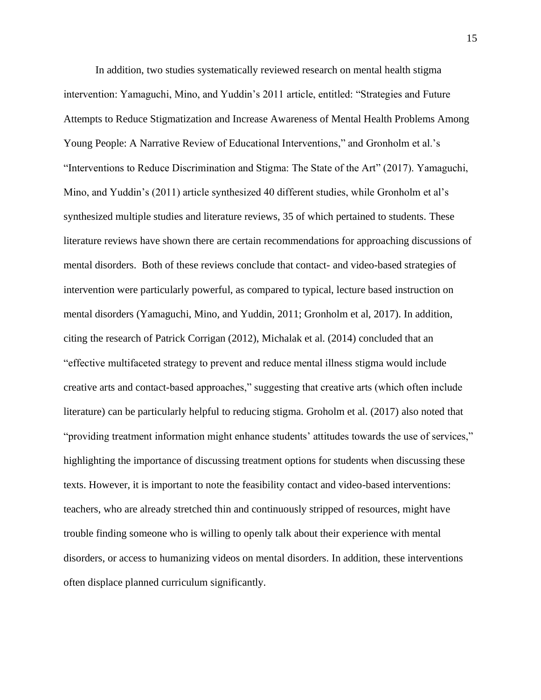In addition, two studies systematically reviewed research on mental health stigma intervention: Yamaguchi, Mino, and Yuddin's 2011 article, entitled: "Strategies and Future Attempts to Reduce Stigmatization and Increase Awareness of Mental Health Problems Among Young People: A Narrative Review of Educational Interventions," and Gronholm et al.'s "Interventions to Reduce Discrimination and Stigma: The State of the Art" (2017). Yamaguchi, Mino, and Yuddin's (2011) article synthesized 40 different studies, while Gronholm et al's synthesized multiple studies and literature reviews, 35 of which pertained to students. These literature reviews have shown there are certain recommendations for approaching discussions of mental disorders. Both of these reviews conclude that contact- and video-based strategies of intervention were particularly powerful, as compared to typical, lecture based instruction on mental disorders (Yamaguchi, Mino, and Yuddin, 2011; Gronholm et al, 2017). In addition, citing the research of Patrick Corrigan (2012), Michalak et al. (2014) concluded that an "effective multifaceted strategy to prevent and reduce mental illness stigma would include creative arts and contact-based approaches," suggesting that creative arts (which often include literature) can be particularly helpful to reducing stigma. Groholm et al. (2017) also noted that "providing treatment information might enhance students' attitudes towards the use of services," highlighting the importance of discussing treatment options for students when discussing these texts. However, it is important to note the feasibility contact and video-based interventions: teachers, who are already stretched thin and continuously stripped of resources, might have trouble finding someone who is willing to openly talk about their experience with mental disorders, or access to humanizing videos on mental disorders. In addition, these interventions often displace planned curriculum significantly.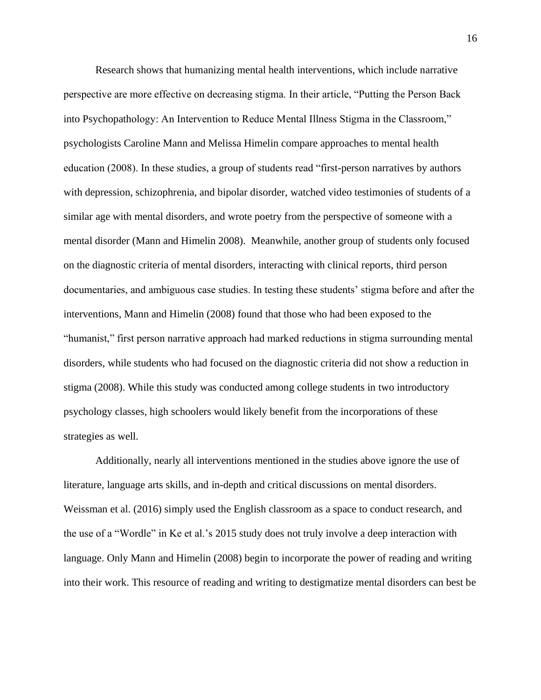Research shows that humanizing mental health interventions, which include narrative perspective are more effective on decreasing stigma. In their article, "Putting the Person Back into Psychopathology: An Intervention to Reduce Mental Illness Stigma in the Classroom," psychologists Caroline Mann and Melissa Himelin compare approaches to mental health education (2008). In these studies, a group of students read "first-person narratives by authors with depression, schizophrenia, and bipolar disorder, watched video testimonies of students of a similar age with mental disorders, and wrote poetry from the perspective of someone with a mental disorder (Mann and Himelin 2008). Meanwhile, another group of students only focused on the diagnostic criteria of mental disorders, interacting with clinical reports, third person documentaries, and ambiguous case studies. In testing these students' stigma before and after the interventions, Mann and Himelin (2008) found that those who had been exposed to the "humanist," first person narrative approach had marked reductions in stigma surrounding mental disorders, while students who had focused on the diagnostic criteria did not show a reduction in stigma (2008). While this study was conducted among college students in two introductory psychology classes, high schoolers would likely benefit from the incorporations of these strategies as well.

Additionally, nearly all interventions mentioned in the studies above ignore the use of literature, language arts skills, and in-depth and critical discussions on mental disorders. Weissman et al. (2016) simply used the English classroom as a space to conduct research, and the use of a "Wordle" in Ke et al.'s 2015 study does not truly involve a deep interaction with language. Only Mann and Himelin (2008) begin to incorporate the power of reading and writing into their work. This resource of reading and writing to destigmatize mental disorders can best be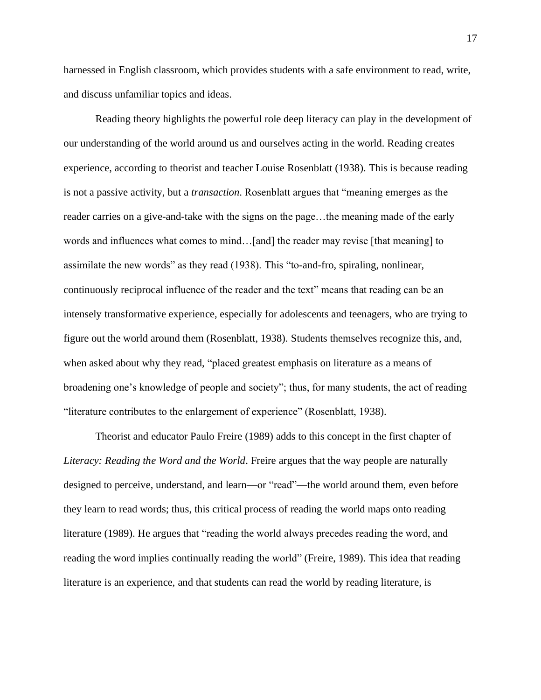harnessed in English classroom, which provides students with a safe environment to read, write, and discuss unfamiliar topics and ideas.

Reading theory highlights the powerful role deep literacy can play in the development of our understanding of the world around us and ourselves acting in the world. Reading creates experience, according to theorist and teacher Louise Rosenblatt (1938). This is because reading is not a passive activity, but a *transaction*. Rosenblatt argues that "meaning emerges as the reader carries on a give-and-take with the signs on the page...the meaning made of the early words and influences what comes to mind...[and] the reader may revise [that meaning] to assimilate the new words" as they read (1938). This "to-and-fro, spiraling, nonlinear, continuously reciprocal influence of the reader and the text" means that reading can be an intensely transformative experience, especially for adolescents and teenagers, who are trying to figure out the world around them (Rosenblatt, 1938). Students themselves recognize this, and, when asked about why they read, "placed greatest emphasis on literature as a means of broadening one's knowledge of people and society"; thus, for many students, the act of reading "literature contributes to the enlargement of experience" (Rosenblatt, 1938).

Theorist and educator Paulo Freire (1989) adds to this concept in the first chapter of *Literacy: Reading the Word and the World*. Freire argues that the way people are naturally designed to perceive, understand, and learn—or "read"—the world around them, even before they learn to read words; thus, this critical process of reading the world maps onto reading literature (1989). He argues that "reading the world always precedes reading the word, and reading the word implies continually reading the world" (Freire, 1989). This idea that reading literature is an experience, and that students can read the world by reading literature, is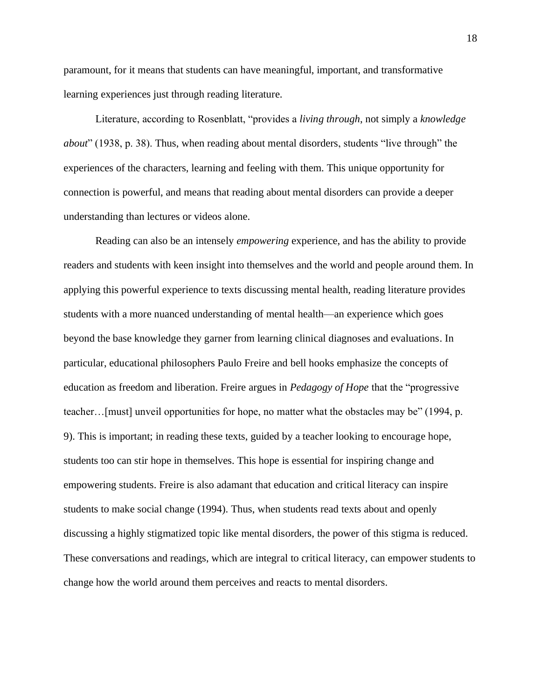paramount, for it means that students can have meaningful, important, and transformative learning experiences just through reading literature.

Literature, according to Rosenblatt, "provides a *living through*, not simply a *knowledge about*" (1938, p. 38). Thus, when reading about mental disorders, students "live through" the experiences of the characters, learning and feeling with them. This unique opportunity for connection is powerful, and means that reading about mental disorders can provide a deeper understanding than lectures or videos alone.

Reading can also be an intensely *empowering* experience, and has the ability to provide readers and students with keen insight into themselves and the world and people around them. In applying this powerful experience to texts discussing mental health, reading literature provides students with a more nuanced understanding of mental health—an experience which goes beyond the base knowledge they garner from learning clinical diagnoses and evaluations. In particular, educational philosophers Paulo Freire and bell hooks emphasize the concepts of education as freedom and liberation. Freire argues in *Pedagogy of Hope* that the "progressive teacher…[must] unveil opportunities for hope, no matter what the obstacles may be" (1994, p. 9). This is important; in reading these texts, guided by a teacher looking to encourage hope, students too can stir hope in themselves. This hope is essential for inspiring change and empowering students. Freire is also adamant that education and critical literacy can inspire students to make social change (1994). Thus, when students read texts about and openly discussing a highly stigmatized topic like mental disorders, the power of this stigma is reduced. These conversations and readings, which are integral to critical literacy, can empower students to change how the world around them perceives and reacts to mental disorders.

18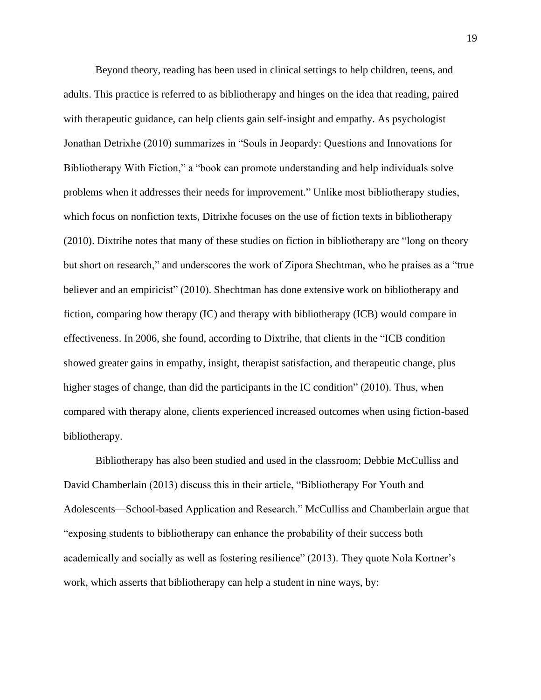Beyond theory, reading has been used in clinical settings to help children, teens, and adults. This practice is referred to as bibliotherapy and hinges on the idea that reading, paired with therapeutic guidance, can help clients gain self-insight and empathy. As psychologist Jonathan Detrixhe (2010) summarizes in "Souls in Jeopardy: Questions and Innovations for Bibliotherapy With Fiction," a "book can promote understanding and help individuals solve problems when it addresses their needs for improvement." Unlike most bibliotherapy studies, which focus on nonfiction texts, Ditrixhe focuses on the use of fiction texts in bibliotherapy (2010). Dixtrihe notes that many of these studies on fiction in bibliotherapy are "long on theory but short on research," and underscores the work of Zipora Shechtman, who he praises as a "true believer and an empiricist" (2010). Shechtman has done extensive work on bibliotherapy and fiction, comparing how therapy (IC) and therapy with bibliotherapy (ICB) would compare in effectiveness. In 2006, she found, according to Dixtrihe, that clients in the "ICB condition showed greater gains in empathy, insight, therapist satisfaction, and therapeutic change, plus higher stages of change, than did the participants in the IC condition" (2010). Thus, when compared with therapy alone, clients experienced increased outcomes when using fiction-based bibliotherapy.

Bibliotherapy has also been studied and used in the classroom; Debbie McCulliss and David Chamberlain (2013) discuss this in their article, "Bibliotherapy For Youth and Adolescents—School-based Application and Research." McCulliss and Chamberlain argue that "exposing students to bibliotherapy can enhance the probability of their success both academically and socially as well as fostering resilience" (2013). They quote Nola Kortner's work, which asserts that bibliotherapy can help a student in nine ways, by: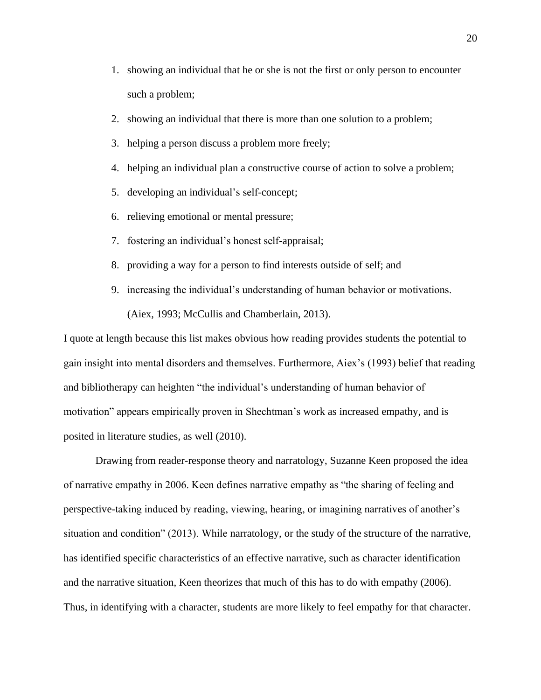- 1. showing an individual that he or she is not the first or only person to encounter such a problem;
- 2. showing an individual that there is more than one solution to a problem;
- 3. helping a person discuss a problem more freely;
- 4. helping an individual plan a constructive course of action to solve a problem;
- 5. developing an individual's self-concept;
- 6. relieving emotional or mental pressure;
- 7. fostering an individual's honest self-appraisal;
- 8. providing a way for a person to find interests outside of self; and
- 9. increasing the individual's understanding of human behavior or motivations. (Aiex, 1993; McCullis and Chamberlain, 2013).

I quote at length because this list makes obvious how reading provides students the potential to gain insight into mental disorders and themselves. Furthermore, Aiex's (1993) belief that reading and bibliotherapy can heighten "the individual's understanding of human behavior of motivation" appears empirically proven in Shechtman's work as increased empathy, and is posited in literature studies, as well (2010).

Drawing from reader-response theory and narratology, Suzanne Keen proposed the idea of narrative empathy in 2006. Keen defines narrative empathy as "the sharing of feeling and perspective-taking induced by reading, viewing, hearing, or imagining narratives of another's situation and condition" (2013). While narratology, or the study of the structure of the narrative, has identified specific characteristics of an effective narrative, such as character identification and the narrative situation, Keen theorizes that much of this has to do with empathy (2006). Thus, in identifying with a character, students are more likely to feel empathy for that character.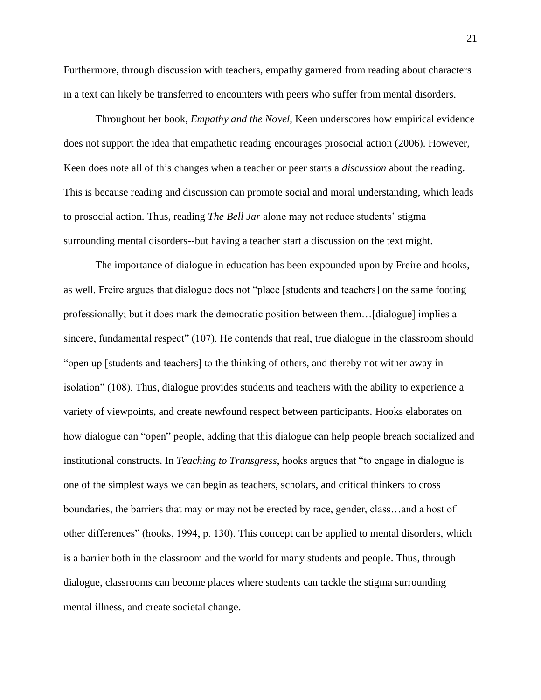Furthermore, through discussion with teachers, empathy garnered from reading about characters in a text can likely be transferred to encounters with peers who suffer from mental disorders.

Throughout her book, *Empathy and the Novel*, Keen underscores how empirical evidence does not support the idea that empathetic reading encourages prosocial action (2006). However, Keen does note all of this changes when a teacher or peer starts a *discussion* about the reading. This is because reading and discussion can promote social and moral understanding, which leads to prosocial action. Thus, reading *The Bell Jar* alone may not reduce students' stigma surrounding mental disorders--but having a teacher start a discussion on the text might.

The importance of dialogue in education has been expounded upon by Freire and hooks, as well. Freire argues that dialogue does not "place [students and teachers] on the same footing professionally; but it does mark the democratic position between them…[dialogue] implies a sincere, fundamental respect" (107). He contends that real, true dialogue in the classroom should "open up [students and teachers] to the thinking of others, and thereby not wither away in isolation" (108). Thus, dialogue provides students and teachers with the ability to experience a variety of viewpoints, and create newfound respect between participants. Hooks elaborates on how dialogue can "open" people, adding that this dialogue can help people breach socialized and institutional constructs. In *Teaching to Transgress*, hooks argues that "to engage in dialogue is one of the simplest ways we can begin as teachers, scholars, and critical thinkers to cross boundaries, the barriers that may or may not be erected by race, gender, class…and a host of other differences" (hooks, 1994, p. 130). This concept can be applied to mental disorders, which is a barrier both in the classroom and the world for many students and people. Thus, through dialogue, classrooms can become places where students can tackle the stigma surrounding mental illness, and create societal change.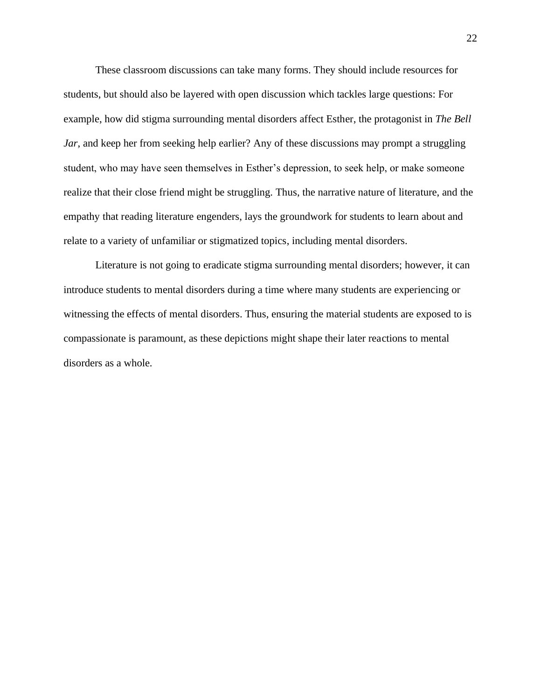These classroom discussions can take many forms. They should include resources for students, but should also be layered with open discussion which tackles large questions: For example, how did stigma surrounding mental disorders affect Esther, the protagonist in *The Bell Jar*, and keep her from seeking help earlier? Any of these discussions may prompt a struggling student, who may have seen themselves in Esther's depression, to seek help, or make someone realize that their close friend might be struggling. Thus, the narrative nature of literature, and the empathy that reading literature engenders, lays the groundwork for students to learn about and relate to a variety of unfamiliar or stigmatized topics, including mental disorders.

Literature is not going to eradicate stigma surrounding mental disorders; however, it can introduce students to mental disorders during a time where many students are experiencing or witnessing the effects of mental disorders. Thus, ensuring the material students are exposed to is compassionate is paramount, as these depictions might shape their later reactions to mental disorders as a whole.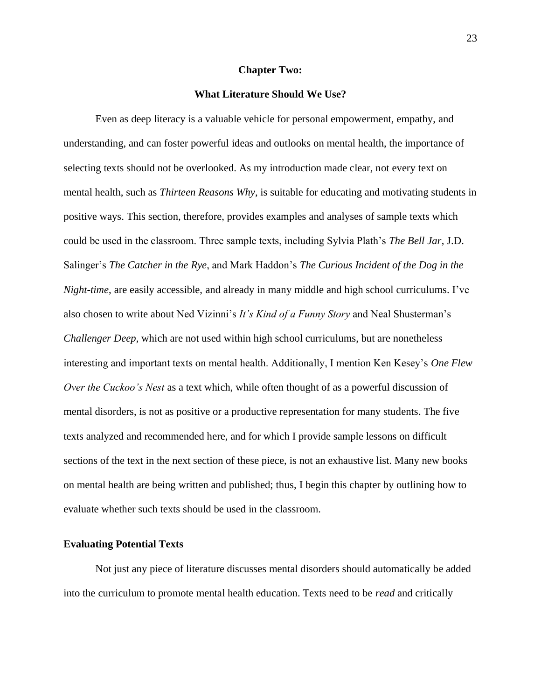#### **Chapter Two:**

### **What Literature Should We Use?**

<span id="page-23-0"></span>Even as deep literacy is a valuable vehicle for personal empowerment, empathy, and understanding, and can foster powerful ideas and outlooks on mental health, the importance of selecting texts should not be overlooked. As my introduction made clear, not every text on mental health, such as *Thirteen Reasons Why*, is suitable for educating and motivating students in positive ways. This section, therefore, provides examples and analyses of sample texts which could be used in the classroom. Three sample texts, including Sylvia Plath's *The Bell Jar*, J.D. Salinger's *The Catcher in the Rye*, and Mark Haddon's *The Curious Incident of the Dog in the Night-time*, are easily accessible, and already in many middle and high school curriculums. I've also chosen to write about Ned Vizinni's *It's Kind of a Funny Story* and Neal Shusterman's *Challenger Deep*, which are not used within high school curriculums, but are nonetheless interesting and important texts on mental health. Additionally, I mention Ken Kesey's *One Flew Over the Cuckoo's Nest* as a text which, while often thought of as a powerful discussion of mental disorders, is not as positive or a productive representation for many students. The five texts analyzed and recommended here, and for which I provide sample lessons on difficult sections of the text in the next section of these piece, is not an exhaustive list. Many new books on mental health are being written and published; thus, I begin this chapter by outlining how to evaluate whether such texts should be used in the classroom.

# <span id="page-23-1"></span>**Evaluating Potential Texts**

Not just any piece of literature discusses mental disorders should automatically be added into the curriculum to promote mental health education. Texts need to be *read* and critically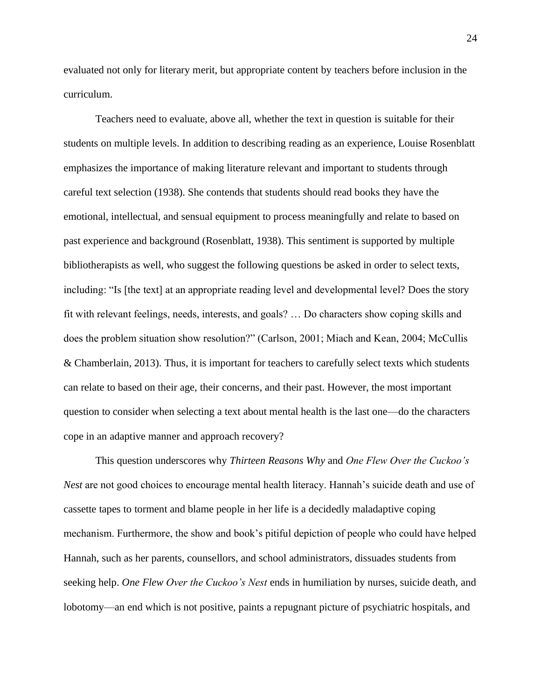evaluated not only for literary merit, but appropriate content by teachers before inclusion in the curriculum.

Teachers need to evaluate, above all, whether the text in question is suitable for their students on multiple levels. In addition to describing reading as an experience, Louise Rosenblatt emphasizes the importance of making literature relevant and important to students through careful text selection (1938). She contends that students should read books they have the emotional, intellectual, and sensual equipment to process meaningfully and relate to based on past experience and background (Rosenblatt, 1938). This sentiment is supported by multiple bibliotherapists as well, who suggest the following questions be asked in order to select texts, including: "Is [the text] at an appropriate reading level and developmental level? Does the story fit with relevant feelings, needs, interests, and goals? … Do characters show coping skills and does the problem situation show resolution?" (Carlson, 2001; Miach and Kean, 2004; McCullis & Chamberlain, 2013). Thus, it is important for teachers to carefully select texts which students can relate to based on their age, their concerns, and their past. However, the most important question to consider when selecting a text about mental health is the last one—do the characters cope in an adaptive manner and approach recovery?

This question underscores why *Thirteen Reasons Why* and *One Flew Over the Cuckoo's Nest* are not good choices to encourage mental health literacy. Hannah's suicide death and use of cassette tapes to torment and blame people in her life is a decidedly maladaptive coping mechanism. Furthermore, the show and book's pitiful depiction of people who could have helped Hannah, such as her parents, counsellors, and school administrators, dissuades students from seeking help. *One Flew Over the Cuckoo's Nest* ends in humiliation by nurses, suicide death, and lobotomy—an end which is not positive, paints a repugnant picture of psychiatric hospitals, and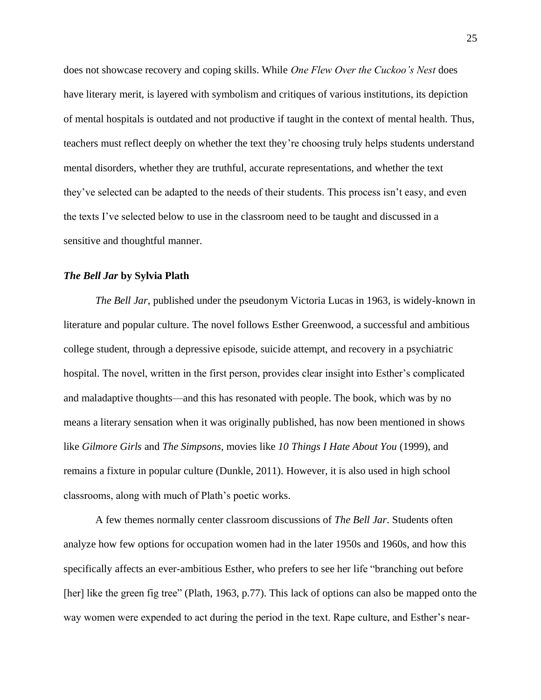does not showcase recovery and coping skills. While *One Flew Over the Cuckoo's Nest* does have literary merit, is layered with symbolism and critiques of various institutions, its depiction of mental hospitals is outdated and not productive if taught in the context of mental health. Thus, teachers must reflect deeply on whether the text they're choosing truly helps students understand mental disorders, whether they are truthful, accurate representations, and whether the text they've selected can be adapted to the needs of their students. This process isn't easy, and even the texts I've selected below to use in the classroom need to be taught and discussed in a sensitive and thoughtful manner.

#### <span id="page-25-0"></span>*The Bell Jar* **by Sylvia Plath**

*The Bell Jar*, published under the pseudonym Victoria Lucas in 1963, is widely-known in literature and popular culture. The novel follows Esther Greenwood, a successful and ambitious college student, through a depressive episode, suicide attempt, and recovery in a psychiatric hospital. The novel, written in the first person, provides clear insight into Esther's complicated and maladaptive thoughts—and this has resonated with people. The book, which was by no means a literary sensation when it was originally published, has now been mentioned in shows like *Gilmore Girls* and *The Simpsons*, movies like *10 Things I Hate About You* (1999), and remains a fixture in popular culture (Dunkle, 2011). However, it is also used in high school classrooms, along with much of Plath's poetic works.

A few themes normally center classroom discussions of *The Bell Jar*. Students often analyze how few options for occupation women had in the later 1950s and 1960s, and how this specifically affects an ever-ambitious Esther, who prefers to see her life "branching out before [her] like the green fig tree" (Plath, 1963, p.77). This lack of options can also be mapped onto the way women were expended to act during the period in the text. Rape culture, and Esther's near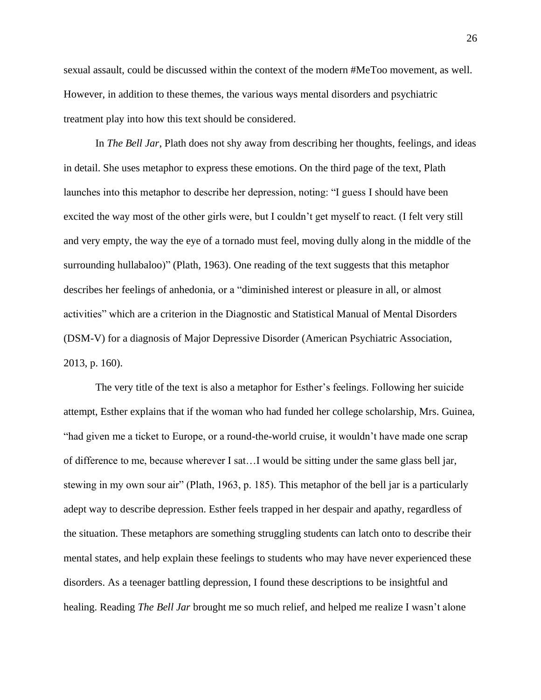sexual assault, could be discussed within the context of the modern #MeToo movement, as well. However, in addition to these themes, the various ways mental disorders and psychiatric treatment play into how this text should be considered.

In *The Bell Jar*, Plath does not shy away from describing her thoughts, feelings, and ideas in detail. She uses metaphor to express these emotions. On the third page of the text, Plath launches into this metaphor to describe her depression, noting: "I guess I should have been excited the way most of the other girls were, but I couldn't get myself to react. (I felt very still and very empty, the way the eye of a tornado must feel, moving dully along in the middle of the surrounding hullabaloo)" (Plath, 1963). One reading of the text suggests that this metaphor describes her feelings of anhedonia, or a "diminished interest or pleasure in all, or almost activities" which are a criterion in the Diagnostic and Statistical Manual of Mental Disorders (DSM-V) for a diagnosis of Major Depressive Disorder (American Psychiatric Association, 2013, p. 160).

The very title of the text is also a metaphor for Esther's feelings. Following her suicide attempt, Esther explains that if the woman who had funded her college scholarship, Mrs. Guinea, "had given me a ticket to Europe, or a round-the-world cruise, it wouldn't have made one scrap of difference to me, because wherever I sat…I would be sitting under the same glass bell jar, stewing in my own sour air" (Plath, 1963, p. 185). This metaphor of the bell jar is a particularly adept way to describe depression. Esther feels trapped in her despair and apathy, regardless of the situation. These metaphors are something struggling students can latch onto to describe their mental states, and help explain these feelings to students who may have never experienced these disorders. As a teenager battling depression, I found these descriptions to be insightful and healing. Reading *The Bell Jar* brought me so much relief, and helped me realize I wasn't alone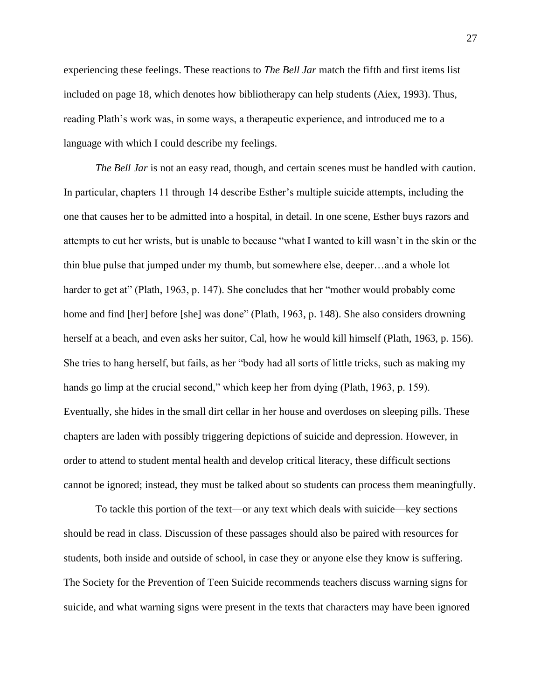experiencing these feelings. These reactions to *The Bell Jar* match the fifth and first items list included on page 18, which denotes how bibliotherapy can help students (Aiex, 1993). Thus, reading Plath's work was, in some ways, a therapeutic experience, and introduced me to a language with which I could describe my feelings.

*The Bell Jar* is not an easy read, though, and certain scenes must be handled with caution. In particular, chapters 11 through 14 describe Esther's multiple suicide attempts, including the one that causes her to be admitted into a hospital, in detail. In one scene, Esther buys razors and attempts to cut her wrists, but is unable to because "what I wanted to kill wasn't in the skin or the thin blue pulse that jumped under my thumb, but somewhere else, deeper…and a whole lot harder to get at" (Plath, 1963, p. 147). She concludes that her "mother would probably come home and find [her] before [she] was done" (Plath, 1963, p. 148). She also considers drowning herself at a beach, and even asks her suitor, Cal, how he would kill himself (Plath, 1963, p. 156). She tries to hang herself, but fails, as her "body had all sorts of little tricks, such as making my hands go limp at the crucial second," which keep her from dying (Plath, 1963, p. 159). Eventually, she hides in the small dirt cellar in her house and overdoses on sleeping pills. These chapters are laden with possibly triggering depictions of suicide and depression. However, in order to attend to student mental health and develop critical literacy, these difficult sections cannot be ignored; instead, they must be talked about so students can process them meaningfully.

To tackle this portion of the text—or any text which deals with suicide—key sections should be read in class. Discussion of these passages should also be paired with resources for students, both inside and outside of school, in case they or anyone else they know is suffering. The Society for the Prevention of Teen Suicide recommends teachers discuss warning signs for suicide, and what warning signs were present in the texts that characters may have been ignored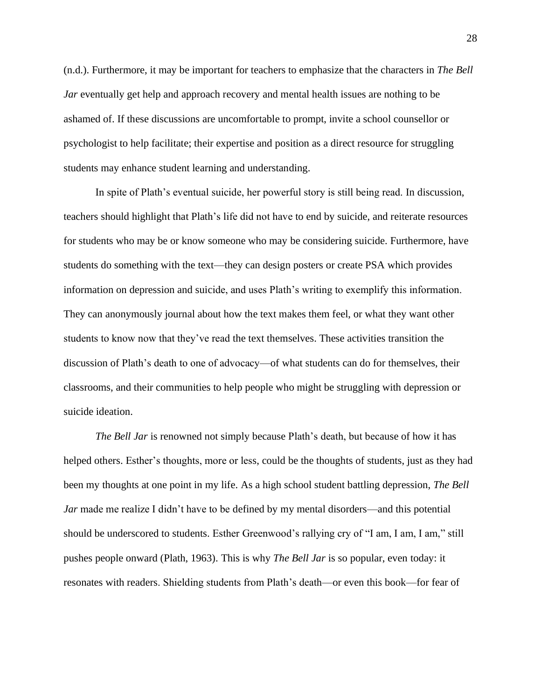(n.d.). Furthermore, it may be important for teachers to emphasize that the characters in *The Bell Jar* eventually get help and approach recovery and mental health issues are nothing to be ashamed of. If these discussions are uncomfortable to prompt, invite a school counsellor or psychologist to help facilitate; their expertise and position as a direct resource for struggling students may enhance student learning and understanding.

In spite of Plath's eventual suicide, her powerful story is still being read. In discussion, teachers should highlight that Plath's life did not have to end by suicide, and reiterate resources for students who may be or know someone who may be considering suicide. Furthermore, have students do something with the text—they can design posters or create PSA which provides information on depression and suicide, and uses Plath's writing to exemplify this information. They can anonymously journal about how the text makes them feel, or what they want other students to know now that they've read the text themselves. These activities transition the discussion of Plath's death to one of advocacy—of what students can do for themselves, their classrooms, and their communities to help people who might be struggling with depression or suicide ideation.

*The Bell Jar* is renowned not simply because Plath's death, but because of how it has helped others. Esther's thoughts, more or less, could be the thoughts of students, just as they had been my thoughts at one point in my life. As a high school student battling depression, *The Bell Jar* made me realize I didn't have to be defined by my mental disorders—and this potential should be underscored to students. Esther Greenwood's rallying cry of "I am, I am, I am," still pushes people onward (Plath, 1963). This is why *The Bell Jar* is so popular, even today: it resonates with readers. Shielding students from Plath's death—or even this book—for fear of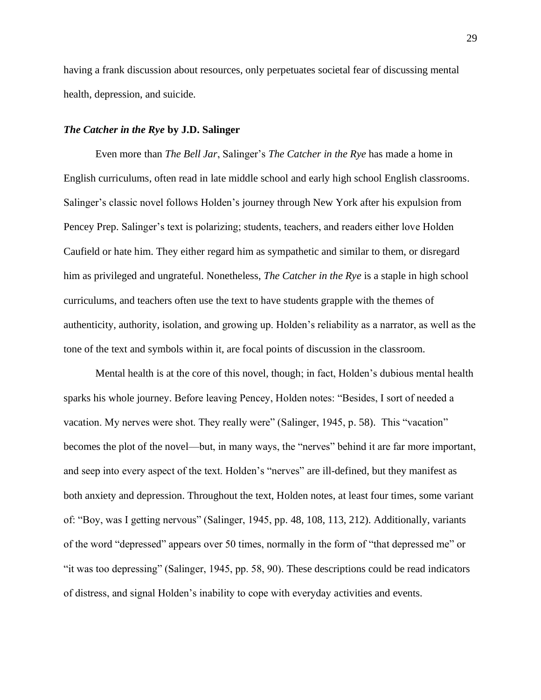having a frank discussion about resources, only perpetuates societal fear of discussing mental health, depression, and suicide.

# <span id="page-29-0"></span>*The Catcher in the Rye* **by J.D. Salinger**

Even more than *The Bell Jar*, Salinger's *The Catcher in the Rye* has made a home in English curriculums, often read in late middle school and early high school English classrooms. Salinger's classic novel follows Holden's journey through New York after his expulsion from Pencey Prep. Salinger's text is polarizing; students, teachers, and readers either love Holden Caufield or hate him. They either regard him as sympathetic and similar to them, or disregard him as privileged and ungrateful. Nonetheless, *The Catcher in the Rye* is a staple in high school curriculums, and teachers often use the text to have students grapple with the themes of authenticity, authority, isolation, and growing up. Holden's reliability as a narrator, as well as the tone of the text and symbols within it, are focal points of discussion in the classroom.

Mental health is at the core of this novel, though; in fact, Holden's dubious mental health sparks his whole journey. Before leaving Pencey, Holden notes: "Besides, I sort of needed a vacation. My nerves were shot. They really were" (Salinger, 1945, p. 58). This "vacation" becomes the plot of the novel—but, in many ways, the "nerves" behind it are far more important, and seep into every aspect of the text. Holden's "nerves" are ill-defined, but they manifest as both anxiety and depression. Throughout the text, Holden notes, at least four times, some variant of: "Boy, was I getting nervous" (Salinger, 1945, pp. 48, 108, 113, 212). Additionally, variants of the word "depressed" appears over 50 times, normally in the form of "that depressed me" or "it was too depressing" (Salinger, 1945, pp. 58, 90). These descriptions could be read indicators of distress, and signal Holden's inability to cope with everyday activities and events.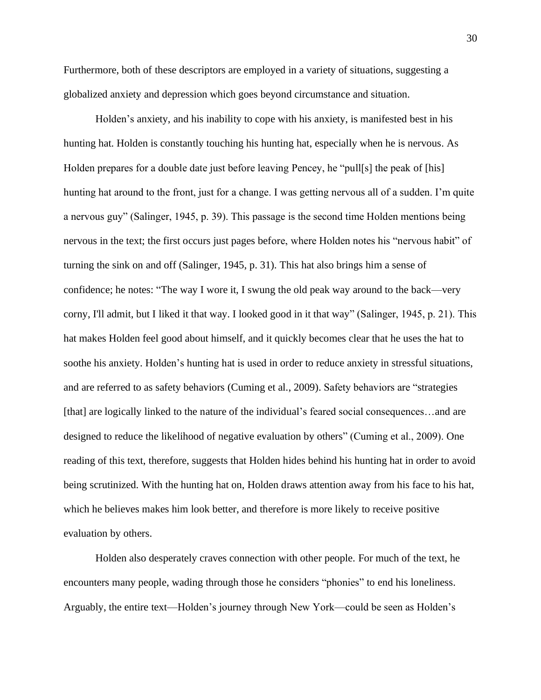Furthermore, both of these descriptors are employed in a variety of situations, suggesting a globalized anxiety and depression which goes beyond circumstance and situation.

Holden's anxiety, and his inability to cope with his anxiety, is manifested best in his hunting hat. Holden is constantly touching his hunting hat, especially when he is nervous. As Holden prepares for a double date just before leaving Pencey, he "pull[s] the peak of [his] hunting hat around to the front, just for a change. I was getting nervous all of a sudden. I'm quite a nervous guy" (Salinger, 1945, p. 39). This passage is the second time Holden mentions being nervous in the text; the first occurs just pages before, where Holden notes his "nervous habit" of turning the sink on and off (Salinger, 1945, p. 31). This hat also brings him a sense of confidence; he notes: "The way I wore it, I swung the old peak way around to the back—very corny, I'll admit, but I liked it that way. I looked good in it that way" (Salinger, 1945, p. 21). This hat makes Holden feel good about himself, and it quickly becomes clear that he uses the hat to soothe his anxiety. Holden's hunting hat is used in order to reduce anxiety in stressful situations, and are referred to as safety behaviors (Cuming et al., 2009). Safety behaviors are "strategies [that] are logically linked to the nature of the individual's feared social consequences…and are designed to reduce the likelihood of negative evaluation by others" (Cuming et al., 2009). One reading of this text, therefore, suggests that Holden hides behind his hunting hat in order to avoid being scrutinized. With the hunting hat on, Holden draws attention away from his face to his hat, which he believes makes him look better, and therefore is more likely to receive positive evaluation by others.

Holden also desperately craves connection with other people. For much of the text, he encounters many people, wading through those he considers "phonies" to end his loneliness. Arguably, the entire text—Holden's journey through New York—could be seen as Holden's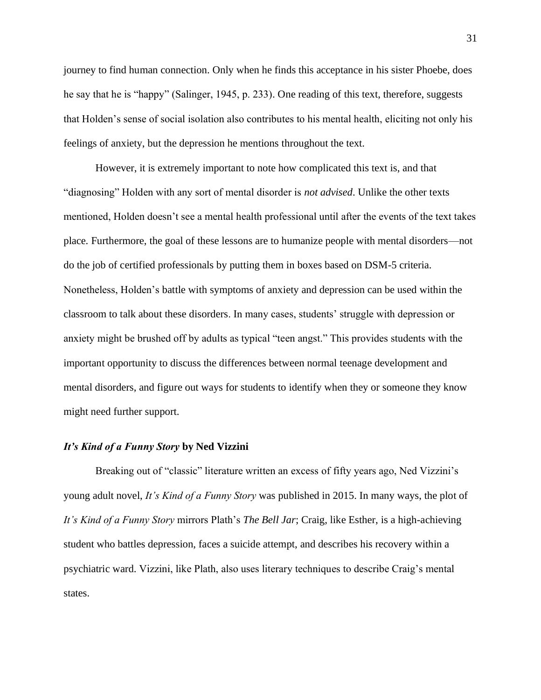journey to find human connection. Only when he finds this acceptance in his sister Phoebe, does he say that he is "happy" (Salinger, 1945, p. 233). One reading of this text, therefore, suggests that Holden's sense of social isolation also contributes to his mental health, eliciting not only his feelings of anxiety, but the depression he mentions throughout the text.

However, it is extremely important to note how complicated this text is, and that "diagnosing" Holden with any sort of mental disorder is *not advised*. Unlike the other texts mentioned, Holden doesn't see a mental health professional until after the events of the text takes place. Furthermore, the goal of these lessons are to humanize people with mental disorders—not do the job of certified professionals by putting them in boxes based on DSM-5 criteria. Nonetheless, Holden's battle with symptoms of anxiety and depression can be used within the classroom to talk about these disorders. In many cases, students' struggle with depression or anxiety might be brushed off by adults as typical "teen angst." This provides students with the important opportunity to discuss the differences between normal teenage development and mental disorders, and figure out ways for students to identify when they or someone they know might need further support.

# <span id="page-31-0"></span>*It's Kind of a Funny Story* **by Ned Vizzini**

Breaking out of "classic" literature written an excess of fifty years ago, Ned Vizzini's young adult novel, *It's Kind of a Funny Story* was published in 2015. In many ways, the plot of *It's Kind of a Funny Story* mirrors Plath's *The Bell Jar*; Craig, like Esther, is a high-achieving student who battles depression, faces a suicide attempt, and describes his recovery within a psychiatric ward. Vizzini, like Plath, also uses literary techniques to describe Craig's mental states.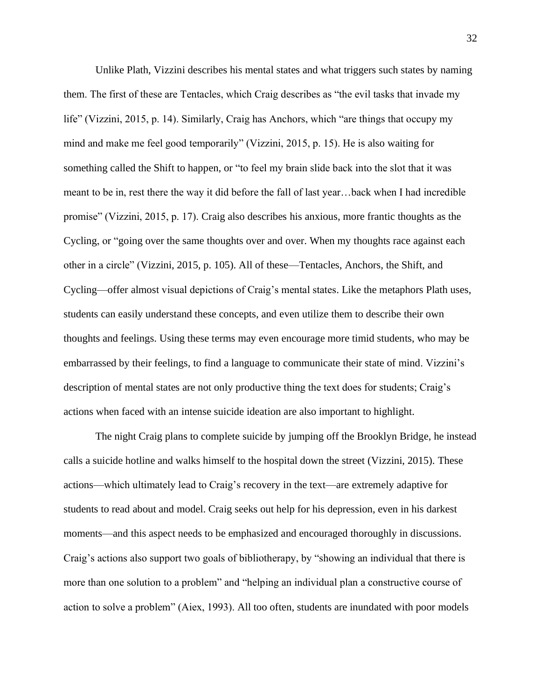Unlike Plath, Vizzini describes his mental states and what triggers such states by naming them. The first of these are Tentacles, which Craig describes as "the evil tasks that invade my life" (Vizzini, 2015, p. 14). Similarly, Craig has Anchors, which "are things that occupy my mind and make me feel good temporarily" (Vizzini, 2015, p. 15). He is also waiting for something called the Shift to happen, or "to feel my brain slide back into the slot that it was meant to be in, rest there the way it did before the fall of last year…back when I had incredible promise" (Vizzini, 2015, p. 17). Craig also describes his anxious, more frantic thoughts as the Cycling, or "going over the same thoughts over and over. When my thoughts race against each other in a circle" (Vizzini, 2015, p. 105). All of these—Tentacles, Anchors, the Shift, and Cycling—offer almost visual depictions of Craig's mental states. Like the metaphors Plath uses, students can easily understand these concepts, and even utilize them to describe their own thoughts and feelings. Using these terms may even encourage more timid students, who may be embarrassed by their feelings, to find a language to communicate their state of mind. Vizzini's description of mental states are not only productive thing the text does for students; Craig's actions when faced with an intense suicide ideation are also important to highlight.

The night Craig plans to complete suicide by jumping off the Brooklyn Bridge, he instead calls a suicide hotline and walks himself to the hospital down the street (Vizzini, 2015). These actions—which ultimately lead to Craig's recovery in the text—are extremely adaptive for students to read about and model. Craig seeks out help for his depression, even in his darkest moments—and this aspect needs to be emphasized and encouraged thoroughly in discussions. Craig's actions also support two goals of bibliotherapy, by "showing an individual that there is more than one solution to a problem" and "helping an individual plan a constructive course of action to solve a problem" (Aiex, 1993). All too often, students are inundated with poor models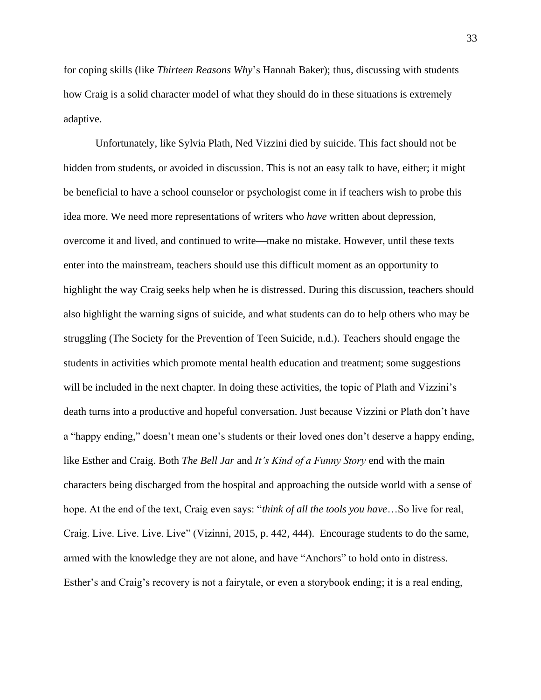for coping skills (like *Thirteen Reasons Why*'s Hannah Baker); thus, discussing with students how Craig is a solid character model of what they should do in these situations is extremely adaptive.

Unfortunately, like Sylvia Plath, Ned Vizzini died by suicide. This fact should not be hidden from students, or avoided in discussion. This is not an easy talk to have, either; it might be beneficial to have a school counselor or psychologist come in if teachers wish to probe this idea more. We need more representations of writers who *have* written about depression, overcome it and lived, and continued to write—make no mistake. However, until these texts enter into the mainstream, teachers should use this difficult moment as an opportunity to highlight the way Craig seeks help when he is distressed. During this discussion, teachers should also highlight the warning signs of suicide, and what students can do to help others who may be struggling (The Society for the Prevention of Teen Suicide, n.d.). Teachers should engage the students in activities which promote mental health education and treatment; some suggestions will be included in the next chapter. In doing these activities, the topic of Plath and Vizzini's death turns into a productive and hopeful conversation. Just because Vizzini or Plath don't have a "happy ending," doesn't mean one's students or their loved ones don't deserve a happy ending, like Esther and Craig. Both *The Bell Jar* and *It's Kind of a Funny Story* end with the main characters being discharged from the hospital and approaching the outside world with a sense of hope. At the end of the text, Craig even says: "*think of all the tools you have*…So live for real, Craig. Live. Live. Live. Live" (Vizinni, 2015, p. 442, 444). Encourage students to do the same, armed with the knowledge they are not alone, and have "Anchors" to hold onto in distress. Esther's and Craig's recovery is not a fairytale, or even a storybook ending; it is a real ending,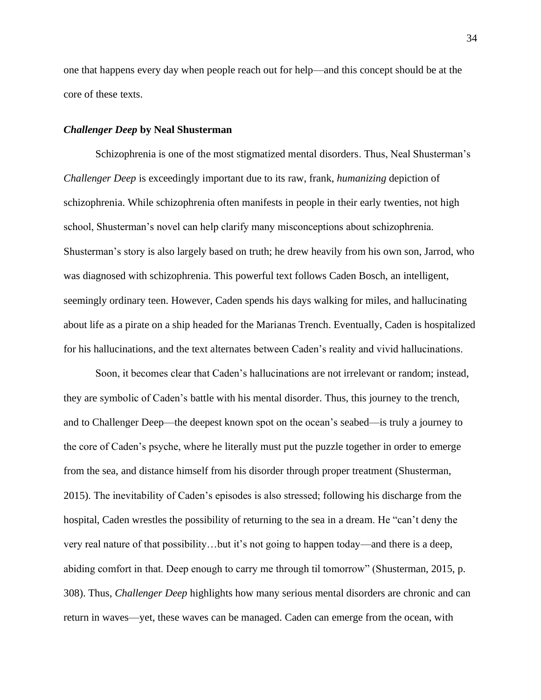one that happens every day when people reach out for help—and this concept should be at the core of these texts.

#### <span id="page-34-0"></span>*Challenger Deep* **by Neal Shusterman**

Schizophrenia is one of the most stigmatized mental disorders. Thus, Neal Shusterman's *Challenger Deep* is exceedingly important due to its raw, frank, *humanizing* depiction of schizophrenia. While schizophrenia often manifests in people in their early twenties, not high school, Shusterman's novel can help clarify many misconceptions about schizophrenia. Shusterman's story is also largely based on truth; he drew heavily from his own son, Jarrod, who was diagnosed with schizophrenia. This powerful text follows Caden Bosch, an intelligent, seemingly ordinary teen. However, Caden spends his days walking for miles, and hallucinating about life as a pirate on a ship headed for the Marianas Trench. Eventually, Caden is hospitalized for his hallucinations, and the text alternates between Caden's reality and vivid hallucinations.

Soon, it becomes clear that Caden's hallucinations are not irrelevant or random; instead, they are symbolic of Caden's battle with his mental disorder. Thus, this journey to the trench, and to Challenger Deep—the deepest known spot on the ocean's seabed—is truly a journey to the core of Caden's psyche, where he literally must put the puzzle together in order to emerge from the sea, and distance himself from his disorder through proper treatment (Shusterman, 2015). The inevitability of Caden's episodes is also stressed; following his discharge from the hospital, Caden wrestles the possibility of returning to the sea in a dream. He "can't deny the very real nature of that possibility…but it's not going to happen today—and there is a deep, abiding comfort in that. Deep enough to carry me through til tomorrow" (Shusterman, 2015, p. 308). Thus, *Challenger Deep* highlights how many serious mental disorders are chronic and can return in waves—yet, these waves can be managed. Caden can emerge from the ocean, with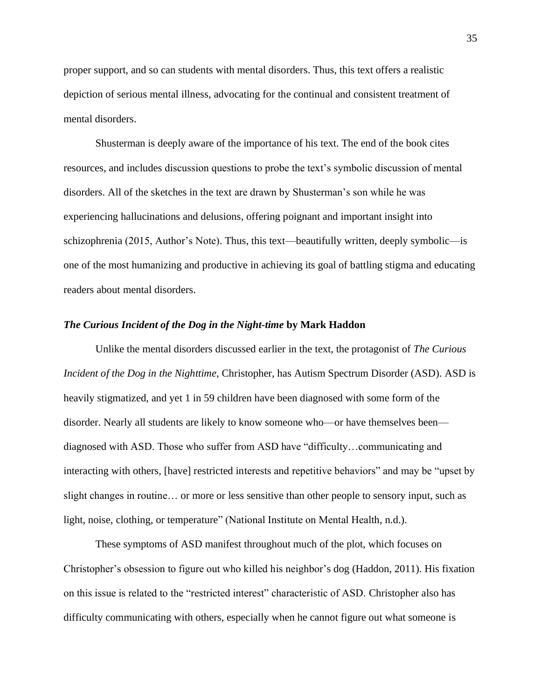proper support, and so can students with mental disorders. Thus, this text offers a realistic depiction of serious mental illness, advocating for the continual and consistent treatment of mental disorders.

Shusterman is deeply aware of the importance of his text. The end of the book cites resources, and includes discussion questions to probe the text's symbolic discussion of mental disorders. All of the sketches in the text are drawn by Shusterman's son while he was experiencing hallucinations and delusions, offering poignant and important insight into schizophrenia (2015, Author's Note). Thus, this text—beautifully written, deeply symbolic—is one of the most humanizing and productive in achieving its goal of battling stigma and educating readers about mental disorders.

#### <span id="page-35-0"></span>*The Curious Incident of the Dog in the Night-time* **by Mark Haddon**

Unlike the mental disorders discussed earlier in the text, the protagonist of *The Curious Incident of the Dog in the Nighttime*, Christopher, has Autism Spectrum Disorder (ASD). ASD is heavily stigmatized, and yet 1 in 59 children have been diagnosed with some form of the disorder. Nearly all students are likely to know someone who—or have themselves been diagnosed with ASD. Those who suffer from ASD have "difficulty…communicating and interacting with others, [have] restricted interests and repetitive behaviors" and may be "upset by slight changes in routine… or more or less sensitive than other people to sensory input, such as light, noise, clothing, or temperature" (National Institute on Mental Health, n.d.).

These symptoms of ASD manifest throughout much of the plot, which focuses on Christopher's obsession to figure out who killed his neighbor's dog (Haddon, 2011). His fixation on this issue is related to the "restricted interest" characteristic of ASD. Christopher also has difficulty communicating with others, especially when he cannot figure out what someone is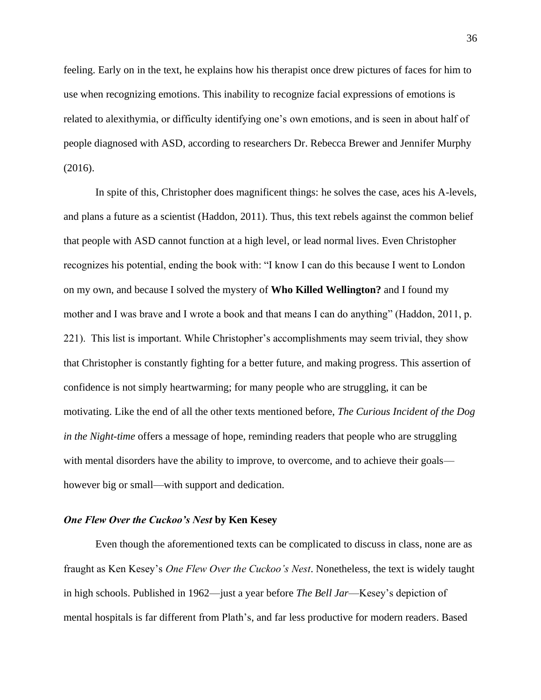feeling. Early on in the text, he explains how his therapist once drew pictures of faces for him to use when recognizing emotions. This inability to recognize facial expressions of emotions is related to alexithymia, or difficulty identifying one's own emotions, and is seen in about half of people diagnosed with ASD, according to researchers Dr. Rebecca Brewer and Jennifer Murphy (2016).

In spite of this, Christopher does magnificent things: he solves the case, aces his A-levels, and plans a future as a scientist (Haddon, 2011). Thus, this text rebels against the common belief that people with ASD cannot function at a high level, or lead normal lives. Even Christopher recognizes his potential, ending the book with: "I know I can do this because I went to London on my own, and because I solved the mystery of **Who Killed Wellington?** and I found my mother and I was brave and I wrote a book and that means I can do anything" (Haddon, 2011, p. 221). This list is important. While Christopher's accomplishments may seem trivial, they show that Christopher is constantly fighting for a better future, and making progress. This assertion of confidence is not simply heartwarming; for many people who are struggling, it can be motivating. Like the end of all the other texts mentioned before, *The Curious Incident of the Dog in the Night-time* offers a message of hope, reminding readers that people who are struggling with mental disorders have the ability to improve, to overcome, and to achieve their goals however big or small—with support and dedication.

#### *One Flew Over the Cuckoo's Nest* **by Ken Kesey**

Even though the aforementioned texts can be complicated to discuss in class, none are as fraught as Ken Kesey's *One Flew Over the Cuckoo's Nest*. Nonetheless, the text is widely taught in high schools. Published in 1962—just a year before *The Bell Jar*—Kesey's depiction of mental hospitals is far different from Plath's, and far less productive for modern readers. Based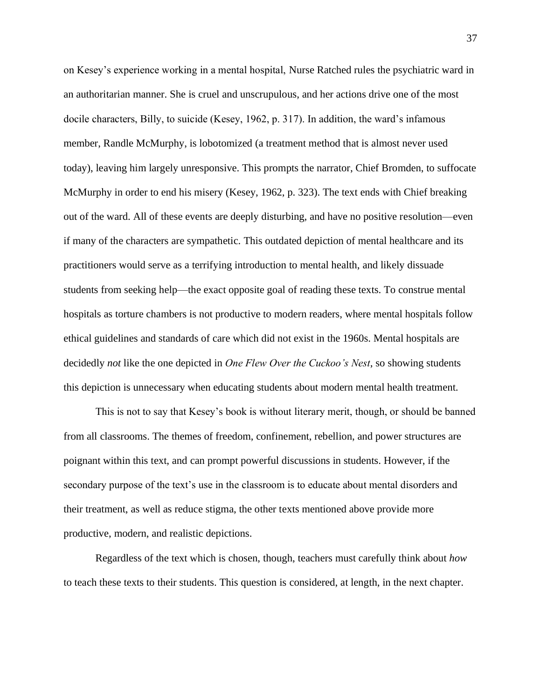on Kesey's experience working in a mental hospital, Nurse Ratched rules the psychiatric ward in an authoritarian manner. She is cruel and unscrupulous, and her actions drive one of the most docile characters, Billy, to suicide (Kesey, 1962, p. 317). In addition, the ward's infamous member, Randle McMurphy, is lobotomized (a treatment method that is almost never used today), leaving him largely unresponsive. This prompts the narrator, Chief Bromden, to suffocate McMurphy in order to end his misery (Kesey, 1962, p. 323). The text ends with Chief breaking out of the ward. All of these events are deeply disturbing, and have no positive resolution—even if many of the characters are sympathetic. This outdated depiction of mental healthcare and its practitioners would serve as a terrifying introduction to mental health, and likely dissuade students from seeking help—the exact opposite goal of reading these texts. To construe mental hospitals as torture chambers is not productive to modern readers, where mental hospitals follow ethical guidelines and standards of care which did not exist in the 1960s. Mental hospitals are decidedly *not* like the one depicted in *One Flew Over the Cuckoo's Nest*, so showing students this depiction is unnecessary when educating students about modern mental health treatment.

This is not to say that Kesey's book is without literary merit, though, or should be banned from all classrooms. The themes of freedom, confinement, rebellion, and power structures are poignant within this text, and can prompt powerful discussions in students. However, if the secondary purpose of the text's use in the classroom is to educate about mental disorders and their treatment, as well as reduce stigma, the other texts mentioned above provide more productive, modern, and realistic depictions.

Regardless of the text which is chosen, though, teachers must carefully think about *how*  to teach these texts to their students. This question is considered, at length, in the next chapter.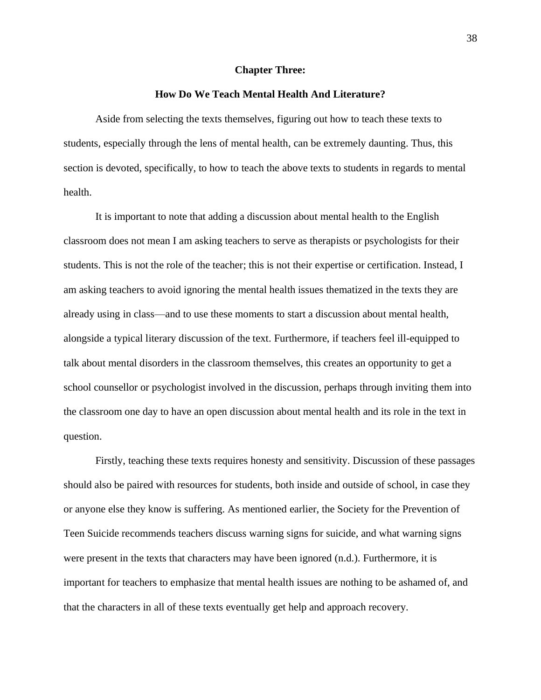#### **Chapter Three:**

#### **How Do We Teach Mental Health And Literature?**

Aside from selecting the texts themselves, figuring out how to teach these texts to students, especially through the lens of mental health, can be extremely daunting. Thus, this section is devoted, specifically, to how to teach the above texts to students in regards to mental health.

It is important to note that adding a discussion about mental health to the English classroom does not mean I am asking teachers to serve as therapists or psychologists for their students. This is not the role of the teacher; this is not their expertise or certification. Instead, I am asking teachers to avoid ignoring the mental health issues thematized in the texts they are already using in class—and to use these moments to start a discussion about mental health, alongside a typical literary discussion of the text. Furthermore, if teachers feel ill-equipped to talk about mental disorders in the classroom themselves, this creates an opportunity to get a school counsellor or psychologist involved in the discussion, perhaps through inviting them into the classroom one day to have an open discussion about mental health and its role in the text in question.

Firstly, teaching these texts requires honesty and sensitivity. Discussion of these passages should also be paired with resources for students, both inside and outside of school, in case they or anyone else they know is suffering. As mentioned earlier, the Society for the Prevention of Teen Suicide recommends teachers discuss warning signs for suicide, and what warning signs were present in the texts that characters may have been ignored (n.d.). Furthermore, it is important for teachers to emphasize that mental health issues are nothing to be ashamed of, and that the characters in all of these texts eventually get help and approach recovery.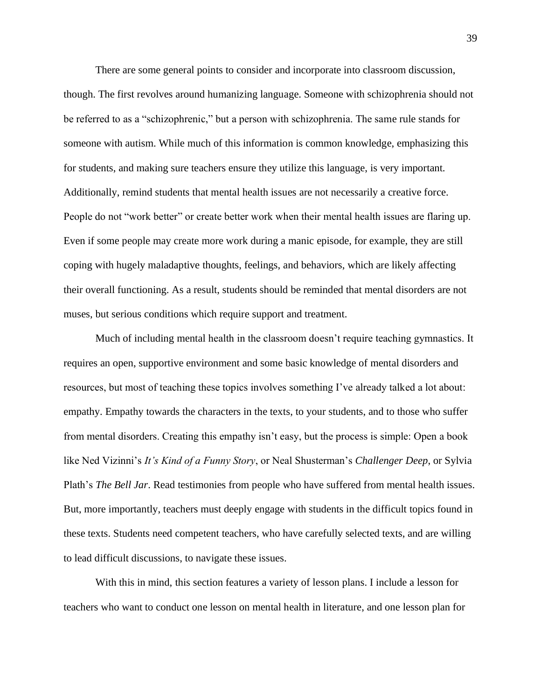There are some general points to consider and incorporate into classroom discussion, though. The first revolves around humanizing language. Someone with schizophrenia should not be referred to as a "schizophrenic," but a person with schizophrenia. The same rule stands for someone with autism. While much of this information is common knowledge, emphasizing this for students, and making sure teachers ensure they utilize this language, is very important. Additionally, remind students that mental health issues are not necessarily a creative force. People do not "work better" or create better work when their mental health issues are flaring up. Even if some people may create more work during a manic episode, for example, they are still coping with hugely maladaptive thoughts, feelings, and behaviors, which are likely affecting their overall functioning. As a result, students should be reminded that mental disorders are not muses, but serious conditions which require support and treatment.

Much of including mental health in the classroom doesn't require teaching gymnastics. It requires an open, supportive environment and some basic knowledge of mental disorders and resources, but most of teaching these topics involves something I've already talked a lot about: empathy. Empathy towards the characters in the texts, to your students, and to those who suffer from mental disorders. Creating this empathy isn't easy, but the process is simple: Open a book like Ned Vizinni's *It's Kind of a Funny Story*, or Neal Shusterman's *Challenger Deep*, or Sylvia Plath's *The Bell Jar*. Read testimonies from people who have suffered from mental health issues. But, more importantly, teachers must deeply engage with students in the difficult topics found in these texts. Students need competent teachers, who have carefully selected texts, and are willing to lead difficult discussions, to navigate these issues.

With this in mind, this section features a variety of lesson plans. I include a lesson for teachers who want to conduct one lesson on mental health in literature, and one lesson plan for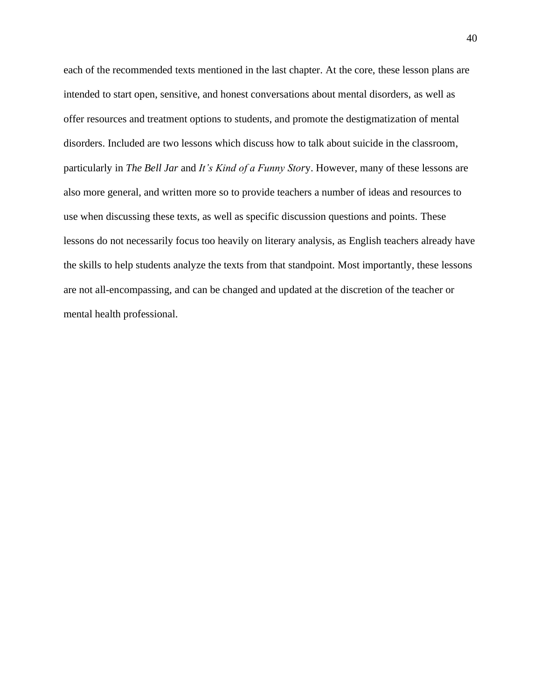each of the recommended texts mentioned in the last chapter. At the core, these lesson plans are intended to start open, sensitive, and honest conversations about mental disorders, as well as offer resources and treatment options to students, and promote the destigmatization of mental disorders. Included are two lessons which discuss how to talk about suicide in the classroom, particularly in *The Bell Jar* and *It's Kind of a Funny Stor*y. However, many of these lessons are also more general, and written more so to provide teachers a number of ideas and resources to use when discussing these texts, as well as specific discussion questions and points. These lessons do not necessarily focus too heavily on literary analysis, as English teachers already have the skills to help students analyze the texts from that standpoint. Most importantly, these lessons are not all-encompassing, and can be changed and updated at the discretion of the teacher or mental health professional.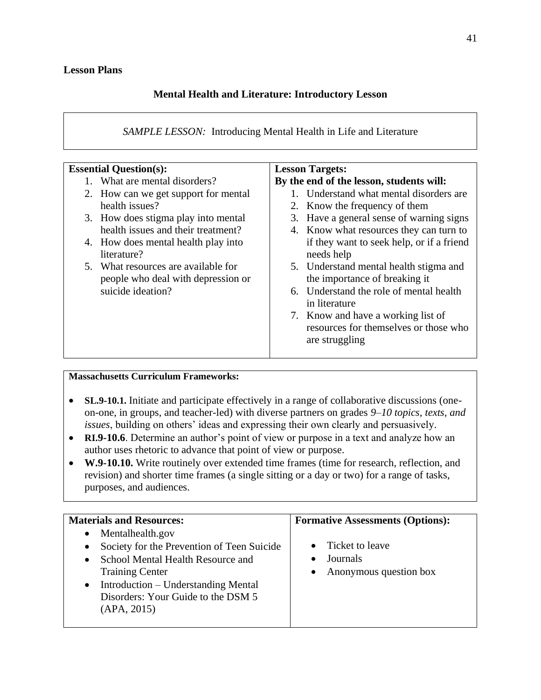## **Mental Health and Literature: Introductory Lesson**

*SAMPLE LESSON:* Introducing Mental Health in Life and Literature

| <b>Essential Question(s):</b>        | <b>Lesson Targets:</b>                    |
|--------------------------------------|-------------------------------------------|
| What are mental disorders?           | By the end of the lesson, students will:  |
| 2. How can we get support for mental | 1. Understand what mental disorders are   |
| health issues?                       | 2. Know the frequency of them             |
| 3. How does stigma play into mental  | 3. Have a general sense of warning signs  |
| health issues and their treatment?   | 4. Know what resources they can turn to   |
| 4. How does mental health play into  | if they want to seek help, or if a friend |
| literature?                          | needs help                                |
| 5. What resources are available for  | 5. Understand mental health stigma and    |
| people who deal with depression or   | the importance of breaking it             |
| suicide ideation?                    | 6. Understand the role of mental health   |
|                                      | in literature                             |
|                                      | 7. Know and have a working list of        |
|                                      | resources for themselves or those who     |
|                                      | are struggling                            |
|                                      |                                           |

## **Massachusetts Curriculum Frameworks:**

- **SL.9-10.1.** Initiate and participate effectively in a range of collaborative discussions (oneon-one, in groups, and teacher-led) with diverse partners on grades *9–10 topics, texts, and issues*, building on others' ideas and expressing their own clearly and persuasively.
- **RI.9-10.6**. Determine an author's point of view or purpose in a text and analyze how an author uses rhetoric to advance that point of view or purpose.
- **W.9-10.10.** Write routinely over extended time frames (time for research, reflection, and revision) and shorter time frames (a single sitting or a day or two) for a range of tasks, purposes, and audiences.

| Mentalhealth.gov<br>$\bullet$                                                                                                                                                                                                                                                                         | <b>Materials and Resources:</b> | <b>Formative Assessments (Options):</b> |
|-------------------------------------------------------------------------------------------------------------------------------------------------------------------------------------------------------------------------------------------------------------------------------------------------------|---------------------------------|-----------------------------------------|
| Ticket to leave<br>Society for the Prevention of Teen Suicide<br>$\bullet$<br>Journals<br>School Mental Health Resource and<br>$\bullet$<br>Anonymous question box<br><b>Training Center</b><br>Introduction – Understanding Mental<br>$\bullet$<br>Disorders: Your Guide to the DSM 5<br>(APA, 2015) |                                 |                                         |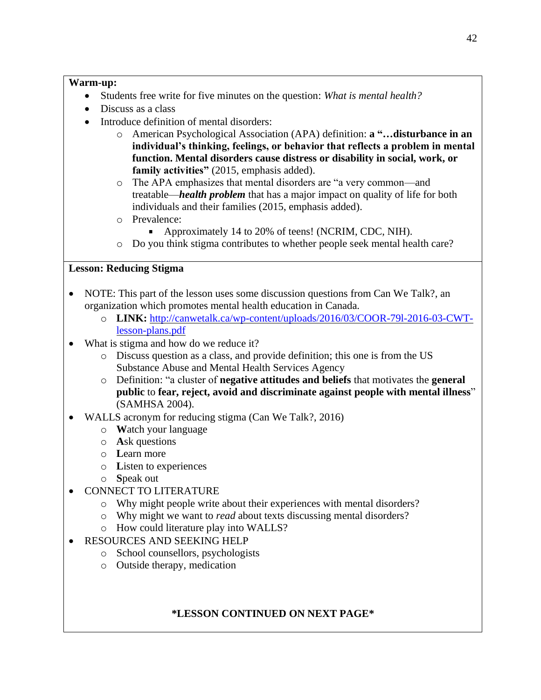## **Warm-up:**

- Students free write for five minutes on the question: *What is mental health?*
- Discuss as a class
- Introduce definition of mental disorders:
	- o American Psychological Association (APA) definition: **a "…disturbance in an individual's thinking, feelings, or behavior that reflects a problem in mental function. Mental disorders cause distress or disability in social, work, or family activities"** (2015, emphasis added).
	- o The APA emphasizes that mental disorders are "a very common—and treatable—*health problem* that has a major impact on quality of life for both individuals and their families (2015, emphasis added).
	- o Prevalence:
		- Approximately 14 to 20% of teens! (NCRIM, CDC, NIH).  $\blacksquare$
	- o Do you think stigma contributes to whether people seek mental health care?

## **Lesson: Reducing Stigma**

- NOTE: This part of the lesson uses some discussion questions from Can We Talk?, an organization which promotes mental health education in Canada.
	- o **LINK:** [http://canwetalk.ca/wp-content/uploads/2016/03/COOR-79l-2016-03-CWT](http://canwetalk.ca/wp-content/uploads/2016/03/COOR-79l-2016-03-CWT-lesson-plans.pdf)[lesson-plans.pdf](http://canwetalk.ca/wp-content/uploads/2016/03/COOR-79l-2016-03-CWT-lesson-plans.pdf)
- What is stigma and how do we reduce it?
	- o Discuss question as a class, and provide definition; this one is from the US Substance Abuse and Mental Health Services Agency
	- o Definition: "a cluster of **negative attitudes and beliefs** that motivates the **general public** to **fear, reject, avoid and discriminate against people with mental illness**" (SAMHSA 2004).
- WALLS acronym for reducing stigma (Can We Talk?, 2016)
	- o **W**atch your language
	- o **A**sk questions
	- o **L**earn more
	- o **L**isten to experiences
	- o **S**peak out
	- CONNECT TO LITERATURE
		- o Why might people write about their experiences with mental disorders?
		- o Why might we want to *read* about texts discussing mental disorders?
		- o How could literature play into WALLS?
- RESOURCES AND SEEKING HELP
	- o School counsellors, psychologists
	- o Outside therapy, medication

# **\*LESSON CONTINUED ON NEXT PAGE\***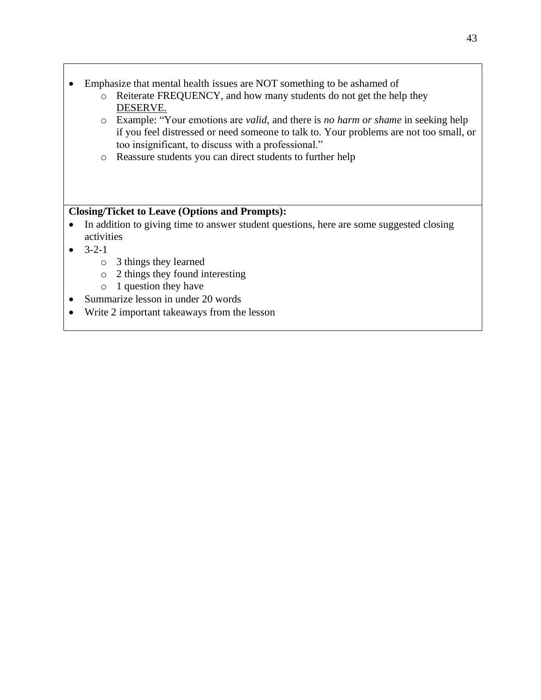- Emphasize that mental health issues are NOT something to be ashamed of
	- o Reiterate FREQUENCY, and how many students do not get the help they DESERVE.
	- o Example: "Your emotions are *valid*, and there is *no harm or shame* in seeking help if you feel distressed or need someone to talk to. Your problems are not too small, or too insignificant, to discuss with a professional."
	- o Reassure students you can direct students to further help

## **Closing/Ticket to Leave (Options and Prompts):**

- In addition to giving time to answer student questions, here are some suggested closing activities
- $\bullet$  3-2-1
	- o 3 things they learned
	- o 2 things they found interesting
	- o 1 question they have
- Summarize lesson in under 20 words
- Write 2 important takeaways from the lesson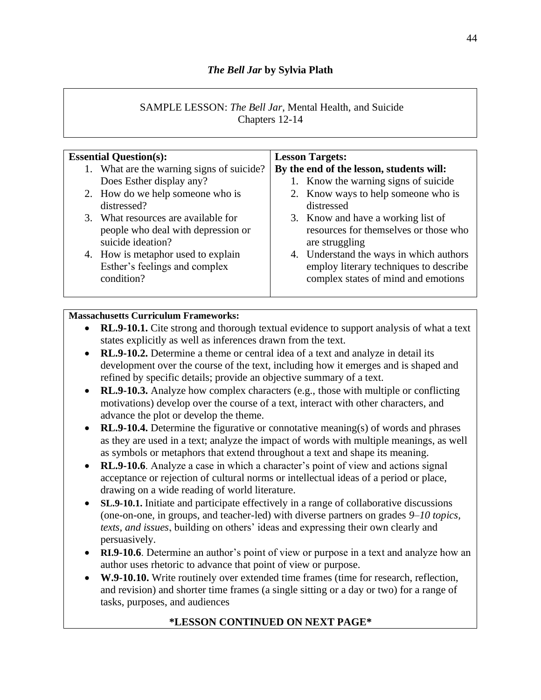# *The Bell Jar* **by Sylvia Plath**

## SAMPLE LESSON: *The Bell Jar*, Mental Health, and Suicide Chapters 12-14

| <b>Essential Question(s):</b>                                                                  | <b>Lesson Targets:</b>                                                                                                   |
|------------------------------------------------------------------------------------------------|--------------------------------------------------------------------------------------------------------------------------|
| 1. What are the warning signs of suicide?                                                      | By the end of the lesson, students will:                                                                                 |
| Does Esther display any?                                                                       | 1. Know the warning signs of suicide                                                                                     |
| 2. How do we help someone who is                                                               | 2. Know ways to help someone who is                                                                                      |
| distressed?                                                                                    | distressed                                                                                                               |
| 3. What resources are available for<br>people who deal with depression or<br>suicide ideation? | 3. Know and have a working list of<br>resources for themselves or those who<br>are struggling                            |
| 4. How is metaphor used to explain<br>Esther's feelings and complex<br>condition?              | 4. Understand the ways in which authors<br>employ literary techniques to describe<br>complex states of mind and emotions |

## **Massachusetts Curriculum Frameworks:**

- **RL.9-10.1.** Cite strong and thorough textual evidence to support analysis of what a text states explicitly as well as inferences drawn from the text.
- **RL.9-10.2.** Determine a theme or central idea of a text and analyze in detail its development over the course of the text, including how it emerges and is shaped and refined by specific details; provide an objective summary of a text.
- **RL.9-10.3.** Analyze how complex characters (e.g., those with multiple or conflicting motivations) develop over the course of a text, interact with other characters, and advance the plot or develop the theme.
- **RL.9-10.4.** Determine the figurative or connotative meaning(s) of words and phrases as they are used in a text; analyze the impact of words with multiple meanings, as well as symbols or metaphors that extend throughout a text and shape its meaning.
- **RL.9-10.6**. Analyze a case in which a character's point of view and actions signal acceptance or rejection of cultural norms or intellectual ideas of a period or place, drawing on a wide reading of world literature.
- **SL.9-10.1.** Initiate and participate effectively in a range of collaborative discussions (one-on-one, in groups, and teacher-led) with diverse partners on grades *9–10 topics, texts, and issues*, building on others' ideas and expressing their own clearly and persuasively.
- **RI.9-10.6**. Determine an author's point of view or purpose in a text and analyze how an author uses rhetoric to advance that point of view or purpose.
- **W.9-10.10.** Write routinely over extended time frames (time for research, reflection, and revision) and shorter time frames (a single sitting or a day or two) for a range of tasks, purposes, and audiences

# **\*LESSON CONTINUED ON NEXT PAGE\***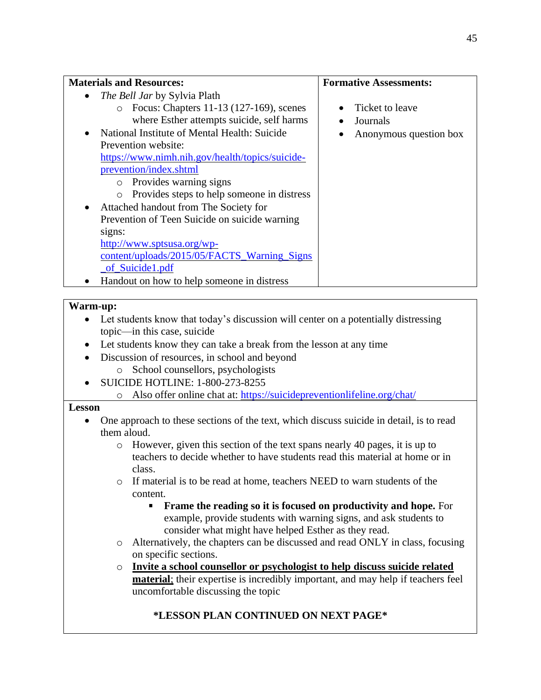| <b>Materials and Resources:</b>                                                    | <b>Formative Assessments:</b> |
|------------------------------------------------------------------------------------|-------------------------------|
| The Bell Jar by Sylvia Plath                                                       |                               |
| Focus: Chapters 11-13 (127-169), scenes<br>$\circ$                                 | Ticket to leave<br>$\bullet$  |
| where Esther attempts suicide, self harms                                          | Journals                      |
| National Institute of Mental Health: Suicide                                       | Anonymous question box        |
| Prevention website:                                                                |                               |
| https://www.nimh.nih.gov/health/topics/suicide-                                    |                               |
| prevention/index.shtml                                                             |                               |
| o Provides warning signs                                                           |                               |
| Provides steps to help someone in distress<br>$\circ$                              |                               |
| Attached handout from The Society for                                              |                               |
| Prevention of Teen Suicide on suicide warning                                      |                               |
| signs:                                                                             |                               |
| http://www.sptsusa.org/wp-                                                         |                               |
| content/uploads/2015/05/FACTS_Warning_Signs                                        |                               |
| of Suicide1.pdf                                                                    |                               |
| Handout on how to help someone in distress                                         |                               |
|                                                                                    |                               |
| Warm-up:                                                                           |                               |
| Let students know that today's discussion will center on a potentially distressing |                               |
| topic—in this case, suicide                                                        |                               |
| Let students know they can take a break from the lesson at any time<br>٠           |                               |
| Discussion of resources, in school and beyond                                      |                               |
| School counsellors, psychologists<br>$\circ$                                       |                               |
| <b>SUICIDE HOTLINE: 1-800-273-8255</b>                                             |                               |
| Also offer online chat at: https://suicidepreventionlifeline.org/chat/<br>$\circ$  |                               |
|                                                                                    |                               |

#### **Lesson**

- One approach to these sections of the text, which discuss suicide in detail, is to read them aloud.
	- o However, given this section of the text spans nearly 40 pages, it is up to teachers to decide whether to have students read this material at home or in class.
	- o If material is to be read at home, teachers NEED to warn students of the content.
		- **Frame the reading so it is focused on productivity and hope.** For example, provide students with warning signs, and ask students to consider what might have helped Esther as they read.
	- o Alternatively, the chapters can be discussed and read ONLY in class, focusing on specific sections.
	- o **Invite a school counsellor or psychologist to help discuss suicide related material**; their expertise is incredibly important, and may help if teachers feel uncomfortable discussing the topic

# **\*LESSON PLAN CONTINUED ON NEXT PAGE\***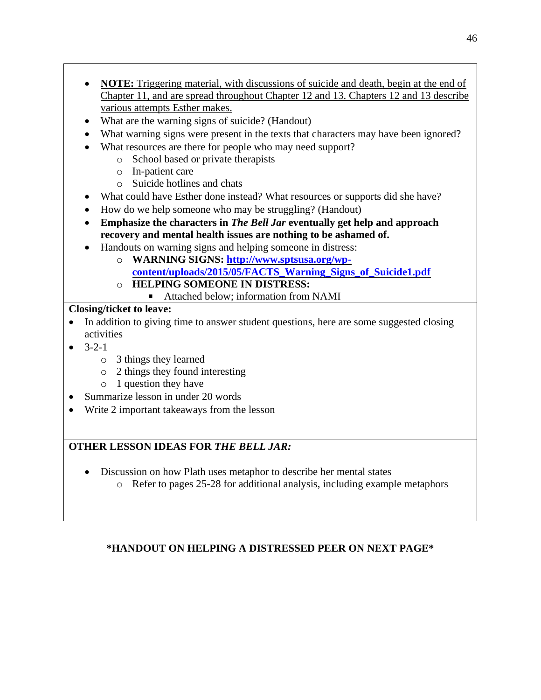- **NOTE:** Triggering material, with discussions of suicide and death, begin at the end of Chapter 11, and are spread throughout Chapter 12 and 13. Chapters 12 and 13 describe various attempts Esther makes.
- What are the warning signs of suicide? (Handout)
- What warning signs were present in the texts that characters may have been ignored?
- What resources are there for people who may need support?
	- o School based or private therapists
	- o In-patient care
	- o Suicide hotlines and chats
- What could have Esther done instead? What resources or supports did she have?
- How do we help someone who may be struggling? (Handout)
- **Emphasize the characters in** *The Bell Jar* **eventually get help and approach recovery and mental health issues are nothing to be ashamed of.**
- Handouts on warning signs and helping someone in distress:
	- o **WARNING SIGNS: [http://www.sptsusa.org/wp](http://www.sptsusa.org/wp-content/uploads/2015/05/FACTS_Warning_Signs_of_Suicide1.pdf)[content/uploads/2015/05/FACTS\\_Warning\\_Signs\\_of\\_Suicide1.pdf](http://www.sptsusa.org/wp-content/uploads/2015/05/FACTS_Warning_Signs_of_Suicide1.pdf)**
	- o **HELPING SOMEONE IN DISTRESS:** 
		- Attached below: information from NAMI

# **Closing/ticket to leave:**

- In addition to giving time to answer student questions, here are some suggested closing activities
- $-3-2-1$ 
	- o 3 things they learned
	- o 2 things they found interesting
	- o 1 question they have
- Summarize lesson in under 20 words
- Write 2 important takeaways from the lesson

# **OTHER LESSON IDEAS FOR** *THE BELL JAR:*

- Discussion on how Plath uses metaphor to describe her mental states
	- o Refer to pages 25-28 for additional analysis, including example metaphors

# **\*HANDOUT ON HELPING A DISTRESSED PEER ON NEXT PAGE\***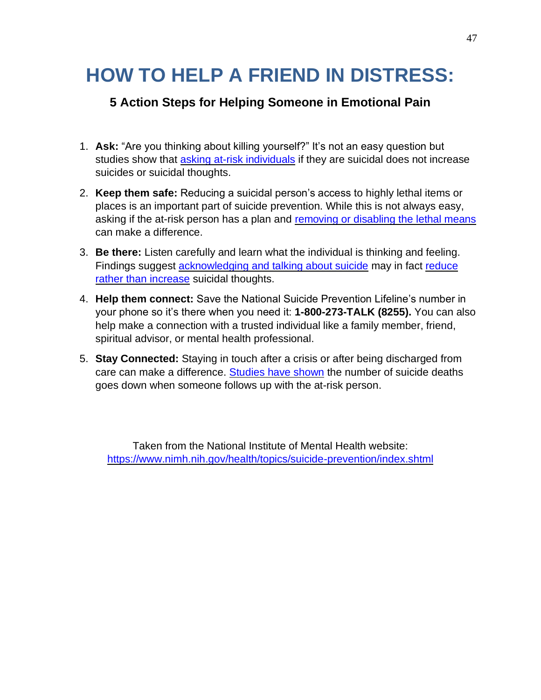# **HOW TO HELP A FRIEND IN DISTRESS:**

# **5 Action Steps for Helping Someone in Emotional Pain**

- 1. **Ask:** "Are you thinking about killing yourself?" It's not an easy question but studies show that **[asking at-risk individuals](http://onlinelibrary.wiley.com/doi/10.1111/j.1943-278X.2012.0095.x/full)** if they are suicidal does not increase suicides or suicidal thoughts.
- 2. **Keep them safe:** Reducing a suicidal person's access to highly lethal items or places is an important part of suicide prevention. While this is not always easy, asking if the at-risk person has a plan and [removing or disabling the lethal means](https://www.hsph.harvard.edu/means-matter/) can make a difference.
- 3. **Be there:** Listen carefully and learn what the individual is thinking and feeling. Findings suggest [acknowledging and talking about suicide](http://www.ncbi.nlm.nih.gov/pubmed/15811983) may in fact [reduce](http://www.ncbi.nlm.nih.gov/pubmed/24998511)  [rather than increase](http://www.ncbi.nlm.nih.gov/pubmed/24998511) suicidal thoughts.
- 4. **Help them connect:** Save the National Suicide Prevention Lifeline's number in your phone so it's there when you need it: **1-800-273-TALK (8255).** You can also help make a connection with a trusted individual like a family member, friend, spiritual advisor, or mental health professional.
- 5. **Stay Connected:** Staying in touch after a crisis or after being discharged from care can make a difference. [Studies have shown](http://www.ncbi.nlm.nih.gov/pubmed/11376235) the number of suicide deaths goes down when someone follows up with the at-risk person.

Taken from the National Institute of Mental Health website: <https://www.nimh.nih.gov/health/topics/suicide-prevention/index.shtml>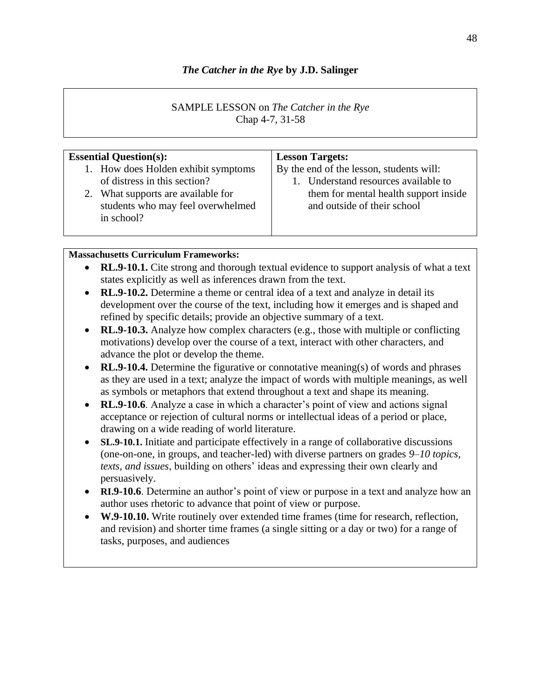## *The Catcher in the Rye* **by J.D. Salinger**

## SAMPLE LESSON on *The Catcher in the Rye* Chap 4-7, 31-58

| <b>Essential Question(s):</b>                                                                                                                                | <b>Lesson Targets:</b>                                                                                                                                   |
|--------------------------------------------------------------------------------------------------------------------------------------------------------------|----------------------------------------------------------------------------------------------------------------------------------------------------------|
| 1. How does Holden exhibit symptoms<br>of distress in this section?<br>2. What supports are available for<br>students who may feel overwhelmed<br>in school? | By the end of the lesson, students will:<br>1. Understand resources available to<br>them for mental health support inside<br>and outside of their school |
|                                                                                                                                                              |                                                                                                                                                          |

## **Massachusetts Curriculum Frameworks:**

- **RL.9-10.1.** Cite strong and thorough textual evidence to support analysis of what a text states explicitly as well as inferences drawn from the text.
- **RL.9-10.2.** Determine a theme or central idea of a text and analyze in detail its development over the course of the text, including how it emerges and is shaped and refined by specific details; provide an objective summary of a text.
- **RL.9-10.3.** Analyze how complex characters (e.g., those with multiple or conflicting motivations) develop over the course of a text, interact with other characters, and advance the plot or develop the theme.
- **RL.9-10.4.** Determine the figurative or connotative meaning(s) of words and phrases as they are used in a text; analyze the impact of words with multiple meanings, as well as symbols or metaphors that extend throughout a text and shape its meaning.
- **RL.9-10.6**. Analyze a case in which a character's point of view and actions signal acceptance or rejection of cultural norms or intellectual ideas of a period or place, drawing on a wide reading of world literature.
- **SL.9-10.1.** Initiate and participate effectively in a range of collaborative discussions (one-on-one, in groups, and teacher-led) with diverse partners on grades *9–10 topics, texts, and issues*, building on others' ideas and expressing their own clearly and persuasively.
- **RI.9-10.6**. Determine an author's point of view or purpose in a text and analyze how an author uses rhetoric to advance that point of view or purpose.
- **W.9-10.10.** Write routinely over extended time frames (time for research, reflection, and revision) and shorter time frames (a single sitting or a day or two) for a range of tasks, purposes, and audiences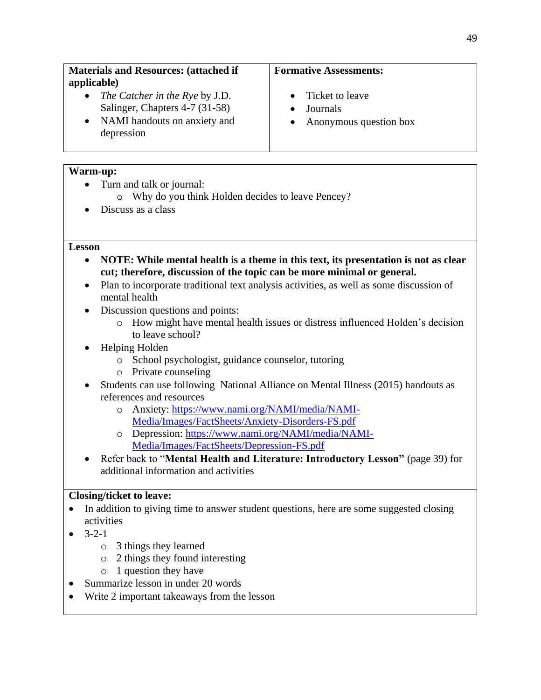- *The Catcher in the Rye* by J.D. Salinger, Chapters 4-7 (31-58)
- NAMI handouts on anxiety and depression

## **Formative Assessments:**

- Ticket to leave
- Journals
- Anonymous question box

## **Warm-up:**

- Turn and talk or journal:
	- o Why do you think Holden decides to leave Pencey?
- Discuss as a class

#### **Lesson**

- **NOTE: While mental health is a theme in this text, its presentation is not as clear cut; therefore, discussion of the topic can be more minimal or general.**
- Plan to incorporate traditional text analysis activities, as well as some discussion of mental health
- Discussion questions and points:
	- o How might have mental health issues or distress influenced Holden's decision to leave school?
- Helping Holden
	- o School psychologist, guidance counselor, tutoring
	- o Private counseling
- Students can use following National Alliance on Mental Illness (2015) handouts as references and resources
	- o Anxiety: [https://www.nami.org/NAMI/media/NAMI-](https://www.nami.org/NAMI/media/NAMI-Media/Images/FactSheets/Anxiety-Disorders-FS.pdf)[Media/Images/FactSheets/Anxiety-Disorders-FS.pdf](https://www.nami.org/NAMI/media/NAMI-Media/Images/FactSheets/Anxiety-Disorders-FS.pdf)
	- o Depression: [https://www.nami.org/NAMI/media/NAMI-](https://www.nami.org/NAMI/media/NAMI-Media/Images/FactSheets/Depression-FS.pdf)[Media/Images/FactSheets/Depression-FS.pdf](https://www.nami.org/NAMI/media/NAMI-Media/Images/FactSheets/Depression-FS.pdf)
- Refer back to "**Mental Health and Literature: Introductory Lesson"** (page 39) for additional information and activities

# **Closing/ticket to leave:**

- In addition to giving time to answer student questions, here are some suggested closing activities
- $-3-2-1$ 
	- o 3 things they learned
	- o 2 things they found interesting
	- o 1 question they have
- Summarize lesson in under 20 words
- Write 2 important takeaways from the lesson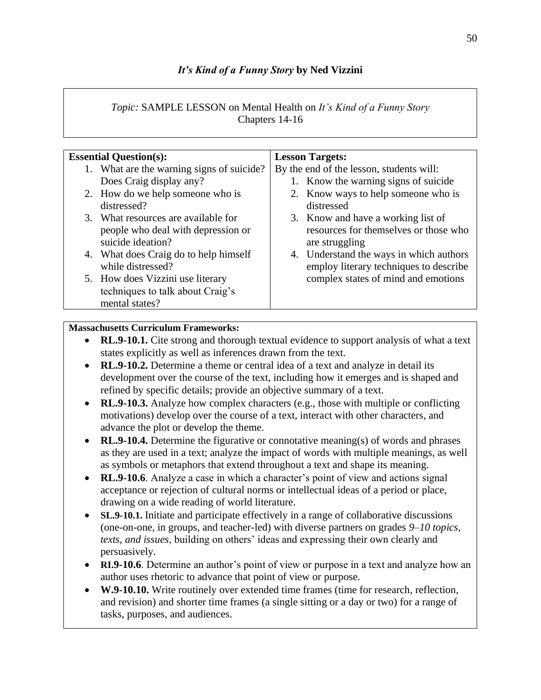# *It's Kind of a Funny Story* **by Ned Vizzini**

## *Topic:* SAMPLE LESSON on Mental Health on *It's Kind of a Funny Story* Chapters 14-16

| <b>Essential Question(s):</b>             | <b>Lesson Targets:</b>                   |
|-------------------------------------------|------------------------------------------|
| 1. What are the warning signs of suicide? | By the end of the lesson, students will: |
| Does Craig display any?                   | 1. Know the warning signs of suicide     |
| 2. How do we help someone who is          | 2. Know ways to help someone who is      |
| distressed?                               | distressed                               |
| 3. What resources are available for       | 3. Know and have a working list of       |
| people who deal with depression or        | resources for themselves or those who    |
| suicide ideation?                         | are struggling                           |
| 4. What does Craig do to help himself     | 4. Understand the ways in which authors  |
| while distressed?                         | employ literary techniques to describe   |
| 5. How does Vizzini use literary          | complex states of mind and emotions      |
| techniques to talk about Craig's          |                                          |
| mental states?                            |                                          |

## **Massachusetts Curriculum Frameworks:**

- **RL.9-10.1.** Cite strong and thorough textual evidence to support analysis of what a text states explicitly as well as inferences drawn from the text.
- **RL.9-10.2.** Determine a theme or central idea of a text and analyze in detail its development over the course of the text, including how it emerges and is shaped and refined by specific details; provide an objective summary of a text.
- **RL.9-10.3.** Analyze how complex characters (e.g., those with multiple or conflicting motivations) develop over the course of a text, interact with other characters, and advance the plot or develop the theme.
- **RL.9-10.4.** Determine the figurative or connotative meaning(s) of words and phrases as they are used in a text; analyze the impact of words with multiple meanings, as well as symbols or metaphors that extend throughout a text and shape its meaning.
- **RL.9-10.6**. Analyze a case in which a character's point of view and actions signal acceptance or rejection of cultural norms or intellectual ideas of a period or place, drawing on a wide reading of world literature.
- **SL.9-10.1.** Initiate and participate effectively in a range of collaborative discussions (one-on-one, in groups, and teacher-led) with diverse partners on grades *9–10 topics, texts, and issues*, building on others' ideas and expressing their own clearly and persuasively.
- **RI.9-10.6**. Determine an author's point of view or purpose in a text and analyze how an author uses rhetoric to advance that point of view or purpose.
- **W.9-10.10.** Write routinely over extended time frames (time for research, reflection, and revision) and shorter time frames (a single sitting or a day or two) for a range of tasks, purposes, and audiences.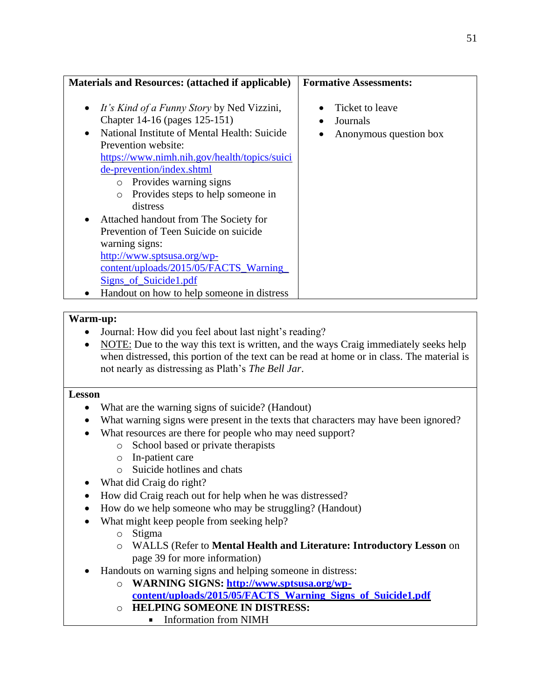## **Formative Assessments:**

- *It's Kind of a Funny Story* by Ned Vizzini, Chapter 14-16 (pages 125-151)
- National Institute of Mental Health: Suicide Prevention website: [https://www.nimh.nih.gov/health/topics/suici](https://www.nimh.nih.gov/health/topics/suicide-prevention/index.shtml)
	- [de-prevention/index.shtml](https://www.nimh.nih.gov/health/topics/suicide-prevention/index.shtml) o Provides warning signs
		- o Provides steps to help someone in distress
- Attached handout from The Society for Prevention of Teen Suicide on suicide warning signs: [http://www.sptsusa.org/wp](http://www.sptsusa.org/wp-content/uploads/2015/05/FACTS_Warning_Signs_of_Suicide1.pdf)[content/uploads/2015/05/FACTS\\_Warning\\_](http://www.sptsusa.org/wp-content/uploads/2015/05/FACTS_Warning_Signs_of_Suicide1.pdf) [Signs\\_of\\_Suicide1.pdf](http://www.sptsusa.org/wp-content/uploads/2015/05/FACTS_Warning_Signs_of_Suicide1.pdf)
- Handout on how to help someone in distress

## **Warm-up:**

- Journal: How did you feel about last night's reading?
- NOTE: Due to the way this text is written, and the ways Craig immediately seeks help when distressed, this portion of the text can be read at home or in class. The material is not nearly as distressing as Plath's *The Bell Jar*.

#### **Lesson**

- What are the warning signs of suicide? (Handout)
- What warning signs were present in the texts that characters may have been ignored?
- What resources are there for people who may need support?
	- o School based or private therapists
	- o In-patient care
	- o Suicide hotlines and chats
- What did Craig do right?
- How did Craig reach out for help when he was distressed?
- How do we help someone who may be struggling? (Handout)
- What might keep people from seeking help?
	- o Stigma
	- o WALLS (Refer to **Mental Health and Literature: Introductory Lesson** on page 39 for more information)
- Handouts on warning signs and helping someone in distress:
	- o **WARNING SIGNS: [http://www.sptsusa.org/wp](http://www.sptsusa.org/wp-content/uploads/2015/05/FACTS_Warning_Signs_of_Suicide1.pdf)**
		- **[content/uploads/2015/05/FACTS\\_Warning\\_Signs\\_of\\_Suicide1.pdf](http://www.sptsusa.org/wp-content/uploads/2015/05/FACTS_Warning_Signs_of_Suicide1.pdf)**
	- o **HELPING SOMEONE IN DISTRESS:** 
		- Information from NIMH

# **Materials and Resources: (attached if applicable)**

- 
- Ticket to leave
- Journals
- Anonymous question box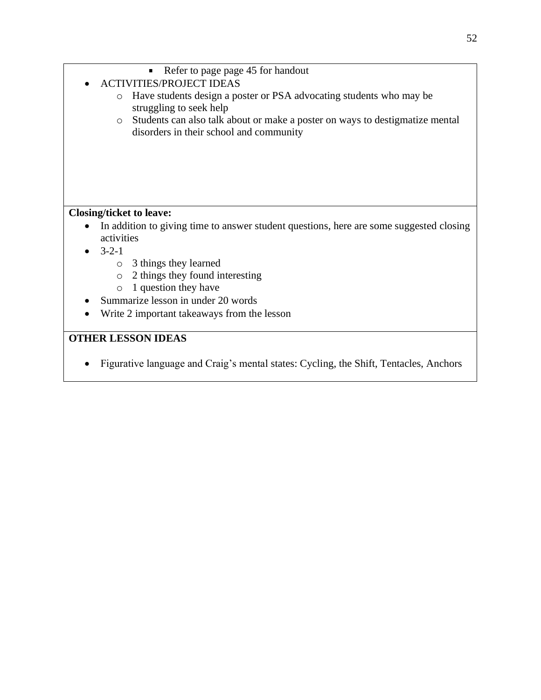- $\blacksquare$ Refer to page page 45 for handout
- ACTIVITIES/PROJECT IDEAS
	- o Have students design a poster or PSA advocating students who may be struggling to seek help
	- o Students can also talk about or make a poster on ways to destigmatize mental disorders in their school and community

# **Closing/ticket to leave:**

- In addition to giving time to answer student questions, here are some suggested closing activities
- $-3-2-1$ 
	- o 3 things they learned
	- o 2 things they found interesting
	- o 1 question they have
- Summarize lesson in under 20 words
- Write 2 important takeaways from the lesson

# **OTHER LESSON IDEAS**

• Figurative language and Craig's mental states: Cycling, the Shift, Tentacles, Anchors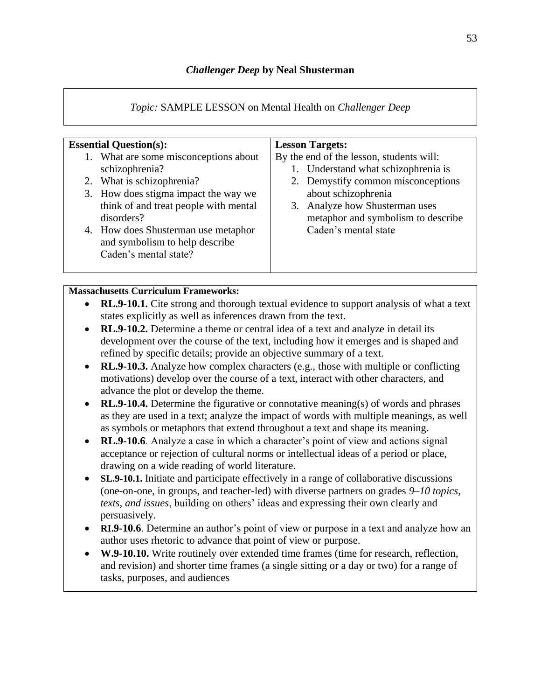# *Topic:* SAMPLE LESSON on Mental Health on *Challenger Deep*

| <b>Essential Question(s):</b>                                                                                                                                                                                                                                                         | <b>Lesson Targets:</b>                                                                                                                                                                                                                       |
|---------------------------------------------------------------------------------------------------------------------------------------------------------------------------------------------------------------------------------------------------------------------------------------|----------------------------------------------------------------------------------------------------------------------------------------------------------------------------------------------------------------------------------------------|
| 1. What are some misconceptions about<br>schizophrenia?<br>2. What is schizophrenia?<br>3. How does stigma impact the way we<br>think of and treat people with mental<br>disorders?<br>4. How does Shusterman use metaphor<br>and symbolism to help describe<br>Caden's mental state? | By the end of the lesson, students will:<br>1. Understand what schizophrenia is<br>2. Demystify common misconceptions<br>about schizophrenia<br>3. Analyze how Shusterman uses<br>metaphor and symbolism to describe<br>Caden's mental state |

## **Massachusetts Curriculum Frameworks:**

- **RL.9-10.1.** Cite strong and thorough textual evidence to support analysis of what a text states explicitly as well as inferences drawn from the text.
- **RL.9-10.2.** Determine a theme or central idea of a text and analyze in detail its development over the course of the text, including how it emerges and is shaped and refined by specific details; provide an objective summary of a text.
- **RL.9-10.3.** Analyze how complex characters (e.g., those with multiple or conflicting motivations) develop over the course of a text, interact with other characters, and advance the plot or develop the theme.
- **RL.9-10.4.** Determine the figurative or connotative meaning(s) of words and phrases as they are used in a text; analyze the impact of words with multiple meanings, as well as symbols or metaphors that extend throughout a text and shape its meaning.
- **RL.9-10.6**. Analyze a case in which a character's point of view and actions signal acceptance or rejection of cultural norms or intellectual ideas of a period or place, drawing on a wide reading of world literature.
- **SL.9-10.1.** Initiate and participate effectively in a range of collaborative discussions (one-on-one, in groups, and teacher-led) with diverse partners on grades *9–10 topics, texts, and issues*, building on others' ideas and expressing their own clearly and persuasively.
- **RI.9-10.6**. Determine an author's point of view or purpose in a text and analyze how an author uses rhetoric to advance that point of view or purpose.
- **W.9-10.10.** Write routinely over extended time frames (time for research, reflection, and revision) and shorter time frames (a single sitting or a day or two) for a range of tasks, purposes, and audiences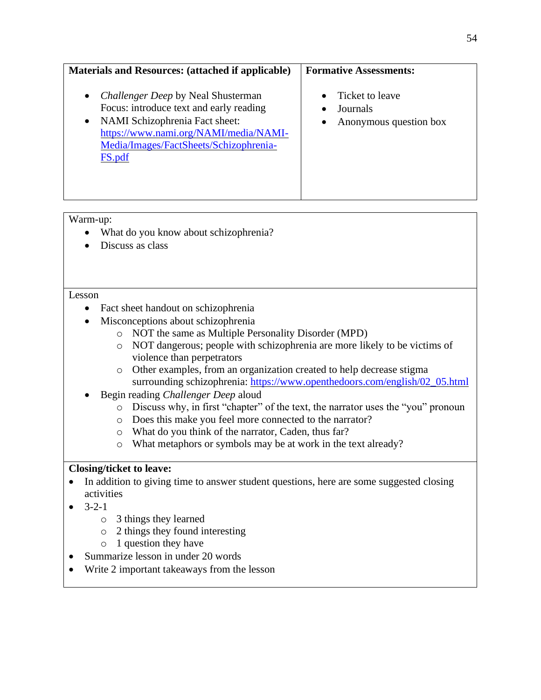## **Materials and Resources: (attached if applicable)**

- *Challenger Deep* by Neal Shusterman Focus: introduce text and early reading
- NAMI Schizophrenia Fact sheet: [https://www.nami.org/NAMI/media/NAMI-](https://www.nami.org/NAMI/media/NAMI-Media/Images/FactSheets/Schizophrenia-FS.pdf)[Media/Images/FactSheets/Schizophrenia-](https://www.nami.org/NAMI/media/NAMI-Media/Images/FactSheets/Schizophrenia-FS.pdf)[FS.pdf](https://www.nami.org/NAMI/media/NAMI-Media/Images/FactSheets/Schizophrenia-FS.pdf)

## **Formative Assessments:**

- Ticket to leave
- Journals
- Anonymous question box

## Warm-up:

- What do you know about schizophrenia?
- Discuss as class

#### Lesson

- Fact sheet handout on schizophrenia
- Misconceptions about schizophrenia
	- o NOT the same as Multiple Personality Disorder (MPD)
	- o NOT dangerous; people with schizophrenia are more likely to be victims of violence than perpetrators
	- o Other examples, from an organization created to help decrease stigma surrounding schizophrenia: [https://www.openthedoors.com/english/02\\_05.html](https://www.openthedoors.com/english/02_05.html)
- Begin reading *Challenger Deep* aloud
	- o Discuss why, in first "chapter" of the text, the narrator uses the "you" pronoun
	- o Does this make you feel more connected to the narrator?
	- o What do you think of the narrator, Caden, thus far?
	- o What metaphors or symbols may be at work in the text already?

## **Closing/ticket to leave:**

- In addition to giving time to answer student questions, here are some suggested closing activities
- $-3-2-1$ 
	- o 3 things they learned
	- o 2 things they found interesting
	- o 1 question they have
- Summarize lesson in under 20 words
- Write 2 important takeaways from the lesson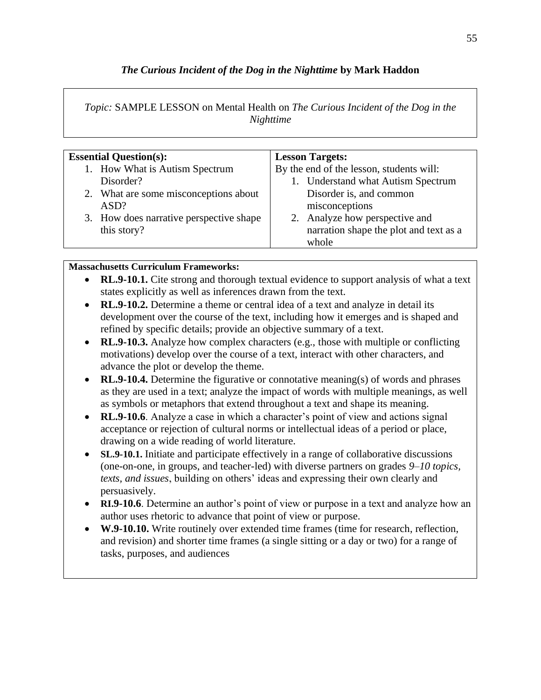# *The Curious Incident of the Dog in the Nighttime* **by Mark Haddon**

## *Topic:* SAMPLE LESSON on Mental Health on *The Curious Incident of the Dog in the Nighttime*

| <b>Essential Question(s):</b>           | <b>Lesson Targets:</b>                   |
|-----------------------------------------|------------------------------------------|
| 1. How What is Autism Spectrum          | By the end of the lesson, students will: |
| Disorder?                               | 1. Understand what Autism Spectrum       |
| 2. What are some misconceptions about   | Disorder is, and common                  |
| ASD?                                    | misconceptions                           |
| 3. How does narrative perspective shape | 2. Analyze how perspective and           |
| this story?                             | narration shape the plot and text as a   |
|                                         | whole                                    |

## **Massachusetts Curriculum Frameworks:**

- **RL.9-10.1.** Cite strong and thorough textual evidence to support analysis of what a text states explicitly as well as inferences drawn from the text.
- **RL.9-10.2.** Determine a theme or central idea of a text and analyze in detail its development over the course of the text, including how it emerges and is shaped and refined by specific details; provide an objective summary of a text.
- **RL.9-10.3.** Analyze how complex characters (e.g., those with multiple or conflicting motivations) develop over the course of a text, interact with other characters, and advance the plot or develop the theme.
- **RL.9-10.4.** Determine the figurative or connotative meaning(s) of words and phrases as they are used in a text; analyze the impact of words with multiple meanings, as well as symbols or metaphors that extend throughout a text and shape its meaning.
- **RL.9-10.6**. Analyze a case in which a character's point of view and actions signal acceptance or rejection of cultural norms or intellectual ideas of a period or place, drawing on a wide reading of world literature.
- **SL.9-10.1.** Initiate and participate effectively in a range of collaborative discussions (one-on-one, in groups, and teacher-led) with diverse partners on grades *9–10 topics, texts, and issues*, building on others' ideas and expressing their own clearly and persuasively.
- **RI.9-10.6**. Determine an author's point of view or purpose in a text and analyze how an author uses rhetoric to advance that point of view or purpose.
- **W.9-10.10.** Write routinely over extended time frames (time for research, reflection, and revision) and shorter time frames (a single sitting or a day or two) for a range of tasks, purposes, and audiences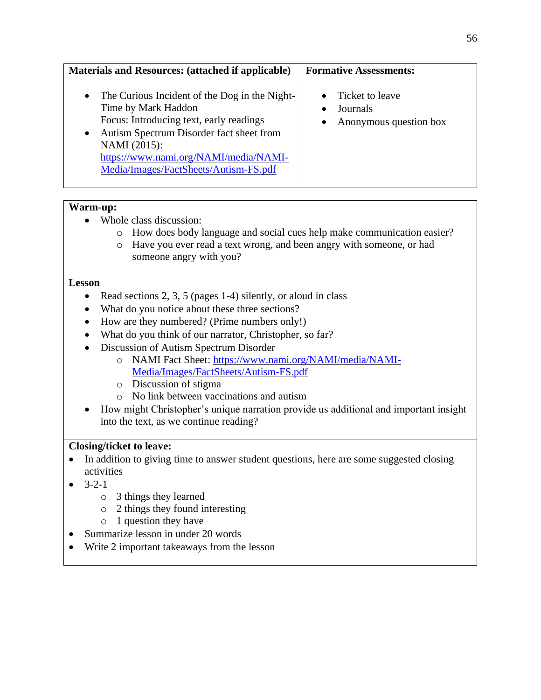## **Materials and Resources: (attached if applicable)**

- The Curious Incident of the Dog in the Night-Time by Mark Haddon Focus: Introducing text, early readings
- Autism Spectrum Disorder fact sheet from NAMI (2015): [https://www.nami.org/NAMI/media/NAMI-](https://www.nami.org/NAMI/media/NAMI-Media/Images/FactSheets/Autism-FS.pdf)[Media/Images/FactSheets/Autism-FS.pdf](https://www.nami.org/NAMI/media/NAMI-Media/Images/FactSheets/Autism-FS.pdf)

#### **Warm-up:**

- Whole class discussion:
	- o How does body language and social cues help make communication easier?
	- o Have you ever read a text wrong, and been angry with someone, or had someone angry with you?

#### **Lesson**

- Read sections 2, 3, 5 (pages 1-4) silently, or aloud in class
- What do you notice about these three sections?
- How are they numbered? (Prime numbers only!)
- What do you think of our narrator, Christopher, so far?
- Discussion of Autism Spectrum Disorder
	- o NAMI Fact Sheet: [https://www.nami.org/NAMI/media/NAMI-](https://www.nami.org/NAMI/media/NAMI-Media/Images/FactSheets/Autism-FS.pdf)[Media/Images/FactSheets/Autism-FS.pdf](https://www.nami.org/NAMI/media/NAMI-Media/Images/FactSheets/Autism-FS.pdf)
	- o Discussion of stigma
	- o No link between vaccinations and autism
- How might Christopher's unique narration provide us additional and important insight into the text, as we continue reading?

#### **Closing/ticket to leave:**

- In addition to giving time to answer student questions, here are some suggested closing activities
- $-3-2-1$ 
	- o 3 things they learned
	- o 2 things they found interesting
	- o 1 question they have
- Summarize lesson in under 20 words
- Write 2 important takeaways from the lesson

#### **Formative Assessments:**

- Ticket to leave
- Journals
- Anonymous question box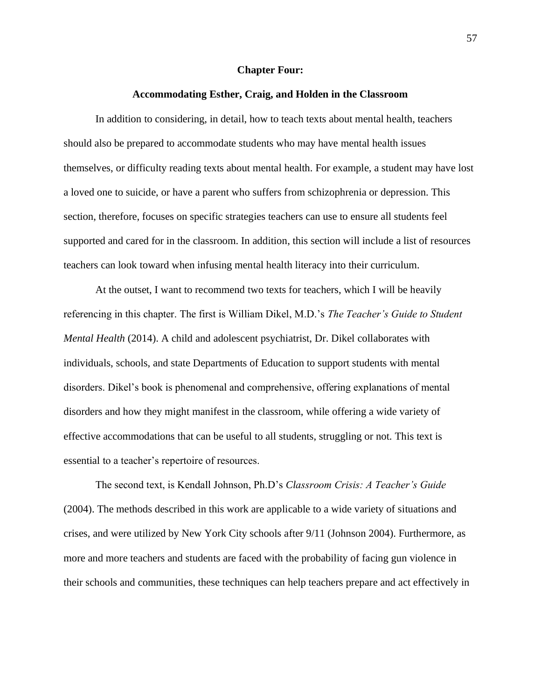#### **Chapter Four:**

#### **Accommodating Esther, Craig, and Holden in the Classroom**

In addition to considering, in detail, how to teach texts about mental health, teachers should also be prepared to accommodate students who may have mental health issues themselves, or difficulty reading texts about mental health. For example, a student may have lost a loved one to suicide, or have a parent who suffers from schizophrenia or depression. This section, therefore, focuses on specific strategies teachers can use to ensure all students feel supported and cared for in the classroom. In addition, this section will include a list of resources teachers can look toward when infusing mental health literacy into their curriculum.

At the outset, I want to recommend two texts for teachers, which I will be heavily referencing in this chapter. The first is William Dikel, M.D.'s *The Teacher's Guide to Student Mental Health* (2014). A child and adolescent psychiatrist, Dr. Dikel collaborates with individuals, schools, and state Departments of Education to support students with mental disorders. Dikel's book is phenomenal and comprehensive, offering explanations of mental disorders and how they might manifest in the classroom, while offering a wide variety of effective accommodations that can be useful to all students, struggling or not. This text is essential to a teacher's repertoire of resources.

The second text, is Kendall Johnson, Ph.D's *Classroom Crisis: A Teacher's Guide* (2004). The methods described in this work are applicable to a wide variety of situations and crises, and were utilized by New York City schools after 9/11 (Johnson 2004). Furthermore, as more and more teachers and students are faced with the probability of facing gun violence in their schools and communities, these techniques can help teachers prepare and act effectively in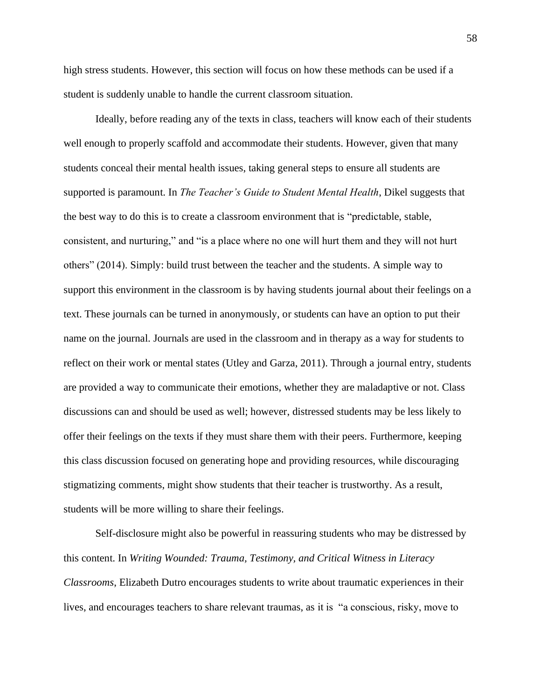high stress students. However, this section will focus on how these methods can be used if a student is suddenly unable to handle the current classroom situation.

Ideally, before reading any of the texts in class, teachers will know each of their students well enough to properly scaffold and accommodate their students. However, given that many students conceal their mental health issues, taking general steps to ensure all students are supported is paramount. In *The Teacher's Guide to Student Mental Health*, Dikel suggests that the best way to do this is to create a classroom environment that is "predictable, stable, consistent, and nurturing," and "is a place where no one will hurt them and they will not hurt others" (2014). Simply: build trust between the teacher and the students. A simple way to support this environment in the classroom is by having students journal about their feelings on a text. These journals can be turned in anonymously, or students can have an option to put their name on the journal. Journals are used in the classroom and in therapy as a way for students to reflect on their work or mental states (Utley and Garza, 2011). Through a journal entry, students are provided a way to communicate their emotions, whether they are maladaptive or not. Class discussions can and should be used as well; however, distressed students may be less likely to offer their feelings on the texts if they must share them with their peers. Furthermore, keeping this class discussion focused on generating hope and providing resources, while discouraging stigmatizing comments, might show students that their teacher is trustworthy. As a result, students will be more willing to share their feelings.

Self-disclosure might also be powerful in reassuring students who may be distressed by this content. In *Writing Wounded: Trauma, Testimony, and Critical Witness in Literacy Classrooms*, Elizabeth Dutro encourages students to write about traumatic experiences in their lives, and encourages teachers to share relevant traumas, as it is "a conscious, risky, move to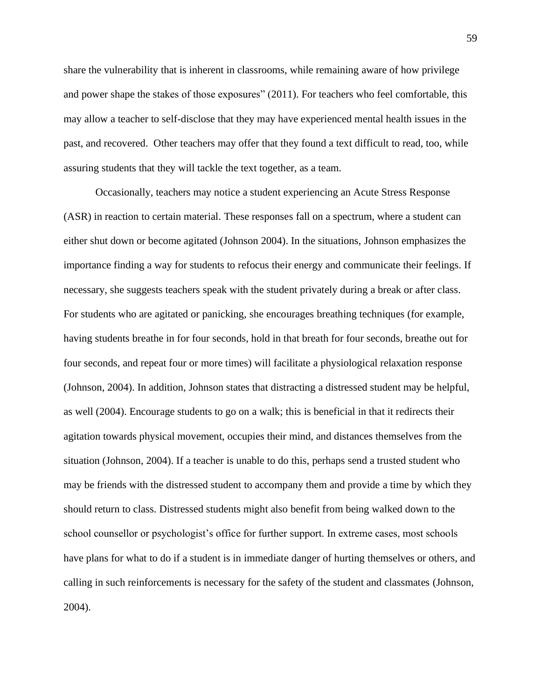share the vulnerability that is inherent in classrooms, while remaining aware of how privilege and power shape the stakes of those exposures" (2011). For teachers who feel comfortable, this may allow a teacher to self-disclose that they may have experienced mental health issues in the past, and recovered. Other teachers may offer that they found a text difficult to read, too, while assuring students that they will tackle the text together, as a team.

Occasionally, teachers may notice a student experiencing an Acute Stress Response (ASR) in reaction to certain material. These responses fall on a spectrum, where a student can either shut down or become agitated (Johnson 2004). In the situations, Johnson emphasizes the importance finding a way for students to refocus their energy and communicate their feelings. If necessary, she suggests teachers speak with the student privately during a break or after class. For students who are agitated or panicking, she encourages breathing techniques (for example, having students breathe in for four seconds, hold in that breath for four seconds, breathe out for four seconds, and repeat four or more times) will facilitate a physiological relaxation response (Johnson, 2004). In addition, Johnson states that distracting a distressed student may be helpful, as well (2004). Encourage students to go on a walk; this is beneficial in that it redirects their agitation towards physical movement, occupies their mind, and distances themselves from the situation (Johnson, 2004). If a teacher is unable to do this, perhaps send a trusted student who may be friends with the distressed student to accompany them and provide a time by which they should return to class. Distressed students might also benefit from being walked down to the school counsellor or psychologist's office for further support. In extreme cases, most schools have plans for what to do if a student is in immediate danger of hurting themselves or others, and calling in such reinforcements is necessary for the safety of the student and classmates (Johnson, 2004).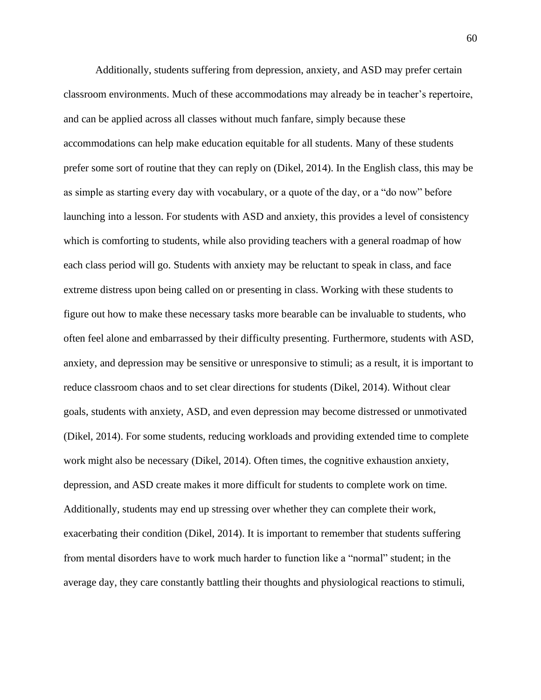Additionally, students suffering from depression, anxiety, and ASD may prefer certain classroom environments. Much of these accommodations may already be in teacher's repertoire, and can be applied across all classes without much fanfare, simply because these accommodations can help make education equitable for all students. Many of these students prefer some sort of routine that they can reply on (Dikel, 2014). In the English class, this may be as simple as starting every day with vocabulary, or a quote of the day, or a "do now" before launching into a lesson. For students with ASD and anxiety, this provides a level of consistency which is comforting to students, while also providing teachers with a general roadmap of how each class period will go. Students with anxiety may be reluctant to speak in class, and face extreme distress upon being called on or presenting in class. Working with these students to figure out how to make these necessary tasks more bearable can be invaluable to students, who often feel alone and embarrassed by their difficulty presenting. Furthermore, students with ASD, anxiety, and depression may be sensitive or unresponsive to stimuli; as a result, it is important to reduce classroom chaos and to set clear directions for students (Dikel, 2014). Without clear goals, students with anxiety, ASD, and even depression may become distressed or unmotivated (Dikel, 2014). For some students, reducing workloads and providing extended time to complete work might also be necessary (Dikel, 2014). Often times, the cognitive exhaustion anxiety, depression, and ASD create makes it more difficult for students to complete work on time. Additionally, students may end up stressing over whether they can complete their work, exacerbating their condition (Dikel, 2014). It is important to remember that students suffering from mental disorders have to work much harder to function like a "normal" student; in the average day, they care constantly battling their thoughts and physiological reactions to stimuli,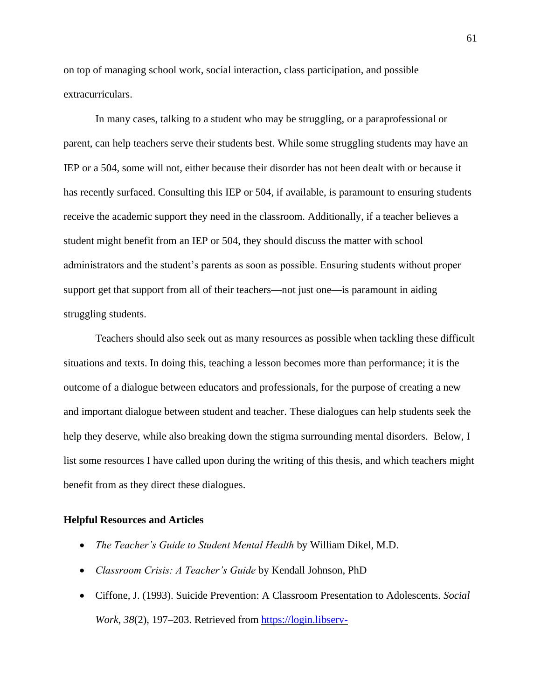on top of managing school work, social interaction, class participation, and possible extracurriculars.

In many cases, talking to a student who may be struggling, or a paraprofessional or parent, can help teachers serve their students best. While some struggling students may have an IEP or a 504, some will not, either because their disorder has not been dealt with or because it has recently surfaced. Consulting this IEP or 504, if available, is paramount to ensuring students receive the academic support they need in the classroom. Additionally, if a teacher believes a student might benefit from an IEP or 504, they should discuss the matter with school administrators and the student's parents as soon as possible. Ensuring students without proper support get that support from all of their teachers—not just one—is paramount in aiding struggling students.

Teachers should also seek out as many resources as possible when tackling these difficult situations and texts. In doing this, teaching a lesson becomes more than performance; it is the outcome of a dialogue between educators and professionals, for the purpose of creating a new and important dialogue between student and teacher. These dialogues can help students seek the help they deserve, while also breaking down the stigma surrounding mental disorders. Below, I list some resources I have called upon during the writing of this thesis, and which teachers might benefit from as they direct these dialogues.

#### **Helpful Resources and Articles**

- *The Teacher's Guide to Student Mental Health* by William Dikel, M.D.
- *Classroom Crisis: A Teacher's Guide* by Kendall Johnson, PhD
- Ciffone, J. (1993). Suicide Prevention: A Classroom Presentation to Adolescents. *Social Work*, *38*(2), 197–203. Retrieved from [https://login.libserv-](https://login.libserv-prd.bridgew.edu/login?url=http://search.ebscohost.com/login.aspx?direct=true&db=aph&AN=9402070163&site=ehost-live)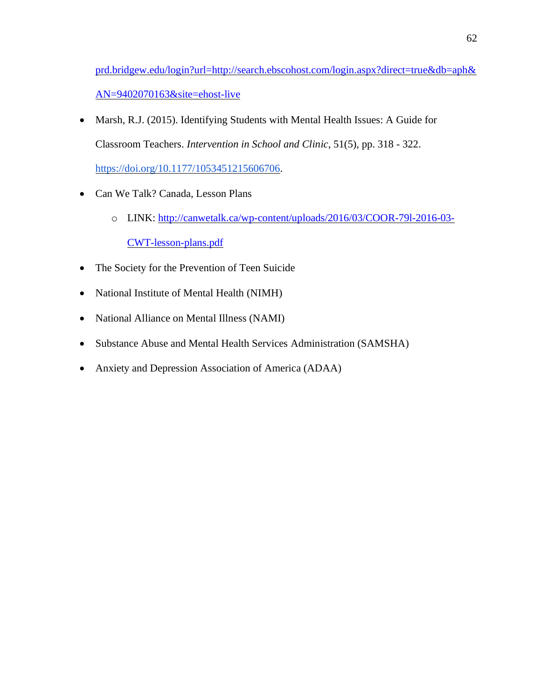[prd.bridgew.edu/login?url=http://search.ebscohost.com/login.aspx?direct=true&db=aph&](https://login.libserv-prd.bridgew.edu/login?url=http://search.ebscohost.com/login.aspx?direct=true&db=aph&AN=9402070163&site=ehost-live) [AN=9402070163&site=ehost-live](https://login.libserv-prd.bridgew.edu/login?url=http://search.ebscohost.com/login.aspx?direct=true&db=aph&AN=9402070163&site=ehost-live)

- Marsh, R.J. (2015). Identifying Students with Mental Health Issues: A Guide for Classroom Teachers. *Intervention in School and Clinic*, 51(5), pp. 318 - 322[.](https://doi.org/10.1177/1053451215606706) [https://doi.org/10.1177/1053451215606706.](https://doi.org/10.1177/1053451215606706)
- Can We Talk? Canada, Lesson Plans
	- o LINK: [http://canwetalk.ca/wp-content/uploads/2016/03/COOR-79l-2016-03-](http://canwetalk.ca/wp-content/uploads/2016/03/COOR-79l-2016-03-CWT-lesson-plans.pdf) [CWT-lesson-plans.pdf](http://canwetalk.ca/wp-content/uploads/2016/03/COOR-79l-2016-03-CWT-lesson-plans.pdf)
- The Society for the Prevention of Teen Suicide
- National Institute of Mental Health (NIMH)
- National Alliance on Mental Illness (NAMI)
- Substance Abuse and Mental Health Services Administration (SAMSHA)
- Anxiety and Depression Association of America (ADAA)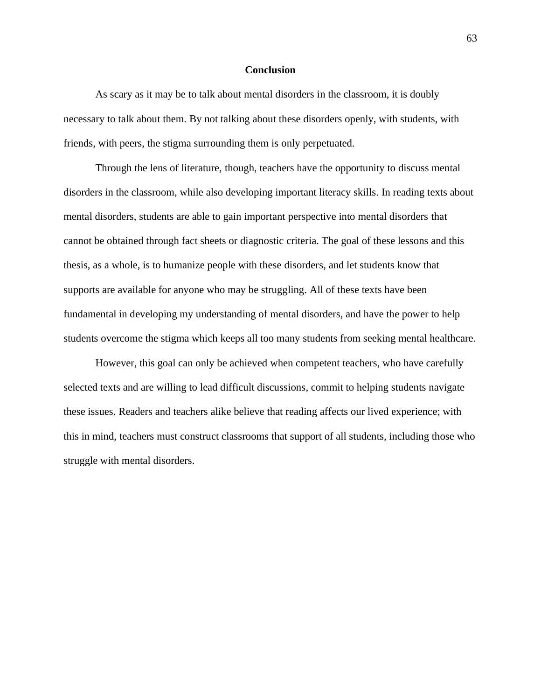#### **Conclusion**

As scary as it may be to talk about mental disorders in the classroom, it is doubly necessary to talk about them. By not talking about these disorders openly, with students, with friends, with peers, the stigma surrounding them is only perpetuated.

Through the lens of literature, though, teachers have the opportunity to discuss mental disorders in the classroom, while also developing important literacy skills. In reading texts about mental disorders, students are able to gain important perspective into mental disorders that cannot be obtained through fact sheets or diagnostic criteria. The goal of these lessons and this thesis, as a whole, is to humanize people with these disorders, and let students know that supports are available for anyone who may be struggling. All of these texts have been fundamental in developing my understanding of mental disorders, and have the power to help students overcome the stigma which keeps all too many students from seeking mental healthcare.

However, this goal can only be achieved when competent teachers, who have carefully selected texts and are willing to lead difficult discussions, commit to helping students navigate these issues. Readers and teachers alike believe that reading affects our lived experience; with this in mind, teachers must construct classrooms that support of all students, including those who struggle with mental disorders.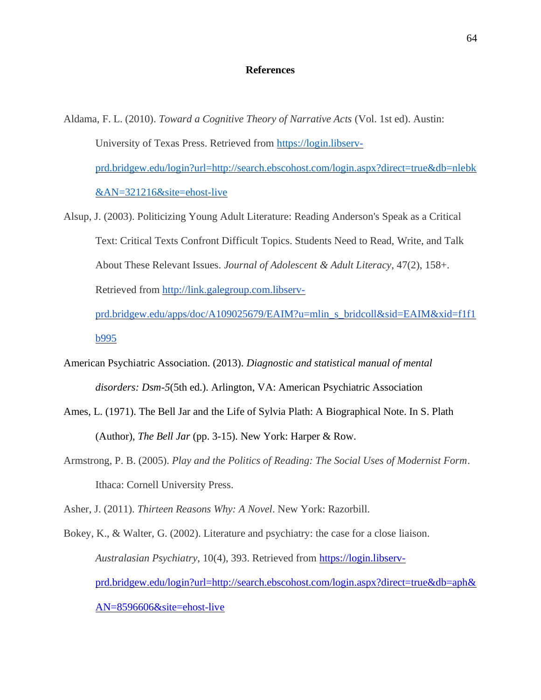#### **References**

- Aldama, F. L. (2010). *Toward a Cognitive Theory of Narrative Acts* (Vol. 1st ed). Austin: University of Texas Press. Retrieved from [https://login.libserv](https://login.libserv-prd.bridgew.edu/login?url=http://search.ebscohost.com/login.aspx?direct=true&db=nlebk&AN=321216&site=ehost-live)[prd.bridgew.edu/login?url=http://search.ebscohost.com/login.aspx?direct=true&db=nlebk](https://login.libserv-prd.bridgew.edu/login?url=http://search.ebscohost.com/login.aspx?direct=true&db=nlebk&AN=321216&site=ehost-live) [&AN=321216&site=ehost-live](https://login.libserv-prd.bridgew.edu/login?url=http://search.ebscohost.com/login.aspx?direct=true&db=nlebk&AN=321216&site=ehost-live)
- Alsup, J. (2003). Politicizing Young Adult Literature: Reading Anderson's Speak as a Critical Text: Critical Texts Confront Difficult Topics. Students Need to Read, Write, and Talk About These Relevant Issues. *Journal of Adolescent & Adult Literacy*, 47(2), 158+. Retrieved from [http://link.galegroup.com.libserv](http://link.galegroup.com.libserv-prd.bridgew.edu/apps/doc/A109025679/EAIM?u=mlin_s_bridcoll&sid=EAIM&xid=f1f1b995)[prd.bridgew.edu/apps/doc/A109025679/EAIM?u=mlin\\_s\\_bridcoll&sid=EAIM&xid=f1f1](http://link.galegroup.com.libserv-prd.bridgew.edu/apps/doc/A109025679/EAIM?u=mlin_s_bridcoll&sid=EAIM&xid=f1f1b995)

[b995](http://link.galegroup.com.libserv-prd.bridgew.edu/apps/doc/A109025679/EAIM?u=mlin_s_bridcoll&sid=EAIM&xid=f1f1b995)

- American Psychiatric Association. (2013). *Diagnostic and statistical manual of mental disorders: Dsm-5*(5th ed.). Arlington, VA: American Psychiatric Associatio[n](http://link.galegroup.com.libserv-prd.bridgew.edu/apps/doc/A109025679/EAIM?u=mlin_s_bridcoll&sid=EAIM&xid=f1f1b995)
- Ames, L. (1971). The Bell Jar and the Life of Sylvia Plath: A Biographical Note. In S. Plath (Author), *The Bell Jar* (pp. 3-15). New York: Harper & Row.
- Armstrong, P. B. (2005). *Play and the Politics of Reading: The Social Uses of Modernist Form*. Ithaca: Cornell University Press.

Asher, J. (2011). *Thirteen Reasons Why: A Novel*. New York: Razorbill.

Bokey, K., & Walter, G. (2002). Literature and psychiatry: the case for a close liaison. *Australasian Psychiatry*, 10(4), 393. Retrieved from [https://login.libserv](https://login.libserv-prd.bridgew.edu/login?url=http://search.ebscohost.com/login.aspx?direct=true&db=aph&AN=8596606&site=ehost-live)[prd.bridgew.edu/login?url=http://search.ebscohost.com/login.aspx?direct=true&db=aph&](https://login.libserv-prd.bridgew.edu/login?url=http://search.ebscohost.com/login.aspx?direct=true&db=aph&AN=8596606&site=ehost-live) [AN=8596606&site=ehost-live](https://login.libserv-prd.bridgew.edu/login?url=http://search.ebscohost.com/login.aspx?direct=true&db=aph&AN=8596606&site=ehost-live)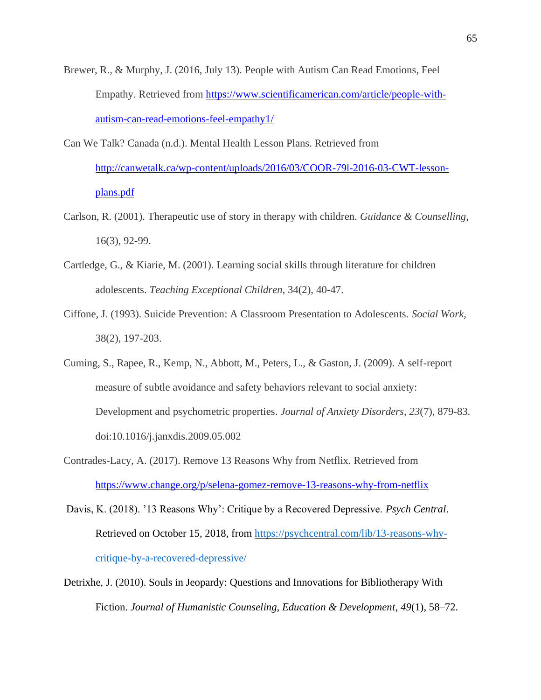- Brewer, R., & Murphy, J. (2016, July 13). People with Autism Can Read Emotions, Feel Empathy. Retrieved from [https://www.scientificamerican.com/article/people-with](https://www.scientificamerican.com/article/people-with-autism-can-read-emotions-feel-empathy1/)[autism-can-read-emotions-feel-empathy1/](https://www.scientificamerican.com/article/people-with-autism-can-read-emotions-feel-empathy1/)
- Can We Talk? Canada (n.d.). Mental Health Lesson Plans. Retrieved from [http://canwetalk.ca/wp-content/uploads/2016/03/COOR-79l-2016-03-CWT-lesson](http://canwetalk.ca/wp-content/uploads/2016/03/COOR-79l-2016-03-CWT-lesson-plans.pdf)[plans.pdf](http://canwetalk.ca/wp-content/uploads/2016/03/COOR-79l-2016-03-CWT-lesson-plans.pdf)
- Carlson, R. (2001). Therapeutic use of story in therapy with children. *Guidance & Counselling*, 16(3), 92-99.
- Cartledge, G., & Kiarie, M. (2001). Learning social skills through literature for children adolescents. *Teaching Exceptional Children*, 34(2), 40-47.
- Ciffone, J. (1993). Suicide Prevention: A Classroom Presentation to Adolescents. *Social Work*, 38(2), 197-203.
- Cuming, S., Rapee, R., Kemp, N., Abbott, M., Peters, L., & Gaston, J. (2009). A self-report measure of subtle avoidance and safety behaviors relevant to social anxiety: Development and psychometric properties. *Journal of Anxiety Disorders, 23*(7), 879-83. doi:10.1016/j.janxdis.2009.05.002
- Contrades-Lacy, A. (2017). Remove 13 Reasons Why from Netflix. Retrieved from <https://www.change.org/p/selena-gomez-remove-13-reasons-why-from-netflix>
- Davis, K. (2018). '13 Reasons Why': Critique by a Recovered Depressive. *Psych Central*. Retrieved on October 15, 2018, from [https://psychcentral.com/lib/13-reasons-why](https://psychcentral.com/lib/13-reasons-why-critique-by-a-recovered-depressive/)[critique-by-a-recovered-depressive/](https://psychcentral.com/lib/13-reasons-why-critique-by-a-recovered-depressive/)
- Detrixhe, J. (2010). Souls in Jeopardy: Questions and Innovations for Bibliotherapy With Fiction. *Journal of Humanistic Counseling, Education & Development*, *49*(1), 58–72.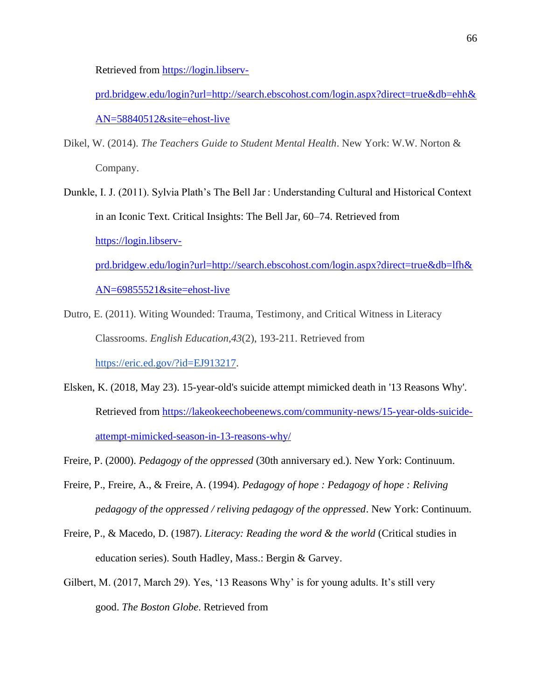Retrieved from [https://login.libserv-](https://login.libserv-prd.bridgew.edu/login?url=http://search.ebscohost.com/login.aspx?direct=true&db=ehh&AN=58840512&site=ehost-live)

[prd.bridgew.edu/login?url=http://search.ebscohost.com/login.aspx?direct=true&db=ehh&](https://login.libserv-prd.bridgew.edu/login?url=http://search.ebscohost.com/login.aspx?direct=true&db=ehh&AN=58840512&site=ehost-live) [AN=58840512&site=ehost-live](https://login.libserv-prd.bridgew.edu/login?url=http://search.ebscohost.com/login.aspx?direct=true&db=ehh&AN=58840512&site=ehost-live)

- Dikel, W. (2014). *The Teachers Guide to Student Mental Health*. New York: W.W. Norton & Company.
- Dunkle, I. J. (2011). Sylvia Plath's The Bell Jar : Understanding Cultural and Historical Context in an Iconic Text. Critical Insights: The Bell Jar, 60–74. Retrieved from [https://login.libserv](https://login.libserv-prd.bridgew.edu/login?url=http://search.ebscohost.com/login.aspx?direct=true&db=lfh&AN=69855521&site=ehost-live)[prd.bridgew.edu/login?url=http://search.ebscohost.com/login.aspx?direct=true&db=lfh&](https://login.libserv-prd.bridgew.edu/login?url=http://search.ebscohost.com/login.aspx?direct=true&db=lfh&AN=69855521&site=ehost-live) [AN=69855521&site=ehost-live](https://login.libserv-prd.bridgew.edu/login?url=http://search.ebscohost.com/login.aspx?direct=true&db=lfh&AN=69855521&site=ehost-live)
- Dutro, E. (2011). Witing Wounded: Trauma, Testimony, and Critical Witness in Literacy Classrooms. *English Education,43*(2), 193-211. Retrieved fro[m](https://eric.ed.gov/?id=EJ913217) [https://eric.ed.gov/?id=EJ913217.](https://eric.ed.gov/?id=EJ913217)
- Elsken, K. (2018, May 23). 15-year-old's suicide attempt mimicked death in '13 Reasons Why'. Retrieved from [https://lakeokeechobeenews.com/community-news/15-year-olds-suicide](https://lakeokeechobeenews.com/community-news/15-year-olds-suicide-attempt-mimicked-season-in-13-reasons-why/)[attempt-mimicked-season-in-13-reasons-why/](https://lakeokeechobeenews.com/community-news/15-year-olds-suicide-attempt-mimicked-season-in-13-reasons-why/)
- Freire, P. (2000). *Pedagogy of the oppressed* (30th anniversary ed.). New York: Continuum.
- Freire, P., Freire, A., & Freire, A. (1994). *Pedagogy of hope : Pedagogy of hope : Reliving pedagogy of the oppressed / reliving pedagogy of the oppressed*. New York: Continuum.
- Freire, P., & Macedo, D. (1987). *Literacy: Reading the word & the world* (Critical studies in education series). South Hadley, Mass.: Bergin & Garvey.
- Gilbert, M. (2017, March 29). Yes, '13 Reasons Why' is for young adults. It's still very good. *The Boston Globe*. Retrieved from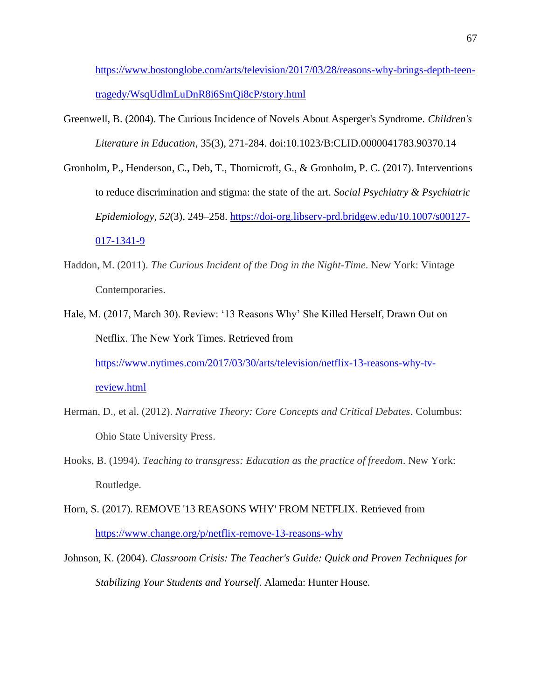[https://www.bostonglobe.com/arts/television/2017/03/28/reasons-why-brings-depth-teen](https://www.bostonglobe.com/arts/television/2017/03/28/reasons-why-brings-depth-teen-tragedy/WsqUdlmLuDnR8i6SmQi8cP/story.html)[tragedy/WsqUdlmLuDnR8i6SmQi8cP/story.html](https://www.bostonglobe.com/arts/television/2017/03/28/reasons-why-brings-depth-teen-tragedy/WsqUdlmLuDnR8i6SmQi8cP/story.html)

- Greenwell, B. (2004). The Curious Incidence of Novels About Asperger's Syndrome. *Children's Literature in Education*, 35(3), 271-284. doi:10.1023/B:CLID.0000041783.90370.14
- Gronholm, P., Henderson, C., Deb, T., Thornicroft, G., & Gronholm, P. C. (2017). Interventions to reduce discrimination and stigma: the state of the art. *Social Psychiatry & Psychiatric Epidemiology*, *52*(3), 249–258. [https://doi-org.libserv-prd.bridgew.edu/10.1007/s00127-](https://doi-org.libserv-prd.bridgew.edu/10.1007/s00127-017-1341-9) [017-1341-9](https://doi-org.libserv-prd.bridgew.edu/10.1007/s00127-017-1341-9)
- Haddon, M. (2011). *The Curious Incident of the Dog in the Night-Time*. New York: Vintage Contemporaries.
- Hale, M. (2017, March 30). Review: '13 Reasons Why' She Killed Herself, Drawn Out on Netflix. The New York Times. Retrieved from [https://www.nytimes.com/2017/03/30/arts/television/netflix-13-reasons-why-tv-](https://www.nytimes.com/2017/03/30/arts/television/netflix-13-reasons-why-tv-review.html)

[review.html](https://www.nytimes.com/2017/03/30/arts/television/netflix-13-reasons-why-tv-review.html)

- Herman, D., et al. (2012). *Narrative Theory: Core Concepts and Critical Debates*. Columbus: Ohio State University Press.
- Hooks, B. (1994). *Teaching to transgress: Education as the practice of freedom*. New York: Routledge.
- Horn, S. (2017). REMOVE '13 REASONS WHY' FROM NETFLIX. Retrieved from <https://www.change.org/p/netflix-remove-13-reasons-why>
- Johnson, K. (2004). *Classroom Crisis: The Teacher's Guide: Quick and Proven Techniques for Stabilizing Your Students and Yourself*. Alameda: Hunter House.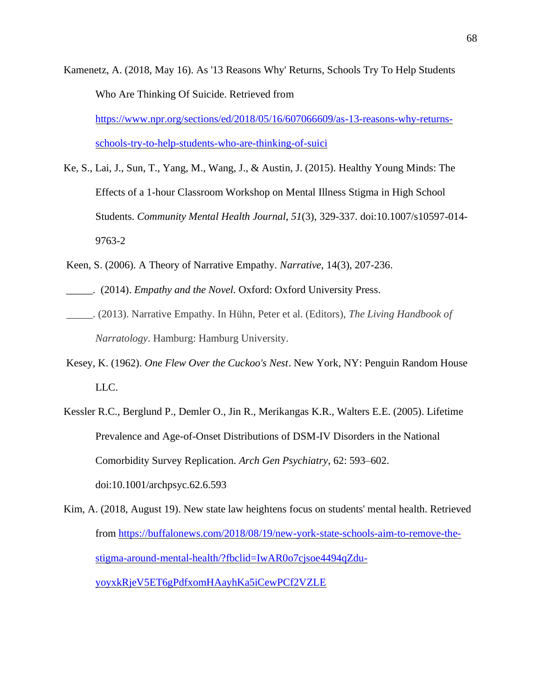Kamenetz, A. (2018, May 16). As '13 Reasons Why' Returns, Schools Try To Help Students Who Are Thinking Of Suicide. Retrieved from [https://www.npr.org/sections/ed/2018/05/16/607066609/as-13-reasons-why-returns](https://www.npr.org/sections/ed/2018/05/16/607066609/as-13-reasons-why-returns-schools-try-to-help-students-who-are-thinking-of-suici)[schools-try-to-help-students-who-are-thinking-of-suici](https://www.npr.org/sections/ed/2018/05/16/607066609/as-13-reasons-why-returns-schools-try-to-help-students-who-are-thinking-of-suici)

- Ke, S., Lai, J., Sun, T., Yang, M., Wang, J., & Austin, J. (2015). Healthy Young Minds: The Effects of a 1-hour Classroom Workshop on Mental Illness Stigma in High School Students. *Community Mental Health Journal*, *51*(3), 329-337. doi:10.1007/s10597-014- 9763-2
- Keen, S. (2006). A Theory of Narrative Empathy. *Narrative*, 14(3), 207-236.
- \_\_\_\_\_. (2014). *Empathy and the Novel*. Oxford: Oxford University Press.
- \_\_\_\_\_. (2013). Narrative Empathy. In Hühn, Peter et al. (Editors), *The Living Handbook of Narratology*. Hamburg: Hamburg University.
- Kesey, K. (1962). *One Flew Over the Cuckoo's Nest*. New York, NY: Penguin Random House LLC.
- Kessler R.C., Berglund P., Demler O., Jin R., Merikangas K.R., Walters E.E. (2005). Lifetime Prevalence and Age-of-Onset Distributions of DSM-IV Disorders in the National Comorbidity Survey Replication. *Arch Gen Psychiatry*, 62: 593–602. doi:10.1001/archpsyc.62.6.593

Kim, A. (2018, August 19). New state law heightens focus on students' mental health. Retrieved from [https://buffalonews.com/2018/08/19/new-york-state-schools-aim-to-remove-the](https://buffalonews.com/2018/08/19/new-york-state-schools-aim-to-remove-the-stigma-around-mental-health/?fbclid=IwAR0o7cjsoe4494qZdu-yoyxkRjeV5ET6gPdfxomHAayhKa5iCewPCf2VZLE)[stigma-around-mental-health/?fbclid=IwAR0o7cjsoe4494qZdu](https://buffalonews.com/2018/08/19/new-york-state-schools-aim-to-remove-the-stigma-around-mental-health/?fbclid=IwAR0o7cjsoe4494qZdu-yoyxkRjeV5ET6gPdfxomHAayhKa5iCewPCf2VZLE)[yoyxkRjeV5ET6gPdfxomHAayhKa5iCewPCf2VZLE](https://buffalonews.com/2018/08/19/new-york-state-schools-aim-to-remove-the-stigma-around-mental-health/?fbclid=IwAR0o7cjsoe4494qZdu-yoyxkRjeV5ET6gPdfxomHAayhKa5iCewPCf2VZLE)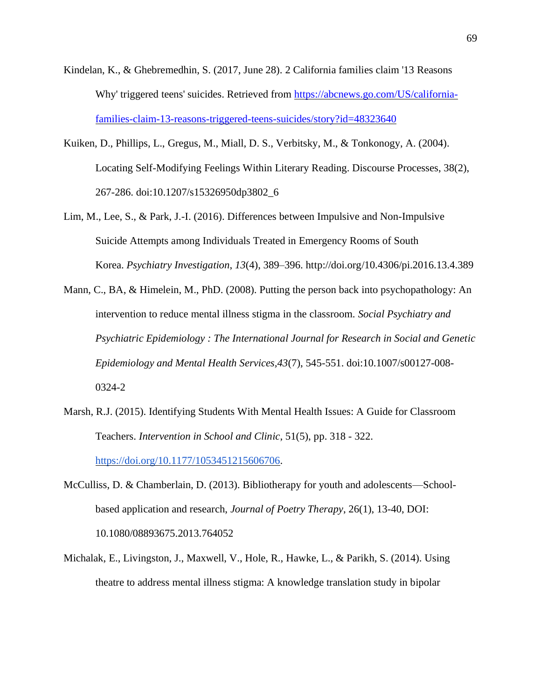- Kindelan, K., & Ghebremedhin, S. (2017, June 28). 2 California families claim '13 Reasons Why' triggered teens' suicides. Retrieved from [https://abcnews.go.com/US/california](https://abcnews.go.com/US/california-families-claim-13-reasons-triggered-teens-suicides/story?id=48323640)[families-claim-13-reasons-triggered-teens-suicides/story?id=48323640](https://abcnews.go.com/US/california-families-claim-13-reasons-triggered-teens-suicides/story?id=48323640)
- Kuiken, D., Phillips, L., Gregus, M., Miall, D. S., Verbitsky, M., & Tonkonogy, A. (2004). Locating Self-Modifying Feelings Within Literary Reading. Discourse Processes, 38(2), 267-286. doi:10.1207/s15326950dp3802\_6
- Lim, M., Lee, S., & Park, J.-I. (2016). Differences between Impulsive and Non-Impulsive Suicide Attempts among Individuals Treated in Emergency Rooms of South Korea. *Psychiatry Investigation*, *13*(4), 389–396. http://doi.org/10.4306/pi.2016.13.4.389
- Mann, C., BA, & Himelein, M., PhD. (2008). Putting the person back into psychopathology: An intervention to reduce mental illness stigma in the classroom. *Social Psychiatry and Psychiatric Epidemiology : The International Journal for Research in Social and Genetic Epidemiology and Mental Health Services,43*(7), 545-551. doi:10.1007/s00127-008- 0324-2
- Marsh, R.J. (2015). Identifying Students With Mental Health Issues: A Guide for Classroom Teachers. *Intervention in School and Clinic*, 51(5), pp. 318 - 322[.](https://doi.org/10.1177/1053451215606706) [https://doi.org/10.1177/1053451215606706.](https://doi.org/10.1177/1053451215606706)
- McCulliss, D. & Chamberlain, D. (2013). Bibliotherapy for youth and adolescents—Schoolbased application and research, *Journal of Poetry Therapy*, 26(1), 13-40, DOI: 10.1080/08893675.2013.764052
- Michalak, E., Livingston, J., Maxwell, V., Hole, R., Hawke, L., & Parikh, S. (2014). Using theatre to address mental illness stigma: A knowledge translation study in bipolar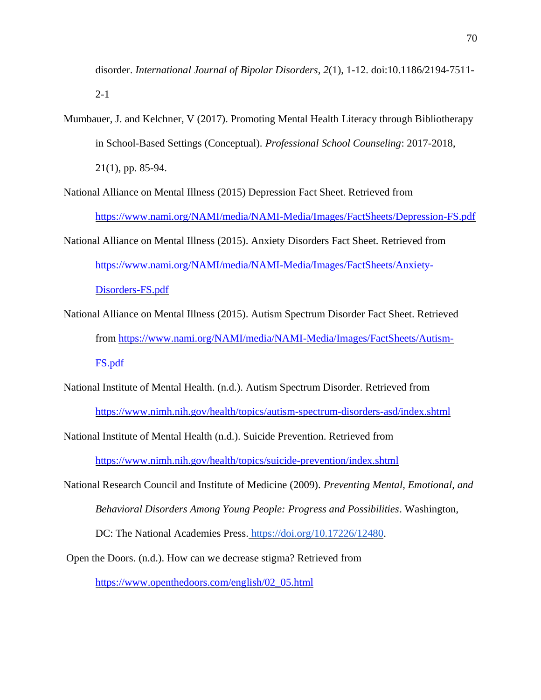disorder. *International Journal of Bipolar Disorders, 2*(1), 1-12. doi:10.1186/2194-7511- 2-1

Mumbauer, J. and Kelchner, V (2017). Promoting Mental Health Literacy through Bibliotherapy in School-Based Settings (Conceptual). *Professional School Counseling*: 2017-2018, 21(1), pp. 85-94[.](https://doi.org/10.5330/1096-2409-21.1.85)

National Alliance on Mental Illness (2015) Depression Fact Sheet. Retrieved from <https://www.nami.org/NAMI/media/NAMI-Media/Images/FactSheets/Depression-FS.pdf>

- National Alliance on Mental Illness (2015). Anxiety Disorders Fact Sheet. Retrieved from [https://www.nami.org/NAMI/media/NAMI-Media/Images/FactSheets/Anxiety-](https://www.nami.org/NAMI/media/NAMI-Media/Images/FactSheets/Anxiety-Disorders-FS.pdf)[Disorders-FS.pdf](https://www.nami.org/NAMI/media/NAMI-Media/Images/FactSheets/Anxiety-Disorders-FS.pdf)
- National Alliance on Mental Illness (2015). Autism Spectrum Disorder Fact Sheet. Retrieved from [https://www.nami.org/NAMI/media/NAMI-Media/Images/FactSheets/Autism-](https://www.nami.org/NAMI/media/NAMI-Media/Images/FactSheets/Autism-FS.pdf)[FS.pdf](https://www.nami.org/NAMI/media/NAMI-Media/Images/FactSheets/Autism-FS.pdf)
- National Institute of Mental Health. (n.d.). Autism Spectrum Disorder. Retrieved from <https://www.nimh.nih.gov/health/topics/autism-spectrum-disorders-asd/index.shtml>

National Institute of Mental Health (n.d.). Suicide Prevention. Retrieved from

<https://www.nimh.nih.gov/health/topics/suicide-prevention/index.shtml>

National Research Council and Institute of Medicine (2009). *Preventing Mental, Emotional, and Behavioral Disorders Among Young People: Progress and Possibilities*. Washington, DC: The National Academies Press[.](https://doi.org/10.17226/12480) [https://doi.org/10.17226/12480.](https://doi.org/10.17226/12480)

Open the Doors. (n.d.). How can we decrease stigma? Retrieved from

[https://www.openthedoors.com/english/02\\_05.html](https://www.openthedoors.com/english/02_05.html)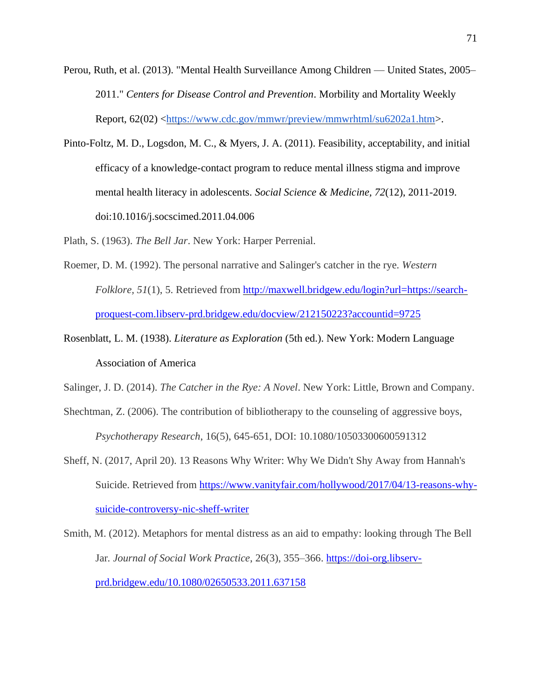- Perou, Ruth, et al. (2013). "Mental Health Surveillance Among Children United States, 2005– 2011." *Centers for Disease Control and Prevention*. Morbility and Mortality Weekly Report, 62(02) [<https://www.cdc.gov/mmwr/preview/mmwrhtml/su6202a1.htm>](https://www.cdc.gov/mmwr/preview/mmwrhtml/su6202a1.htm).
- Pinto-Foltz, M. D., Logsdon, M. C., & Myers, J. A. (2011). Feasibility, acceptability, and initial efficacy of a knowledge-contact program to reduce mental illness stigma and improve mental health literacy in adolescents. *Social Science & Medicine, 72*(12), 2011-2019. doi:10.1016/j.socscimed.2011.04.006

Plath, S. (1963). *The Bell Jar*. New York: Harper Perrenial.

- Roemer, D. M. (1992). The personal narrative and Salinger's catcher in the rye. *Western Folklore, 51*(1), 5. Retrieved from [http://maxwell.bridgew.edu/login?url=https://search](http://maxwell.bridgew.edu/login?url=https://search-proquest-com.libserv-prd.bridgew.edu/docview/212150223?accountid=9725)[proquest-com.libserv-prd.bridgew.edu/docview/212150223?accountid=9725](http://maxwell.bridgew.edu/login?url=https://search-proquest-com.libserv-prd.bridgew.edu/docview/212150223?accountid=9725)
- Rosenblatt, L. M. (1938). *Literature as Exploration* (5th ed.). New York: Modern Language Association of America

Salinger, J. D. (2014). *The Catcher in the Rye: A Novel*. New York: Little, Brown and Company.

- Shechtman, Z. (2006). The contribution of bibliotherapy to the counseling of aggressive boys, *Psychotherapy Research*, 16(5), 645-651, DOI: 10.1080/10503300600591312
- Sheff, N. (2017, April 20). 13 Reasons Why Writer: Why We Didn't Shy Away from Hannah's Suicide. Retrieved from [https://www.vanityfair.com/hollywood/2017/04/13-reasons-why](https://www.vanityfair.com/hollywood/2017/04/13-reasons-why-suicide-controversy-nic-sheff-writer)[suicide-controversy-nic-sheff-writer](https://www.vanityfair.com/hollywood/2017/04/13-reasons-why-suicide-controversy-nic-sheff-writer)

Smith, M. (2012). Metaphors for mental distress as an aid to empathy: looking through The Bell Jar*. Journal of Social Work Practice*, 26(3), 355–366. [https://doi-org.libserv](https://doi-org.libserv-prd.bridgew.edu/10.1080/02650533.2011.637158)[prd.bridgew.edu/10.1080/02650533.2011.637158](https://doi-org.libserv-prd.bridgew.edu/10.1080/02650533.2011.637158)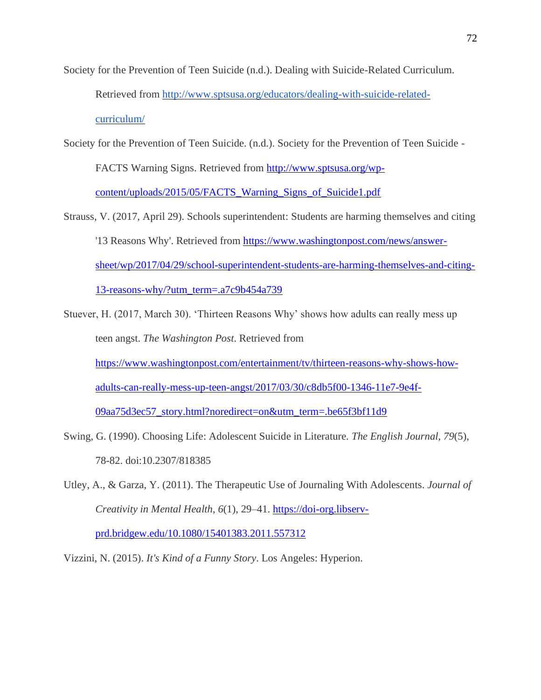- Society for the Prevention of Teen Suicide (n.d.). Dealing with Suicide-Related Curriculum. Retrieved from [http://www.sptsusa.org/educators/dealing-with-suicide-related](http://www.sptsusa.org/educators/dealing-with-suicide-related-curriculum/)[curriculum/](http://www.sptsusa.org/educators/dealing-with-suicide-related-curriculum/)
- Society for the Prevention of Teen Suicide. (n.d.). Society for the Prevention of Teen Suicide -

FACTS Warning Signs. Retrieved from [http://www.sptsusa.org/wp-](http://www.sptsusa.org/wp-content/uploads/2015/05/FACTS_Warning_Signs_of_Suicide1.pdf)

[content/uploads/2015/05/FACTS\\_Warning\\_Signs\\_of\\_Suicide1.pdf](http://www.sptsusa.org/wp-content/uploads/2015/05/FACTS_Warning_Signs_of_Suicide1.pdf)

- Strauss, V. (2017, April 29). Schools superintendent: Students are harming themselves and citing '13 Reasons Why'. Retrieved from [https://www.washingtonpost.com/news/answer](https://www.washingtonpost.com/news/answer-sheet/wp/2017/04/29/school-superintendent-students-are-harming-themselves-and-citing-13-reasons-why/?utm_term=.a7c9b454a739)[sheet/wp/2017/04/29/school-superintendent-students-are-harming-themselves-and-citing-](https://www.washingtonpost.com/news/answer-sheet/wp/2017/04/29/school-superintendent-students-are-harming-themselves-and-citing-13-reasons-why/?utm_term=.a7c9b454a739)[13-reasons-why/?utm\\_term=.a7c9b454a739](https://www.washingtonpost.com/news/answer-sheet/wp/2017/04/29/school-superintendent-students-are-harming-themselves-and-citing-13-reasons-why/?utm_term=.a7c9b454a739)
- Stuever, H. (2017, March 30). 'Thirteen Reasons Why' shows how adults can really mess up teen angst. *The Washington Post*. Retrieved from [https://www.washingtonpost.com/entertainment/tv/thirteen-reasons-why-shows-how](https://www.washingtonpost.com/entertainment/tv/thirteen-reasons-why-shows-how-adults-can-really-mess-up-teen-angst/2017/03/30/c8db5f00-1346-11e7-9e4f-09aa75d3ec57_story.html?noredirect=on&utm_term=.be65f3bf11d9)[adults-can-really-mess-up-teen-angst/2017/03/30/c8db5f00-1346-11e7-9e4f-](https://www.washingtonpost.com/entertainment/tv/thirteen-reasons-why-shows-how-adults-can-really-mess-up-teen-angst/2017/03/30/c8db5f00-1346-11e7-9e4f-09aa75d3ec57_story.html?noredirect=on&utm_term=.be65f3bf11d9)[09aa75d3ec57\\_story.html?noredirect=on&utm\\_term=.be65f3bf11d9](https://www.washingtonpost.com/entertainment/tv/thirteen-reasons-why-shows-how-adults-can-really-mess-up-teen-angst/2017/03/30/c8db5f00-1346-11e7-9e4f-09aa75d3ec57_story.html?noredirect=on&utm_term=.be65f3bf11d9)
- Swing, G. (1990). Choosing Life: Adolescent Suicide in Literature. *The English Journal, 79*(5), 78-82. doi:10.2307/818385
- Utley, A., & Garza, Y. (2011). The Therapeutic Use of Journaling With Adolescents. *Journal of Creativity in Mental Health*, *6*(1), 29–41. [https://doi-org.libserv](https://doi-org.libserv-prd.bridgew.edu/10.1080/15401383.2011.557312)[prd.bridgew.edu/10.1080/15401383.2011.557312](https://doi-org.libserv-prd.bridgew.edu/10.1080/15401383.2011.557312)

Vizzini, N. (2015). *It's Kind of a Funny Story*. Los Angeles: Hyperion.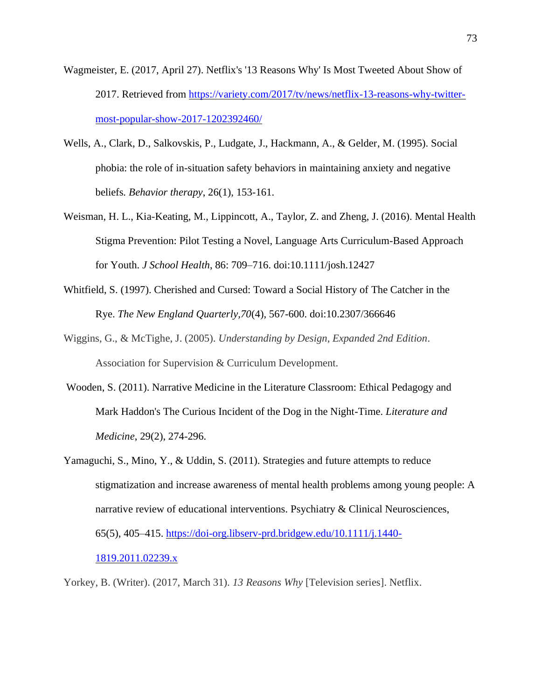- Wagmeister, E. (2017, April 27). Netflix's '13 Reasons Why' Is Most Tweeted About Show of 2017. Retrieved from [https://variety.com/2017/tv/news/netflix-13-reasons-why-twitter](https://variety.com/2017/tv/news/netflix-13-reasons-why-twitter-most-popular-show-2017-1202392460/)[most-popular-show-2017-1202392460/](https://variety.com/2017/tv/news/netflix-13-reasons-why-twitter-most-popular-show-2017-1202392460/)
- Wells, A., Clark, D., Salkovskis, P., Ludgate, J., Hackmann, A., & Gelder, M. (1995). Social phobia: the role of in-situation safety behaviors in maintaining anxiety and negative beliefs*. Behavior therapy*, 26(1), 153-161.
- Weisman, H. L., Kia-Keating, M., Lippincott, A., Taylor, Z. and Zheng, J. (2016). Mental Health Stigma Prevention: Pilot Testing a Novel, Language Arts Curriculum-Based Approach for Youth. *J School Health*, 86: 709–716. doi:10.1111/josh.12427
- Whitfield, S. (1997). Cherished and Cursed: Toward a Social History of The Catcher in the Rye. *The New England Quarterly,70*(4), 567-600. doi:10.2307/366646
- Wiggins, G., & McTighe, J. (2005). *Understanding by Design, Expanded 2nd Edition*. Association for Supervision & Curriculum Development.
- Wooden, S. (2011). Narrative Medicine in the Literature Classroom: Ethical Pedagogy and Mark Haddon's The Curious Incident of the Dog in the Night-Time. *Literature and Medicine*, 29(2), 274-296.
- Yamaguchi, S., Mino, Y., & Uddin, S. (2011). Strategies and future attempts to reduce stigmatization and increase awareness of mental health problems among young people: A narrative review of educational interventions. Psychiatry & Clinical Neurosciences, 65(5), 405–415. [https://doi-org.libserv-prd.bridgew.edu/10.1111/j.1440-](https://doi-org.libserv-prd.bridgew.edu/10.1111/j.1440-1819.2011.02239.x) [1819.2011.02239.x](https://doi-org.libserv-prd.bridgew.edu/10.1111/j.1440-1819.2011.02239.x)

Yorkey, B. (Writer). (2017, March 31). *13 Reasons Why* [Television series]. Netflix.